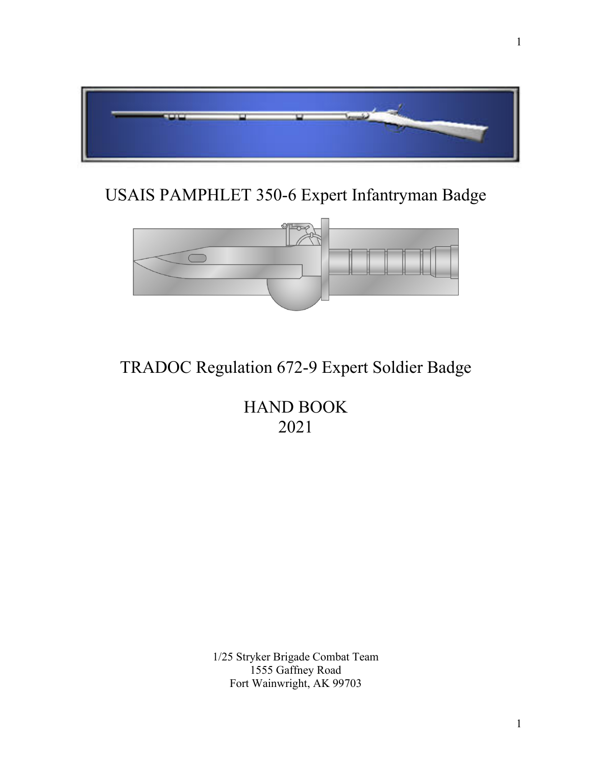

# USAIS PAMPHLET 350-6 Expert Infantryman Badge



# TRADOC Regulation 672-9 Expert Soldier Badge

HAND BOOK 2021

1/25 Stryker Brigade Combat Team 1555 Gaffney Road Fort Wainwright, AK 99703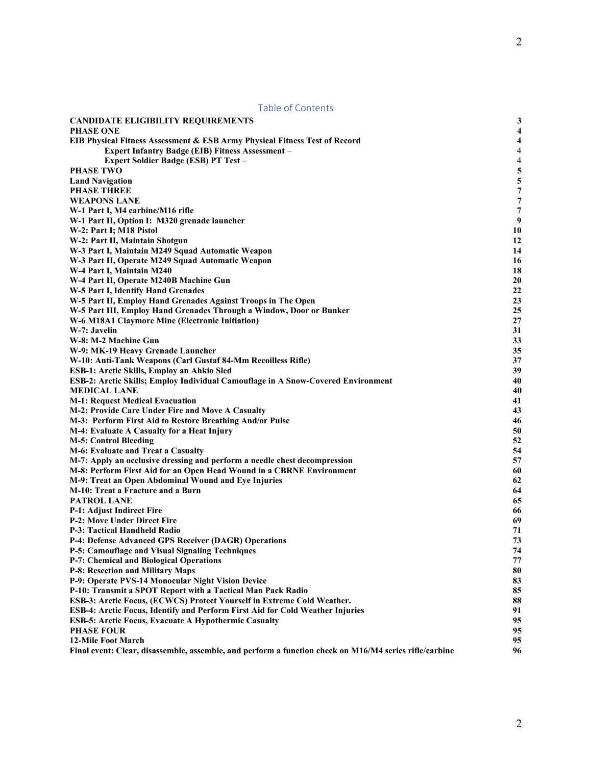<span id="page-1-0"></span>

| <b>Table of Contents</b>                                                                                                            |                         |
|-------------------------------------------------------------------------------------------------------------------------------------|-------------------------|
| <b>CANDIDATE ELIGIBILITY REQUIREMENTS</b>                                                                                           | 3                       |
| <b>PHASE ONE</b>                                                                                                                    | $\overline{\mathbf{4}}$ |
| <b>EIB Physical Fitness Assessment &amp; ESB Army Physical Fitness Test of Record</b>                                               | $\overline{\mathbf{4}}$ |
| <b>Expert Infantry Badge (EIB) Fitness Assessment -</b>                                                                             | $\overline{4}$          |
| Expert Soldier Badge (ESB) PT Test -                                                                                                | $\overline{4}$          |
| <b>PHASE TWO</b>                                                                                                                    | 5                       |
| <b>Land Navigation</b>                                                                                                              | 5                       |
| <b>PHASE THREE</b>                                                                                                                  | $\overline{7}$          |
| <b>WEAPONS LANE</b>                                                                                                                 | 7                       |
| W-1 Part I, M4 carbine/M16 rifle                                                                                                    | 7                       |
| W-1 Part II, Option I: M320 grenade launcher                                                                                        | 9                       |
| W-2: Part I; M18 Pistol                                                                                                             | 10                      |
| W-2: Part II, Maintain Shotgun                                                                                                      | 12                      |
| W-3 Part I, Maintain M249 Squad Automatic Weapon                                                                                    | 14                      |
| W-3 Part II, Operate M249 Squad Automatic Weapon                                                                                    | 16                      |
| W-4 Part I, Maintain M240                                                                                                           | 18                      |
| W-4 Part II, Operate M240B Machine Gun                                                                                              | 20                      |
| W-5 Part I, Identify Hand Grenades                                                                                                  | 22<br>23                |
| W-5 Part II, Employ Hand Grenades Against Troops in The Open<br>W-5 Part III, Employ Hand Grenades Through a Window, Door or Bunker | 25                      |
| W-6 M18A1 Claymore Mine (Electronic Initiation)                                                                                     | 27                      |
| W-7: Javelin                                                                                                                        | 31                      |
| W-8: M-2 Machine Gun                                                                                                                | 33                      |
| W-9: MK-19 Heavy Grenade Launcher                                                                                                   | 35                      |
| W-10: Anti-Tank Weapons (Carl Gustaf 84-Mm Recoilless Rifle)                                                                        | 37                      |
| <b>ESB-1: Arctic Skills, Employ an Ahkio Sled</b>                                                                                   | 39                      |
| ESB-2: Arctic Skills; Employ Individual Camouflage in A Snow-Covered Environment                                                    | 40                      |
| <b>MEDICAL LANE</b>                                                                                                                 | 40                      |
| <b>M-1: Request Medical Evacuation</b>                                                                                              | 41                      |
| M-2: Provide Care Under Fire and Move A Casualty                                                                                    | 43                      |
| M-3: Perform First Aid to Restore Breathing And/or Pulse                                                                            | 46                      |
| M-4: Evaluate A Casualty for a Heat Injury                                                                                          | 50                      |
| <b>M-5: Control Bleeding</b>                                                                                                        | 52                      |
| M-6: Evaluate and Treat a Casualty                                                                                                  | 54                      |
| M-7: Apply an occlusive dressing and perform a needle chest decompression                                                           | 57                      |
| M-8: Perform First Aid for an Open Head Wound in a CBRNE Environment                                                                | 60                      |
| M-9: Treat an Open Abdominal Wound and Eye Injuries                                                                                 | 62                      |
| M-10: Treat a Fracture and a Burn                                                                                                   | 64                      |
| PATROL LANE                                                                                                                         | 65                      |
| P-1: Adjust Indirect Fire                                                                                                           | 66                      |
| <b>P-2: Move Under Direct Fire</b>                                                                                                  | 69                      |
| P-3: Tactical Handheld Radio                                                                                                        | 71                      |
| <b>P-4: Defense Advanced GPS Receiver (DAGR) Operations</b>                                                                         | 73                      |
| P-5: Camouflage and Visual Signaling Techniques                                                                                     | 74                      |
| <b>P-7: Chemical and Biological Operations</b>                                                                                      | 77                      |
| <b>P-8: Resection and Military Maps</b><br>P-9: Operate PVS-14 Monocular Night Vision Device                                        | 80<br>83                |
| P-10: Transmit a SPOT Report with a Tactical Man Pack Radio                                                                         | 85                      |
| ESB-3: Arctic Focus, (ECWCS) Protect Yourself in Extreme Cold Weather.                                                              | 88                      |
| ESB-4: Arctic Focus, Identify and Perform First Aid for Cold Weather Injuries                                                       | 91                      |
| <b>ESB-5: Arctic Focus, Evacuate A Hypothermic Casualty</b>                                                                         | 95                      |
| <b>PHASE FOUR</b>                                                                                                                   | 95                      |
| <b>12-Mile Foot March</b>                                                                                                           | 95                      |
| Final event: Clear, disassemble, assemble, and perform a function check on M16/M4 series rifle/carbine                              | 96                      |
|                                                                                                                                     |                         |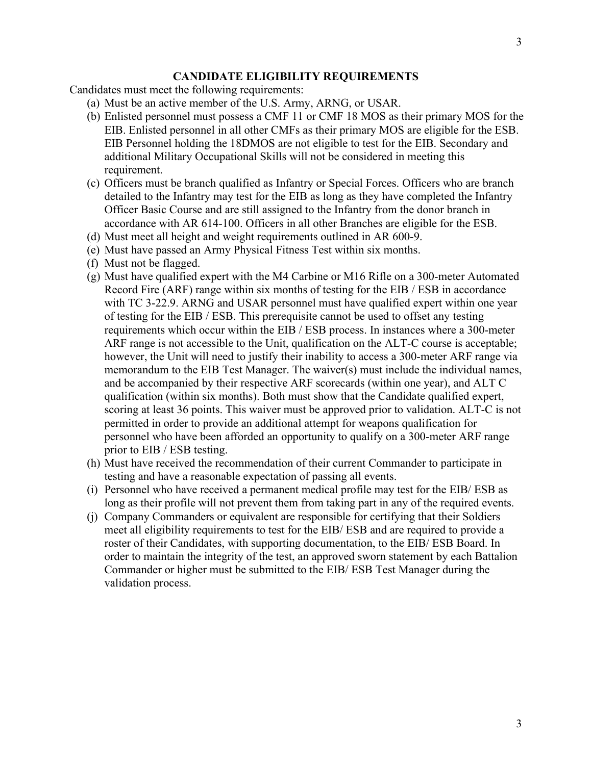# **CANDIDATE ELIGIBILITY REQUIREMENTS**

Candidates must meet the following requirements:

- (a) Must be an active member of the U.S. Army, ARNG, or USAR.
- (b) Enlisted personnel must possess a CMF 11 or CMF 18 MOS as their primary MOS for the EIB. Enlisted personnel in all other CMFs as their primary MOS are eligible for the ESB. EIB Personnel holding the 18DMOS are not eligible to test for the EIB. Secondary and additional Military Occupational Skills will not be considered in meeting this requirement.
- (c) Officers must be branch qualified as Infantry or Special Forces. Officers who are branch detailed to the Infantry may test for the EIB as long as they have completed the Infantry Officer Basic Course and are still assigned to the Infantry from the donor branch in accordance with AR 614-100. Officers in all other Branches are eligible for the ESB.
- (d) Must meet all height and weight requirements outlined in AR 600-9.
- (e) Must have passed an Army Physical Fitness Test within six months.
- (f) Must not be flagged.
- (g) Must have qualified expert with the M4 Carbine or M16 Rifle on a 300-meter Automated Record Fire (ARF) range within six months of testing for the EIB / ESB in accordance with TC 3-22.9. ARNG and USAR personnel must have qualified expert within one year of testing for the EIB / ESB. This prerequisite cannot be used to offset any testing requirements which occur within the EIB / ESB process. In instances where a 300-meter ARF range is not accessible to the Unit, qualification on the ALT-C course is acceptable; however, the Unit will need to justify their inability to access a 300-meter ARF range via memorandum to the EIB Test Manager. The waiver(s) must include the individual names, and be accompanied by their respective ARF scorecards (within one year), and ALT C qualification (within six months). Both must show that the Candidate qualified expert, scoring at least 36 points. This waiver must be approved prior to validation. ALT-C is not permitted in order to provide an additional attempt for weapons qualification for personnel who have been afforded an opportunity to qualify on a 300-meter ARF range prior to EIB / ESB testing.
- (h) Must have received the recommendation of their current Commander to participate in testing and have a reasonable expectation of passing all events.
- (i) Personnel who have received a permanent medical profile may test for the EIB/ ESB as long as their profile will not prevent them from taking part in any of the required events.
- (j) Company Commanders or equivalent are responsible for certifying that their Soldiers meet all eligibility requirements to test for the EIB/ ESB and are required to provide a roster of their Candidates, with supporting documentation, to the EIB/ ESB Board. In order to maintain the integrity of the test, an approved sworn statement by each Battalion Commander or higher must be submitted to the EIB/ ESB Test Manager during the validation process.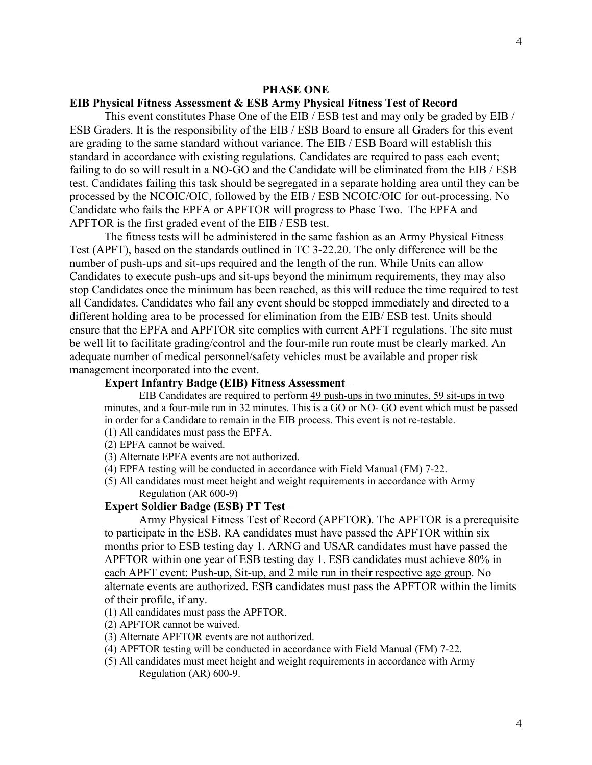#### **PHASE ONE**

#### <span id="page-3-1"></span><span id="page-3-0"></span>**EIB Physical Fitness Assessment & ESB Army Physical Fitness Test of Record**

This event constitutes Phase One of the EIB / ESB test and may only be graded by EIB / ESB Graders. It is the responsibility of the EIB / ESB Board to ensure all Graders for this event are grading to the same standard without variance. The EIB / ESB Board will establish this standard in accordance with existing regulations. Candidates are required to pass each event; failing to do so will result in a NO-GO and the Candidate will be eliminated from the EIB / ESB test. Candidates failing this task should be segregated in a separate holding area until they can be processed by the NCOIC/OIC, followed by the EIB / ESB NCOIC/OIC for out-processing. No Candidate who fails the EPFA or APFTOR will progress to Phase Two. The EPFA and APFTOR is the first graded event of the EIB / ESB test.

The fitness tests will be administered in the same fashion as an Army Physical Fitness Test (APFT), based on the standards outlined in TC 3-22.20. The only difference will be the number of push-ups and sit-ups required and the length of the run. While Units can allow Candidates to execute push-ups and sit-ups beyond the minimum requirements, they may also stop Candidates once the minimum has been reached, as this will reduce the time required to test all Candidates. Candidates who fail any event should be stopped immediately and directed to a different holding area to be processed for elimination from the EIB/ ESB test. Units should ensure that the EPFA and APFTOR site complies with current APFT regulations. The site must be well lit to facilitate grading/control and the four-mile run route must be clearly marked. An adequate number of medical personnel/safety vehicles must be available and proper risk management incorporated into the event.

### <span id="page-3-2"></span>**Expert Infantry Badge (EIB) Fitness Assessment** –

EIB Candidates are required to perform 49 push-ups in two minutes, 59 sit-ups in two minutes, and a four-mile run in 32 minutes. This is a GO or NO- GO event which must be passed in order for a Candidate to remain in the EIB process. This event is not re-testable. (1) All candidates must pass the EPFA.

(2) EPFA cannot be waived.

- (3) Alternate EPFA events are not authorized.
- (4) EPFA testing will be conducted in accordance with Field Manual (FM) 7-22.

(5) All candidates must meet height and weight requirements in accordance with Army Regulation (AR 600-9)

#### <span id="page-3-3"></span>**Expert Soldier Badge (ESB) PT Test** –

Army Physical Fitness Test of Record (APFTOR). The APFTOR is a prerequisite to participate in the ESB. RA candidates must have passed the APFTOR within six months prior to ESB testing day 1. ARNG and USAR candidates must have passed the APFTOR within one year of ESB testing day 1. ESB candidates must achieve 80% in each APFT event: Push-up, Sit-up, and 2 mile run in their respective age group. No alternate events are authorized. ESB candidates must pass the APFTOR within the limits of their profile, if any.

(1) All candidates must pass the APFTOR.

- (2) APFTOR cannot be waived.
- (3) Alternate APFTOR events are not authorized.
- (4) APFTOR testing will be conducted in accordance with Field Manual (FM) 7-22.
- (5) All candidates must meet height and weight requirements in accordance with Army Regulation (AR) 600-9.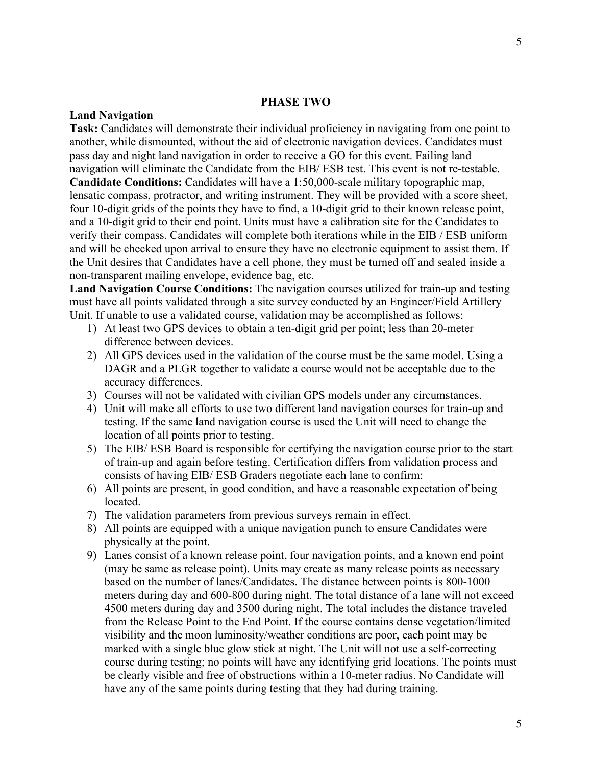#### **PHASE TWO**

#### <span id="page-4-1"></span><span id="page-4-0"></span>**Land Navigation**

**Task:** Candidates will demonstrate their individual proficiency in navigating from one point to another, while dismounted, without the aid of electronic navigation devices. Candidates must pass day and night land navigation in order to receive a GO for this event. Failing land navigation will eliminate the Candidate from the EIB/ ESB test. This event is not re-testable. **Candidate Conditions:** Candidates will have a 1:50,000-scale military topographic map, lensatic compass, protractor, and writing instrument. They will be provided with a score sheet, four 10-digit grids of the points they have to find, a 10-digit grid to their known release point, and a 10-digit grid to their end point. Units must have a calibration site for the Candidates to verify their compass. Candidates will complete both iterations while in the EIB / ESB uniform and will be checked upon arrival to ensure they have no electronic equipment to assist them. If the Unit desires that Candidates have a cell phone, they must be turned off and sealed inside a non-transparent mailing envelope, evidence bag, etc.

**Land Navigation Course Conditions:** The navigation courses utilized for train-up and testing must have all points validated through a site survey conducted by an Engineer/Field Artillery Unit. If unable to use a validated course, validation may be accomplished as follows:

- 1) At least two GPS devices to obtain a ten-digit grid per point; less than 20-meter difference between devices.
- 2) All GPS devices used in the validation of the course must be the same model. Using a DAGR and a PLGR together to validate a course would not be acceptable due to the accuracy differences.
- 3) Courses will not be validated with civilian GPS models under any circumstances.
- 4) Unit will make all efforts to use two different land navigation courses for train-up and testing. If the same land navigation course is used the Unit will need to change the location of all points prior to testing.
- 5) The EIB/ ESB Board is responsible for certifying the navigation course prior to the start of train-up and again before testing. Certification differs from validation process and consists of having EIB/ ESB Graders negotiate each lane to confirm:
- 6) All points are present, in good condition, and have a reasonable expectation of being located.
- 7) The validation parameters from previous surveys remain in effect.
- 8) All points are equipped with a unique navigation punch to ensure Candidates were physically at the point.
- 9) Lanes consist of a known release point, four navigation points, and a known end point (may be same as release point). Units may create as many release points as necessary based on the number of lanes/Candidates. The distance between points is 800-1000 meters during day and 600-800 during night. The total distance of a lane will not exceed 4500 meters during day and 3500 during night. The total includes the distance traveled from the Release Point to the End Point. If the course contains dense vegetation/limited visibility and the moon luminosity/weather conditions are poor, each point may be marked with a single blue glow stick at night. The Unit will not use a self-correcting course during testing; no points will have any identifying grid locations. The points must be clearly visible and free of obstructions within a 10-meter radius. No Candidate will have any of the same points during testing that they had during training.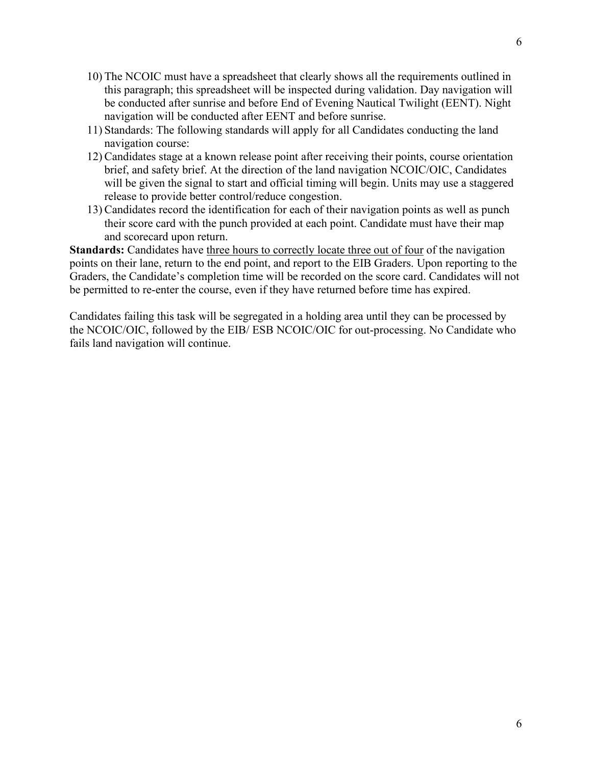- 10) The NCOIC must have a spreadsheet that clearly shows all the requirements outlined in this paragraph; this spreadsheet will be inspected during validation. Day navigation will be conducted after sunrise and before End of Evening Nautical Twilight (EENT). Night navigation will be conducted after EENT and before sunrise.
- 11) Standards: The following standards will apply for all Candidates conducting the land navigation course:
- 12) Candidates stage at a known release point after receiving their points, course orientation brief, and safety brief. At the direction of the land navigation NCOIC/OIC, Candidates will be given the signal to start and official timing will begin. Units may use a staggered release to provide better control/reduce congestion.
- 13) Candidates record the identification for each of their navigation points as well as punch their score card with the punch provided at each point. Candidate must have their map and scorecard upon return.

**Standards:** Candidates have three hours to correctly locate three out of four of the navigation points on their lane, return to the end point, and report to the EIB Graders. Upon reporting to the Graders, the Candidate's completion time will be recorded on the score card. Candidates will not be permitted to re-enter the course, even if they have returned before time has expired.

Candidates failing this task will be segregated in a holding area until they can be processed by the NCOIC/OIC, followed by the EIB/ ESB NCOIC/OIC for out-processing. No Candidate who fails land navigation will continue.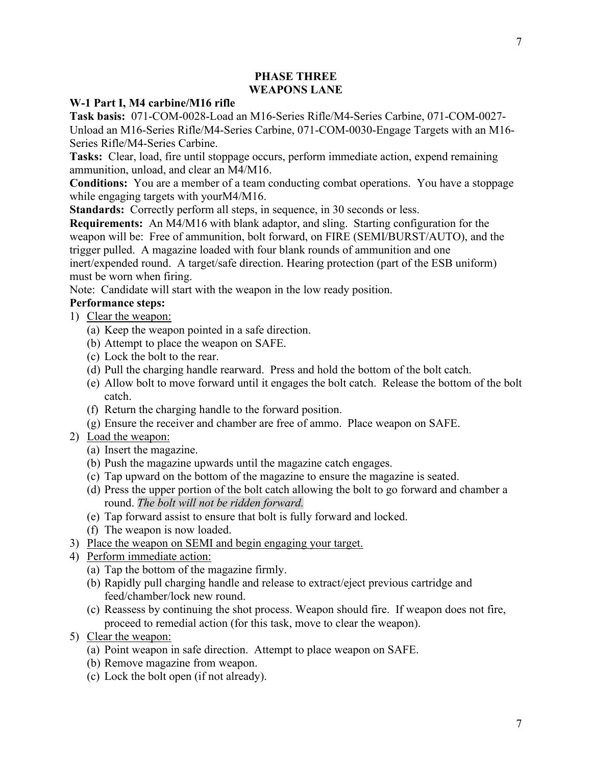# **PHASE THREE WEAPONS LANE**

## <span id="page-6-2"></span><span id="page-6-1"></span><span id="page-6-0"></span>**W-1 Part I, M4 carbine/M16 rifle**

**Task basis:** 071-COM-0028-Load an M16-Series Rifle/M4-Series Carbine, 071-COM-0027- Unload an M16-Series Rifle/M4-Series Carbine, 071-COM-0030-Engage Targets with an M16- Series Rifle/M4-Series Carbine.

**Tasks:** Clear, load, fire until stoppage occurs, perform immediate action, expend remaining ammunition, unload, and clear an M4/M16.

**Conditions:** You are a member of a team conducting combat operations. You have a stoppage while engaging targets with yourM4/M16.

**Standards:** Correctly perform all steps, in sequence, in 30 seconds or less.

**Requirements:** An M4/M16 with blank adaptor, and sling. Starting configuration for the weapon will be: Free of ammunition, bolt forward, on FIRE (SEMI/BURST/AUTO), and the trigger pulled. A magazine loaded with four blank rounds of ammunition and one inert/expended round. A target/safe direction. Hearing protection (part of the ESB uniform) must be worn when firing.

Note: Candidate will start with the weapon in the low ready position.

# **Performance steps:**

- 1) Clear the weapon:
	- (a) Keep the weapon pointed in a safe direction.
	- (b) Attempt to place the weapon on SAFE.
	- (c) Lock the bolt to the rear.
	- (d) Pull the charging handle rearward. Press and hold the bottom of the bolt catch.
	- (e) Allow bolt to move forward until it engages the bolt catch. Release the bottom of the bolt catch.
	- (f) Return the charging handle to the forward position.
	- (g) Ensure the receiver and chamber are free of ammo. Place weapon on SAFE.
- 2) Load the weapon:
	- (a) Insert the magazine.
	- (b) Push the magazine upwards until the magazine catch engages.
	- (c) Tap upward on the bottom of the magazine to ensure the magazine is seated.
	- (d) Press the upper portion of the bolt catch allowing the bolt to go forward and chamber a round. *The bolt will not be ridden forward.*
	- (e) Tap forward assist to ensure that bolt is fully forward and locked.
	- (f) The weapon is now loaded.
- 3) Place the weapon on SEMI and begin engaging your target.
- 4) Perform immediate action:
	- (a) Tap the bottom of the magazine firmly.
	- (b) Rapidly pull charging handle and release to extract/eject previous cartridge and feed/chamber/lock new round.
	- (c) Reassess by continuing the shot process. Weapon should fire. If weapon does not fire, proceed to remedial action (for this task, move to clear the weapon).
- 5) Clear the weapon:
	- (a) Point weapon in safe direction. Attempt to place weapon on SAFE.
	- (b) Remove magazine from weapon.
	- (c) Lock the bolt open (if not already).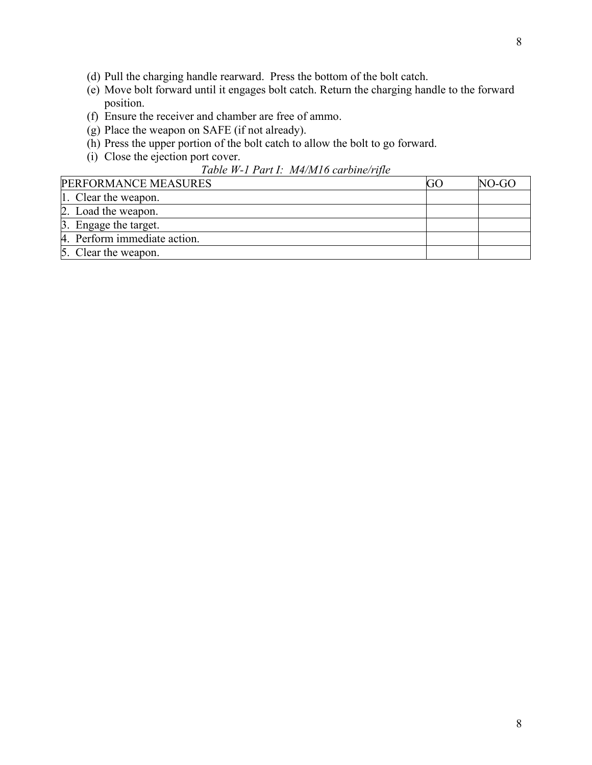- (d) Pull the charging handle rearward. Press the bottom of the bolt catch.
- (e) Move bolt forward until it engages bolt catch. Return the charging handle to the forward position.
- (f) Ensure the receiver and chamber are free of ammo.
- (g) Place the weapon on SAFE (if not already).
- (h) Press the upper portion of the bolt catch to allow the bolt to go forward.
- (i) Close the ejection port cover.

## *Table W-1 Part I: M4/M16 carbine/rifle*

| <b>PERFORMANCE MEASURES</b>  | GC | NO-GO |
|------------------------------|----|-------|
| 1. Clear the weapon.         |    |       |
| 2. Load the weapon.          |    |       |
| 3. Engage the target.        |    |       |
| 4. Perform immediate action. |    |       |
| 5. Clear the weapon.         |    |       |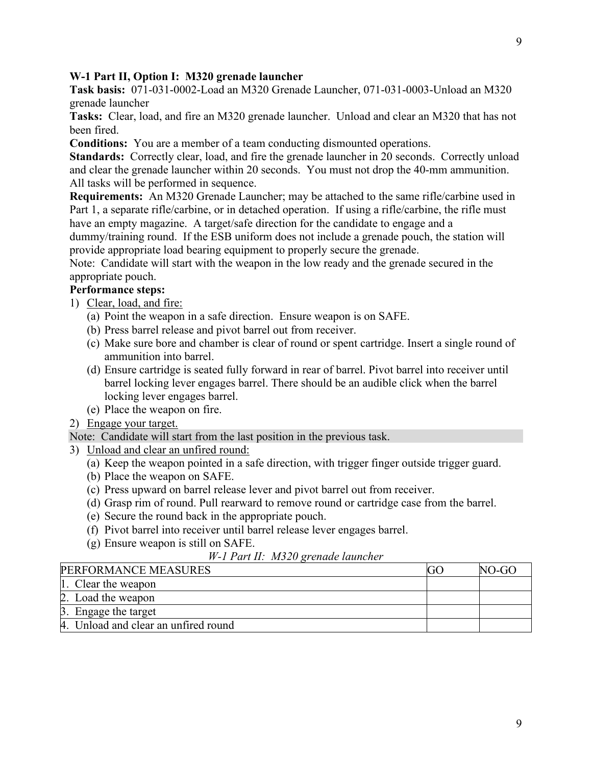9

# <span id="page-8-0"></span>**W-1 Part II, Option I: M320 grenade launcher**

**Task basis:** 071-031-0002-Load an M320 Grenade Launcher, 071-031-0003-Unload an M320 grenade launcher

**Tasks:** Clear, load, and fire an M320 grenade launcher. Unload and clear an M320 that has not been fired.

**Conditions:** You are a member of a team conducting dismounted operations.

**Standards:** Correctly clear, load, and fire the grenade launcher in 20 seconds. Correctly unload and clear the grenade launcher within 20 seconds. You must not drop the 40-mm ammunition. All tasks will be performed in sequence.

**Requirements:** An M320 Grenade Launcher; may be attached to the same rifle/carbine used in Part 1, a separate rifle/carbine, or in detached operation. If using a rifle/carbine, the rifle must have an empty magazine. A target/safe direction for the candidate to engage and a

dummy/training round. If the ESB uniform does not include a grenade pouch, the station will provide appropriate load bearing equipment to properly secure the grenade.

Note: Candidate will start with the weapon in the low ready and the grenade secured in the appropriate pouch.

# **Performance steps:**

- 1) Clear, load, and fire:
	- (a) Point the weapon in a safe direction. Ensure weapon is on SAFE.
	- (b) Press barrel release and pivot barrel out from receiver.
	- (c) Make sure bore and chamber is clear of round or spent cartridge. Insert a single round of ammunition into barrel.
	- (d) Ensure cartridge is seated fully forward in rear of barrel. Pivot barrel into receiver until barrel locking lever engages barrel. There should be an audible click when the barrel locking lever engages barrel.
	- (e) Place the weapon on fire.
- 2) Engage your target.

Note: Candidate will start from the last position in the previous task.

- 3) Unload and clear an unfired round:
	- (a) Keep the weapon pointed in a safe direction, with trigger finger outside trigger guard.
	- (b) Place the weapon on SAFE.
	- (c) Press upward on barrel release lever and pivot barrel out from receiver.
	- (d) Grasp rim of round. Pull rearward to remove round or cartridge case from the barrel.
	- (e) Secure the round back in the appropriate pouch.
	- (f) Pivot barrel into receiver until barrel release lever engages barrel.
	- (g) Ensure weapon is still on SAFE.

# *W-1 Part II: M320 grenade launcher*

| PERFORMANCE MEASURES                 | NO-GO |
|--------------------------------------|-------|
| 1. Clear the weapon                  |       |
| 2. Load the weapon                   |       |
| 3. Engage the target                 |       |
| 4. Unload and clear an unfired round |       |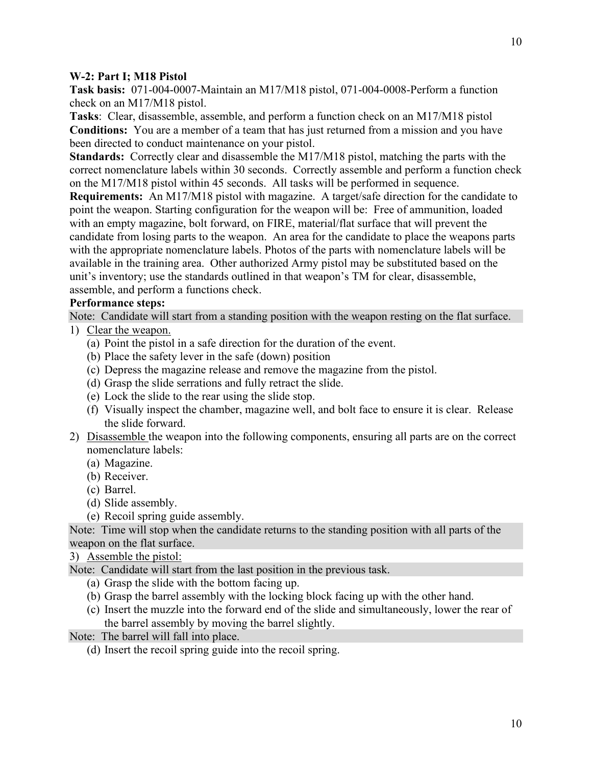### <span id="page-9-0"></span>**W-2: Part I; M18 Pistol**

**Task basis:** 071-004-0007-Maintain an M17/M18 pistol, 071-004-0008-Perform a function check on an M17/M18 pistol.

**Tasks**: Clear, disassemble, assemble, and perform a function check on an M17/M18 pistol **Conditions:** You are a member of a team that has just returned from a mission and you have been directed to conduct maintenance on your pistol.

**Standards:** Correctly clear and disassemble the M17/M18 pistol, matching the parts with the correct nomenclature labels within 30 seconds. Correctly assemble and perform a function check on the M17/M18 pistol within 45 seconds. All tasks will be performed in sequence.

**Requirements:** An M17/M18 pistol with magazine. A target/safe direction for the candidate to point the weapon. Starting configuration for the weapon will be: Free of ammunition, loaded with an empty magazine, bolt forward, on FIRE, material/flat surface that will prevent the candidate from losing parts to the weapon. An area for the candidate to place the weapons parts with the appropriate nomenclature labels. Photos of the parts with nomenclature labels will be available in the training area. Other authorized Army pistol may be substituted based on the unit's inventory; use the standards outlined in that weapon's TM for clear, disassemble, assemble, and perform a functions check.

# **Performance steps:**

Note: Candidate will start from a standing position with the weapon resting on the flat surface. 1) Clear the weapon.

- (a) Point the pistol in a safe direction for the duration of the event.
- (b) Place the safety lever in the safe (down) position
- (c) Depress the magazine release and remove the magazine from the pistol.
- (d) Grasp the slide serrations and fully retract the slide.
- (e) Lock the slide to the rear using the slide stop.
- (f) Visually inspect the chamber, magazine well, and bolt face to ensure it is clear. Release the slide forward.
- 2) Disassemble the weapon into the following components, ensuring all parts are on the correct nomenclature labels:
	- (a) Magazine.
	- (b) Receiver.
	- (c) Barrel.
	- (d) Slide assembly.
	- (e) Recoil spring guide assembly.

Note: Time will stop when the candidate returns to the standing position with all parts of the weapon on the flat surface.

3) Assemble the pistol:

Note: Candidate will start from the last position in the previous task.

- (a) Grasp the slide with the bottom facing up.
- (b) Grasp the barrel assembly with the locking block facing up with the other hand.
- (c) Insert the muzzle into the forward end of the slide and simultaneously, lower the rear of the barrel assembly by moving the barrel slightly.

Note: The barrel will fall into place.

(d) Insert the recoil spring guide into the recoil spring.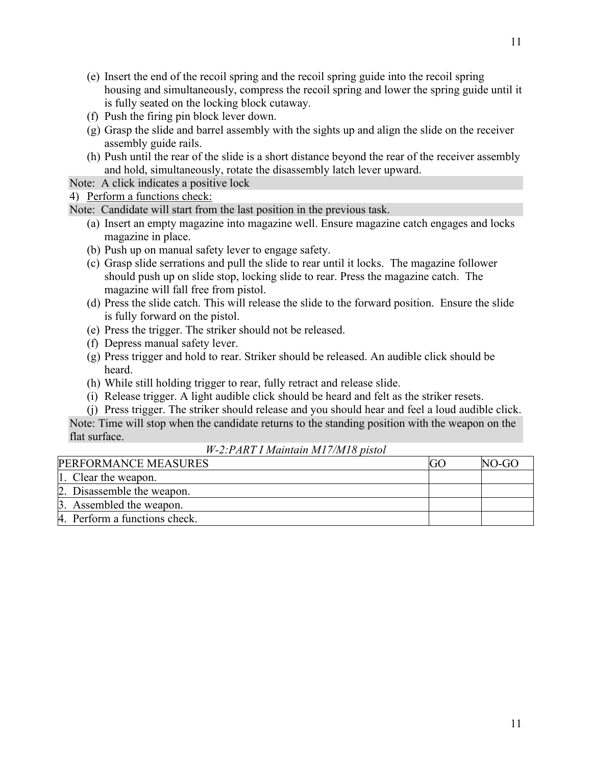- (e) Insert the end of the recoil spring and the recoil spring guide into the recoil spring housing and simultaneously, compress the recoil spring and lower the spring guide until it is fully seated on the locking block cutaway.
- (f) Push the firing pin block lever down.
- (g) Grasp the slide and barrel assembly with the sights up and align the slide on the receiver assembly guide rails.
- (h) Push until the rear of the slide is a short distance beyond the rear of the receiver assembly and hold, simultaneously, rotate the disassembly latch lever upward.

Note: A click indicates a positive lock

# 4) Perform a functions check:

Note: Candidate will start from the last position in the previous task.

- (a) Insert an empty magazine into magazine well. Ensure magazine catch engages and locks magazine in place.
- (b) Push up on manual safety lever to engage safety.
- (c) Grasp slide serrations and pull the slide to rear until it locks. The magazine follower should push up on slide stop, locking slide to rear. Press the magazine catch. The magazine will fall free from pistol.
- (d) Press the slide catch. This will release the slide to the forward position. Ensure the slide is fully forward on the pistol.
- (e) Press the trigger. The striker should not be released.
- (f) Depress manual safety lever.
- (g) Press trigger and hold to rear. Striker should be released. An audible click should be heard.
- (h) While still holding trigger to rear, fully retract and release slide.
- (i) Release trigger. A light audible click should be heard and felt as the striker resets.
- (j) Press trigger. The striker should release and you should hear and feel a loud audible click.

Note: Time will stop when the candidate returns to the standing position with the weapon on the flat surface.

*W-2:PART I Maintain M17/M18 pistol*

| <b>PERFORMANCE MEASURES</b>   |  | NO-GO |
|-------------------------------|--|-------|
| 1. Clear the weapon.          |  |       |
| 2. Disassemble the weapon.    |  |       |
| 3. Assembled the weapon.      |  |       |
| 4. Perform a functions check. |  |       |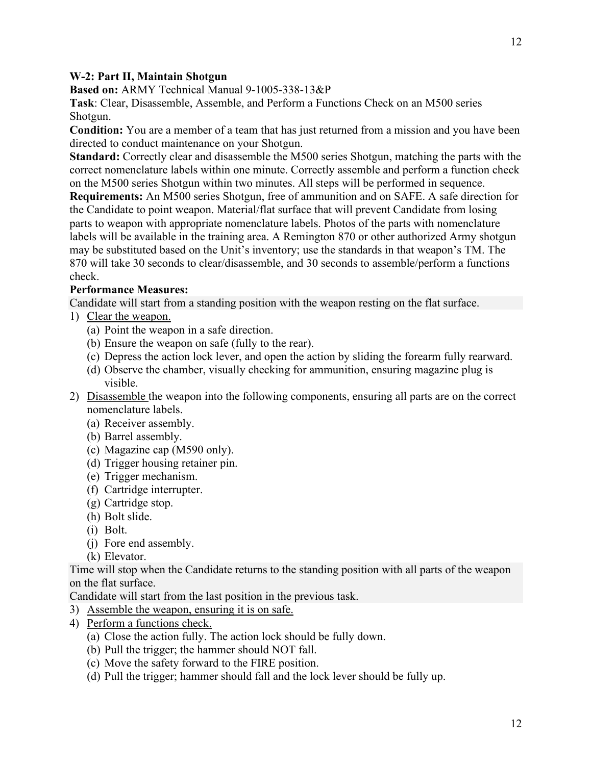## <span id="page-11-0"></span>**W-2: Part II, Maintain Shotgun**

**Based on:** ARMY Technical Manual 9-1005-338-13&P

**Task**: Clear, Disassemble, Assemble, and Perform a Functions Check on an M500 series Shotgun.

**Condition:** You are a member of a team that has just returned from a mission and you have been directed to conduct maintenance on your Shotgun.

**Standard:** Correctly clear and disassemble the M500 series Shotgun, matching the parts with the correct nomenclature labels within one minute. Correctly assemble and perform a function check on the M500 series Shotgun within two minutes. All steps will be performed in sequence.

**Requirements:** An M500 series Shotgun, free of ammunition and on SAFE. A safe direction for the Candidate to point weapon. Material/flat surface that will prevent Candidate from losing parts to weapon with appropriate nomenclature labels. Photos of the parts with nomenclature labels will be available in the training area. A Remington 870 or other authorized Army shotgun may be substituted based on the Unit's inventory; use the standards in that weapon's TM. The 870 will take 30 seconds to clear/disassemble, and 30 seconds to assemble/perform a functions check.

## **Performance Measures:**

Candidate will start from a standing position with the weapon resting on the flat surface.

- 1) Clear the weapon.
	- (a) Point the weapon in a safe direction.
	- (b) Ensure the weapon on safe (fully to the rear).
	- (c) Depress the action lock lever, and open the action by sliding the forearm fully rearward.
	- (d) Observe the chamber, visually checking for ammunition, ensuring magazine plug is visible.
- 2) Disassemble the weapon into the following components, ensuring all parts are on the correct nomenclature labels.
	- (a) Receiver assembly.
	- (b) Barrel assembly.
	- (c) Magazine cap (M590 only).
	- (d) Trigger housing retainer pin.
	- (e) Trigger mechanism.
	- (f) Cartridge interrupter.
	- (g) Cartridge stop.
	- (h) Bolt slide.
	- (i) Bolt.
	- (j) Fore end assembly.
	- (k) Elevator.

Time will stop when the Candidate returns to the standing position with all parts of the weapon on the flat surface.

Candidate will start from the last position in the previous task.

- 3) Assemble the weapon, ensuring it is on safe.
- 4) Perform a functions check.
	- (a) Close the action fully. The action lock should be fully down.
	- (b) Pull the trigger; the hammer should NOT fall.
	- (c) Move the safety forward to the FIRE position.
	- (d) Pull the trigger; hammer should fall and the lock lever should be fully up.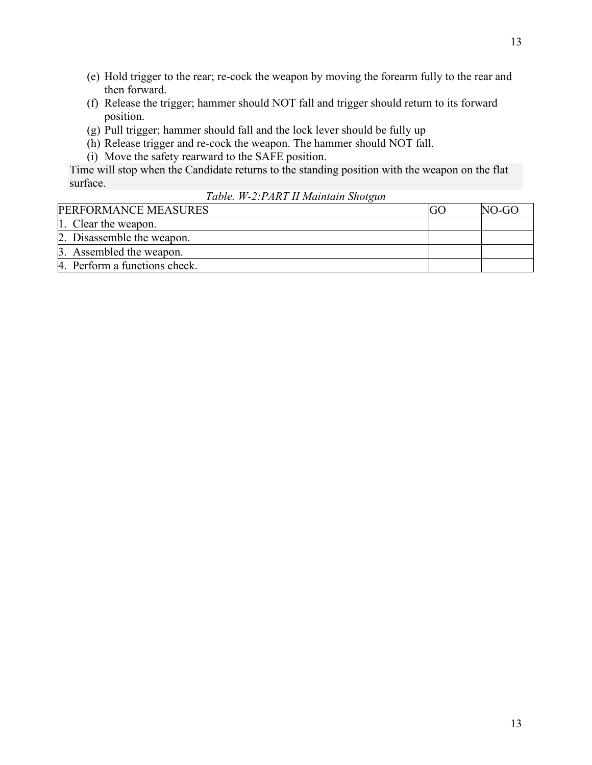- (e) Hold trigger to the rear; re-cock the weapon by moving the forearm fully to the rear and then forward.
- (f) Release the trigger; hammer should NOT fall and trigger should return to its forward position.
- (g) Pull trigger; hammer should fall and the lock lever should be fully up
- (h) Release trigger and re-cock the weapon. The hammer should NOT fall.
- (i) Move the safety rearward to the SAFE position.

Time will stop when the Candidate returns to the standing position with the weapon on the flat surface.

*Table. W-2:PART II Maintain Shotgun*

| <b>PERFORMANCE MEASURES</b>   | $NO-GO$ |
|-------------------------------|---------|
| 1. Clear the weapon.          |         |
| 2. Disassemble the weapon.    |         |
| 3. Assembled the weapon.      |         |
| 4. Perform a functions check. |         |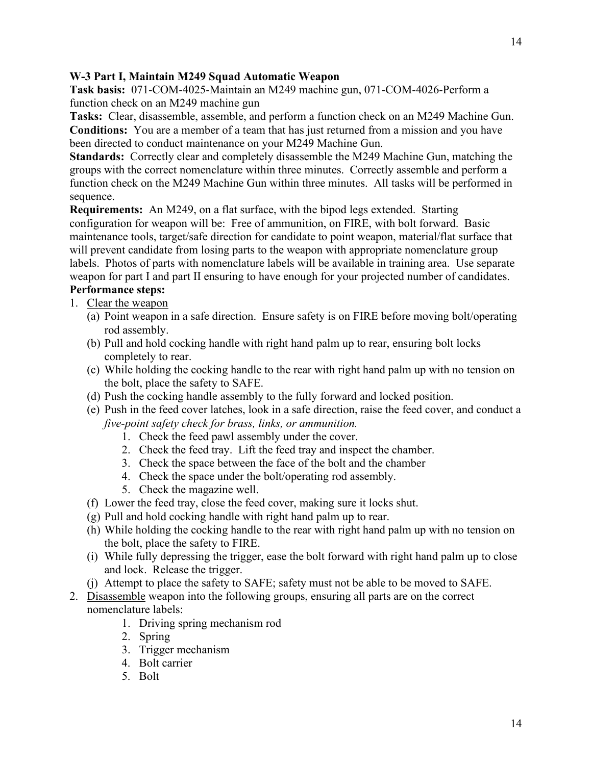# <span id="page-13-0"></span>**W-3 Part I, Maintain M249 Squad Automatic Weapon**

**Task basis:** 071-COM-4025-Maintain an M249 machine gun, 071-COM-4026-Perform a function check on an M249 machine gun

**Tasks:** Clear, disassemble, assemble, and perform a function check on an M249 Machine Gun. **Conditions:** You are a member of a team that has just returned from a mission and you have been directed to conduct maintenance on your M249 Machine Gun.

**Standards:** Correctly clear and completely disassemble the M249 Machine Gun, matching the groups with the correct nomenclature within three minutes. Correctly assemble and perform a function check on the M249 Machine Gun within three minutes. All tasks will be performed in sequence.

**Requirements:** An M249, on a flat surface, with the bipod legs extended. Starting configuration for weapon will be: Free of ammunition, on FIRE, with bolt forward. Basic maintenance tools, target/safe direction for candidate to point weapon, material/flat surface that will prevent candidate from losing parts to the weapon with appropriate nomenclature group labels. Photos of parts with nomenclature labels will be available in training area. Use separate weapon for part I and part II ensuring to have enough for your projected number of candidates. **Performance steps:**

# 1. Clear the weapon

- (a) Point weapon in a safe direction. Ensure safety is on FIRE before moving bolt/operating rod assembly.
- (b) Pull and hold cocking handle with right hand palm up to rear, ensuring bolt locks completely to rear.
- (c) While holding the cocking handle to the rear with right hand palm up with no tension on the bolt, place the safety to SAFE.
- (d) Push the cocking handle assembly to the fully forward and locked position.
- (e) Push in the feed cover latches, look in a safe direction, raise the feed cover, and conduct a *five-point safety check for brass, links, or ammunition.*
	- 1. Check the feed pawl assembly under the cover.
	- 2. Check the feed tray. Lift the feed tray and inspect the chamber.
	- 3. Check the space between the face of the bolt and the chamber
	- 4. Check the space under the bolt/operating rod assembly.
	- 5. Check the magazine well.
- (f) Lower the feed tray, close the feed cover, making sure it locks shut.
- (g) Pull and hold cocking handle with right hand palm up to rear.
- (h) While holding the cocking handle to the rear with right hand palm up with no tension on the bolt, place the safety to FIRE.
- (i) While fully depressing the trigger, ease the bolt forward with right hand palm up to close and lock. Release the trigger.
- (j) Attempt to place the safety to SAFE; safety must not be able to be moved to SAFE.
- 2. Disassemble weapon into the following groups, ensuring all parts are on the correct nomenclature labels:
	- 1. Driving spring mechanism rod
	- 2. Spring
	- 3. Trigger mechanism
	- 4. Bolt carrier
	- 5. Bolt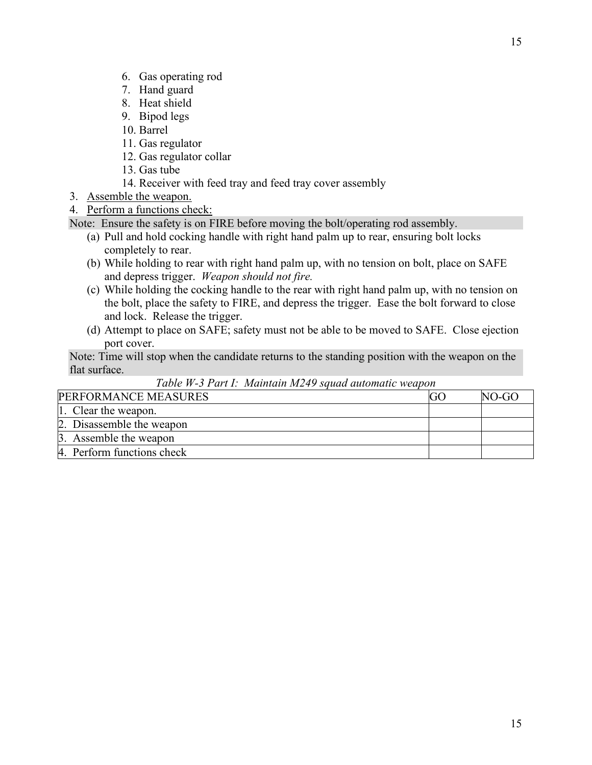- 6. Gas operating rod
- 7. Hand guard
- 8. Heat shield
- 9. Bipod legs
- 10. Barrel
- 11. Gas regulator
- 12. Gas regulator collar
- 13. Gas tube
- 14. Receiver with feed tray and feed tray cover assembly
- 3. Assemble the weapon.

# 4. Perform a functions check:

Note: Ensure the safety is on FIRE before moving the bolt/operating rod assembly.

- (a) Pull and hold cocking handle with right hand palm up to rear, ensuring bolt locks completely to rear.
- (b) While holding to rear with right hand palm up, with no tension on bolt, place on SAFE and depress trigger. *Weapon should not fire.*
- (c) While holding the cocking handle to the rear with right hand palm up, with no tension on the bolt, place the safety to FIRE, and depress the trigger. Ease the bolt forward to close and lock. Release the trigger.
- (d) Attempt to place on SAFE; safety must not be able to be moved to SAFE. Close ejection port cover.

Note: Time will stop when the candidate returns to the standing position with the weapon on the flat surface.

| PERFORMANCE MEASURES       | NO-GO |
|----------------------------|-------|
| 1. Clear the weapon.       |       |
| 2. Disassemble the weapon  |       |
| 3. Assemble the weapon     |       |
| 4. Perform functions check |       |

# *Table W-3 Part I: Maintain M249 squad automatic weapon*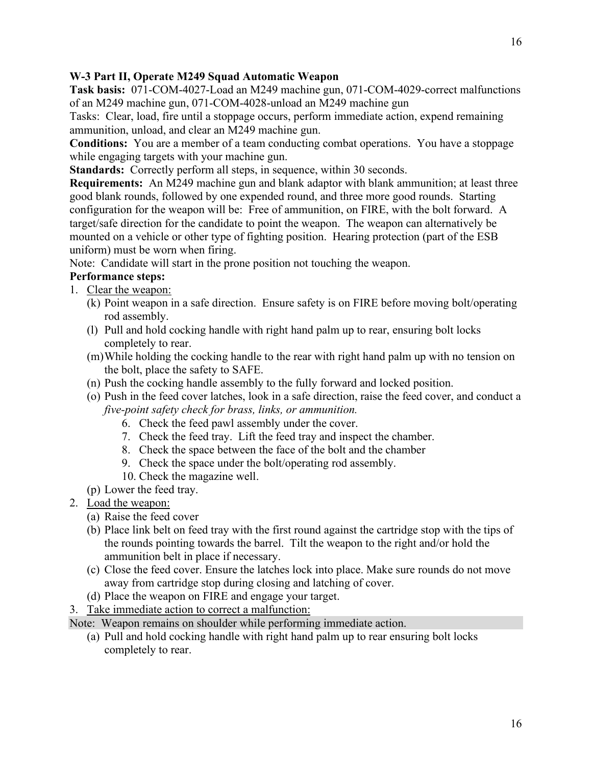# <span id="page-15-0"></span>**W-3 Part II, Operate M249 Squad Automatic Weapon**

**Task basis:** 071-COM-4027-Load an M249 machine gun, 071-COM-4029-correct malfunctions of an M249 machine gun, 071-COM-4028-unload an M249 machine gun

Tasks: Clear, load, fire until a stoppage occurs, perform immediate action, expend remaining ammunition, unload, and clear an M249 machine gun.

**Conditions:** You are a member of a team conducting combat operations. You have a stoppage while engaging targets with your machine gun.

**Standards:** Correctly perform all steps, in sequence, within 30 seconds.

**Requirements:** An M249 machine gun and blank adaptor with blank ammunition; at least three good blank rounds, followed by one expended round, and three more good rounds. Starting configuration for the weapon will be: Free of ammunition, on FIRE, with the bolt forward. A target/safe direction for the candidate to point the weapon. The weapon can alternatively be mounted on a vehicle or other type of fighting position. Hearing protection (part of the ESB uniform) must be worn when firing.

Note: Candidate will start in the prone position not touching the weapon.

# **Performance steps:**

- 1. Clear the weapon:
	- (k) Point weapon in a safe direction. Ensure safety is on FIRE before moving bolt/operating rod assembly.
	- (l) Pull and hold cocking handle with right hand palm up to rear, ensuring bolt locks completely to rear.
	- (m)While holding the cocking handle to the rear with right hand palm up with no tension on the bolt, place the safety to SAFE.
	- (n) Push the cocking handle assembly to the fully forward and locked position.
	- (o) Push in the feed cover latches, look in a safe direction, raise the feed cover, and conduct a *five-point safety check for brass, links, or ammunition.*
		- 6. Check the feed pawl assembly under the cover.
		- 7. Check the feed tray. Lift the feed tray and inspect the chamber.
		- 8. Check the space between the face of the bolt and the chamber
		- 9. Check the space under the bolt/operating rod assembly.
		- 10. Check the magazine well.
	- (p) Lower the feed tray.
- 2. Load the weapon:
	- (a) Raise the feed cover
	- (b) Place link belt on feed tray with the first round against the cartridge stop with the tips of the rounds pointing towards the barrel. Tilt the weapon to the right and/or hold the ammunition belt in place if necessary.
	- (c) Close the feed cover. Ensure the latches lock into place. Make sure rounds do not move away from cartridge stop during closing and latching of cover.
	- (d) Place the weapon on FIRE and engage your target.
- 3. Take immediate action to correct a malfunction:

Note: Weapon remains on shoulder while performing immediate action.

(a) Pull and hold cocking handle with right hand palm up to rear ensuring bolt locks completely to rear.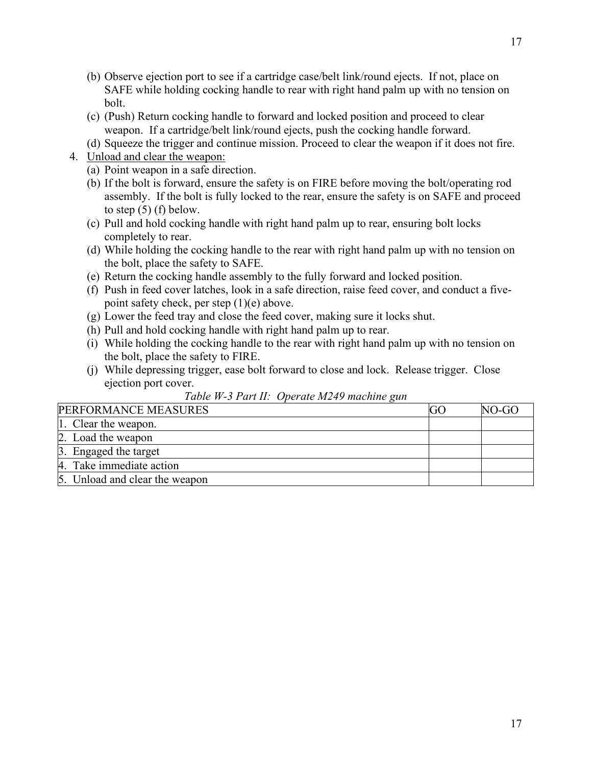- (b) Observe ejection port to see if a cartridge case/belt link/round ejects. If not, place on SAFE while holding cocking handle to rear with right hand palm up with no tension on bolt.
- (c) (Push) Return cocking handle to forward and locked position and proceed to clear weapon. If a cartridge/belt link/round ejects, push the cocking handle forward.
- (d) Squeeze the trigger and continue mission. Proceed to clear the weapon if it does not fire.
- 4. Unload and clear the weapon:
	- (a) Point weapon in a safe direction.
	- (b) If the bolt is forward, ensure the safety is on FIRE before moving the bolt/operating rod assembly. If the bolt is fully locked to the rear, ensure the safety is on SAFE and proceed to step  $(5)$  (f) below.
	- (c) Pull and hold cocking handle with right hand palm up to rear, ensuring bolt locks completely to rear.
	- (d) While holding the cocking handle to the rear with right hand palm up with no tension on the bolt, place the safety to SAFE.
	- (e) Return the cocking handle assembly to the fully forward and locked position.
	- (f) Push in feed cover latches, look in a safe direction, raise feed cover, and conduct a fivepoint safety check, per step (1)(e) above.
	- (g) Lower the feed tray and close the feed cover, making sure it locks shut.
	- (h) Pull and hold cocking handle with right hand palm up to rear.
	- (i) While holding the cocking handle to the rear with right hand palm up with no tension on the bolt, place the safety to FIRE.
	- (j) While depressing trigger, ease bolt forward to close and lock. Release trigger. Close ejection port cover.

| PERFORMANCE MEASURES           |  | NO-GO |
|--------------------------------|--|-------|
| 1. Clear the weapon.           |  |       |
| 2. Load the weapon             |  |       |
| 3. Engaged the target          |  |       |
| 4. Take immediate action       |  |       |
| 5. Unload and clear the weapon |  |       |

# *Table W-3 Part II: Operate M249 machine gun*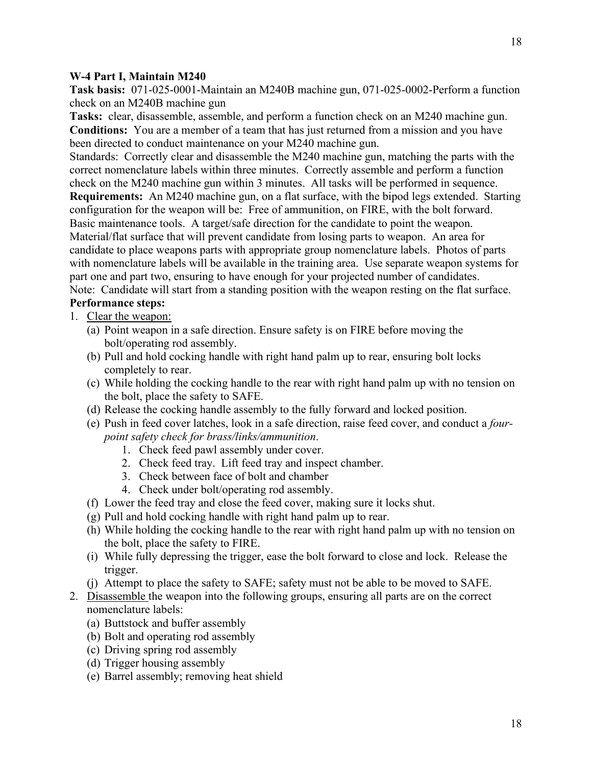### <span id="page-17-0"></span>**W-4 Part I, Maintain M240**

**Task basis:** 071-025-0001-Maintain an M240B machine gun, 071-025-0002-Perform a function check on an M240B machine gun

**Tasks:** clear, disassemble, assemble, and perform a function check on an M240 machine gun. **Conditions:** You are a member of a team that has just returned from a mission and you have been directed to conduct maintenance on your M240 machine gun.

Standards: Correctly clear and disassemble the M240 machine gun, matching the parts with the correct nomenclature labels within three minutes. Correctly assemble and perform a function check on the M240 machine gun within 3 minutes. All tasks will be performed in sequence.

**Requirements:** An M240 machine gun, on a flat surface, with the bipod legs extended. Starting configuration for the weapon will be: Free of ammunition, on FIRE, with the bolt forward. Basic maintenance tools. A target/safe direction for the candidate to point the weapon. Material/flat surface that will prevent candidate from losing parts to weapon. An area for candidate to place weapons parts with appropriate group nomenclature labels. Photos of parts with nomenclature labels will be available in the training area. Use separate weapon systems for

part one and part two, ensuring to have enough for your projected number of candidates.

Note: Candidate will start from a standing position with the weapon resting on the flat surface. **Performance steps:**

## 1. Clear the weapon:

- (a) Point weapon in a safe direction. Ensure safety is on FIRE before moving the bolt/operating rod assembly.
- (b) Pull and hold cocking handle with right hand palm up to rear, ensuring bolt locks completely to rear.
- (c) While holding the cocking handle to the rear with right hand palm up with no tension on the bolt, place the safety to SAFE.
- (d) Release the cocking handle assembly to the fully forward and locked position.
- (e) Push in feed cover latches, look in a safe direction, raise feed cover, and conduct a *fourpoint safety check for brass/links/ammunition*.
	- 1. Check feed pawl assembly under cover.
	- 2. Check feed tray. Lift feed tray and inspect chamber.
	- 3. Check between face of bolt and chamber
	- 4. Check under bolt/operating rod assembly.
- (f) Lower the feed tray and close the feed cover, making sure it locks shut.
- (g) Pull and hold cocking handle with right hand palm up to rear.
- (h) While holding the cocking handle to the rear with right hand palm up with no tension on the bolt, place the safety to FIRE.
- (i) While fully depressing the trigger, ease the bolt forward to close and lock. Release the trigger.
- (j) Attempt to place the safety to SAFE; safety must not be able to be moved to SAFE.
- 2. Disassemble the weapon into the following groups, ensuring all parts are on the correct nomenclature labels:
	- (a) Buttstock and buffer assembly
	- (b) Bolt and operating rod assembly
	- (c) Driving spring rod assembly
	- (d) Trigger housing assembly
	- (e) Barrel assembly; removing heat shield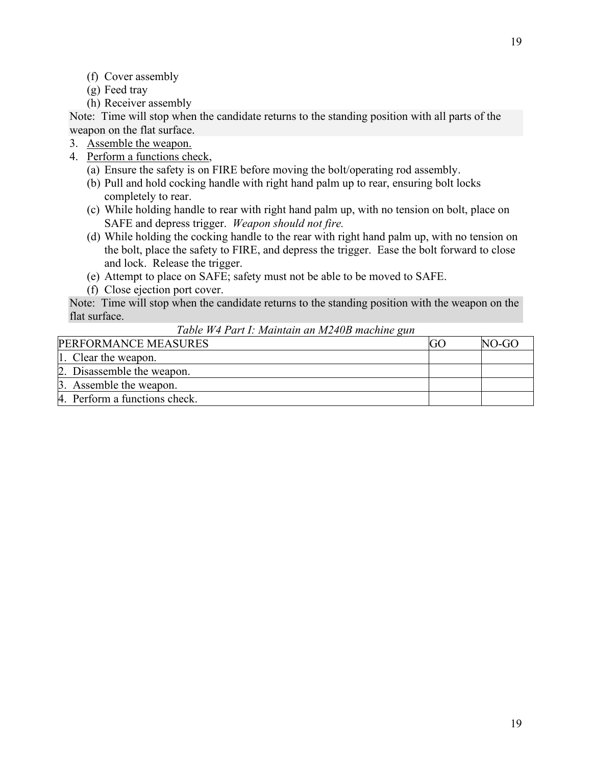- (f) Cover assembly
- (g) Feed tray
- (h) Receiver assembly

Note: Time will stop when the candidate returns to the standing position with all parts of the weapon on the flat surface.

- 3. Assemble the weapon.
- 4. Perform a functions check,
	- (a) Ensure the safety is on FIRE before moving the bolt/operating rod assembly.
	- (b) Pull and hold cocking handle with right hand palm up to rear, ensuring bolt locks completely to rear.
	- (c) While holding handle to rear with right hand palm up, with no tension on bolt, place on SAFE and depress trigger. *Weapon should not fire.*
	- (d) While holding the cocking handle to the rear with right hand palm up, with no tension on the bolt, place the safety to FIRE, and depress the trigger. Ease the bolt forward to close and lock. Release the trigger.
	- (e) Attempt to place on SAFE; safety must not be able to be moved to SAFE.
	- (f) Close ejection port cover.

Note: Time will stop when the candidate returns to the standing position with the weapon on the flat surface.

*Table W4 Part I: Maintain an M240B machine gun*

| PERFORMANCE MEASURES          | NO-GO |
|-------------------------------|-------|
| 1. Clear the weapon.          |       |
| 2. Disassemble the weapon.    |       |
| 3. Assemble the weapon.       |       |
| 4. Perform a functions check. |       |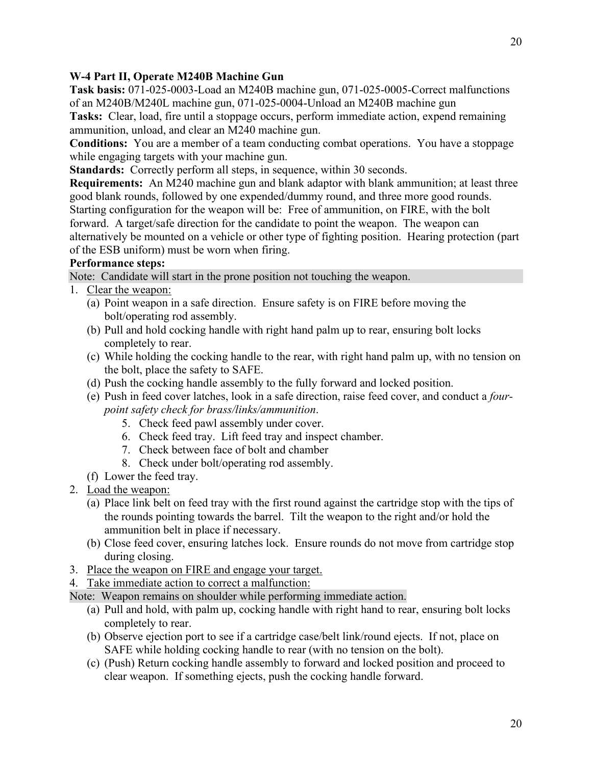# <span id="page-19-0"></span>**W-4 Part II, Operate M240B Machine Gun**

**Task basis:** 071-025-0003-Load an M240B machine gun, 071-025-0005-Correct malfunctions of an M240B/M240L machine gun, 071-025-0004-Unload an M240B machine gun

**Tasks:** Clear, load, fire until a stoppage occurs, perform immediate action, expend remaining ammunition, unload, and clear an M240 machine gun.

**Conditions:** You are a member of a team conducting combat operations. You have a stoppage while engaging targets with your machine gun.

**Standards:** Correctly perform all steps, in sequence, within 30 seconds.

**Requirements:** An M240 machine gun and blank adaptor with blank ammunition; at least three good blank rounds, followed by one expended/dummy round, and three more good rounds. Starting configuration for the weapon will be: Free of ammunition, on FIRE, with the bolt forward. A target/safe direction for the candidate to point the weapon. The weapon can alternatively be mounted on a vehicle or other type of fighting position. Hearing protection (part of the ESB uniform) must be worn when firing.

# **Performance steps:**

Note: Candidate will start in the prone position not touching the weapon.

- 1. Clear the weapon:
	- (a) Point weapon in a safe direction. Ensure safety is on FIRE before moving the bolt/operating rod assembly.
	- (b) Pull and hold cocking handle with right hand palm up to rear, ensuring bolt locks completely to rear.
	- (c) While holding the cocking handle to the rear, with right hand palm up, with no tension on the bolt, place the safety to SAFE.
	- (d) Push the cocking handle assembly to the fully forward and locked position.
	- (e) Push in feed cover latches, look in a safe direction, raise feed cover, and conduct a *fourpoint safety check for brass/links/ammunition*.
		- 5. Check feed pawl assembly under cover.
		- 6. Check feed tray. Lift feed tray and inspect chamber.
		- 7. Check between face of bolt and chamber
		- 8. Check under bolt/operating rod assembly.
	- (f) Lower the feed tray.
- 2. Load the weapon:
	- (a) Place link belt on feed tray with the first round against the cartridge stop with the tips of the rounds pointing towards the barrel. Tilt the weapon to the right and/or hold the ammunition belt in place if necessary.
	- (b) Close feed cover, ensuring latches lock. Ensure rounds do not move from cartridge stop during closing.
- 3. Place the weapon on FIRE and engage your target.
- 4. Take immediate action to correct a malfunction:

Note: Weapon remains on shoulder while performing immediate action.

- (a) Pull and hold, with palm up, cocking handle with right hand to rear, ensuring bolt locks completely to rear.
- (b) Observe ejection port to see if a cartridge case/belt link/round ejects. If not, place on SAFE while holding cocking handle to rear (with no tension on the bolt).
- (c) (Push) Return cocking handle assembly to forward and locked position and proceed to clear weapon. If something ejects, push the cocking handle forward.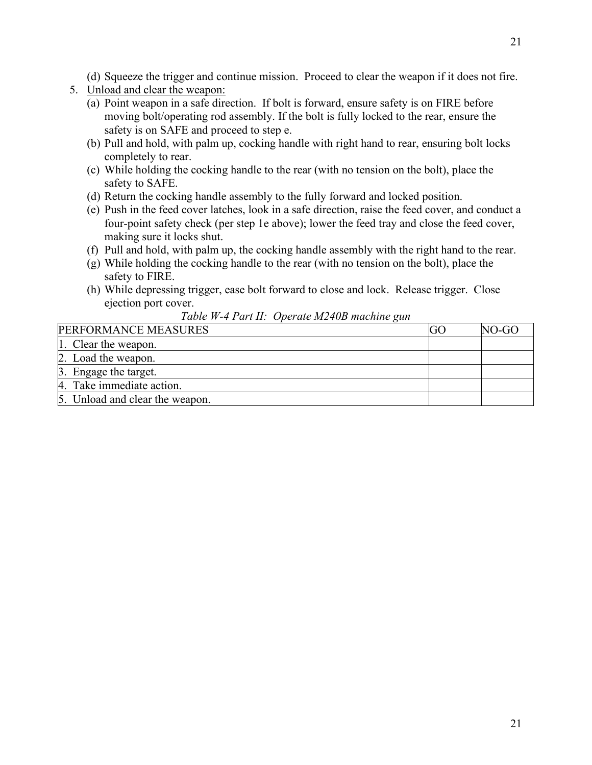(d) Squeeze the trigger and continue mission. Proceed to clear the weapon if it does not fire.

- 5. Unload and clear the weapon:
	- (a) Point weapon in a safe direction. If bolt is forward, ensure safety is on FIRE before moving bolt/operating rod assembly. If the bolt is fully locked to the rear, ensure the safety is on SAFE and proceed to step e.
	- (b) Pull and hold, with palm up, cocking handle with right hand to rear, ensuring bolt locks completely to rear.
	- (c) While holding the cocking handle to the rear (with no tension on the bolt), place the safety to SAFE.
	- (d) Return the cocking handle assembly to the fully forward and locked position.
	- (e) Push in the feed cover latches, look in a safe direction, raise the feed cover, and conduct a four-point safety check (per step 1e above); lower the feed tray and close the feed cover, making sure it locks shut.
	- (f) Pull and hold, with palm up, the cocking handle assembly with the right hand to the rear.
	- (g) While holding the cocking handle to the rear (with no tension on the bolt), place the safety to FIRE.
	- (h) While depressing trigger, ease bolt forward to close and lock. Release trigger. Close ejection port cover.

|  | Table W-4 Part II: Operate M240B machine gun |
|--|----------------------------------------------|
|--|----------------------------------------------|

| PERFORMANCE MEASURES            | NO-GO |
|---------------------------------|-------|
| 1. Clear the weapon.            |       |
| 2. Load the weapon.             |       |
| 3. Engage the target.           |       |
| 4. Take immediate action.       |       |
| 5. Unload and clear the weapon. |       |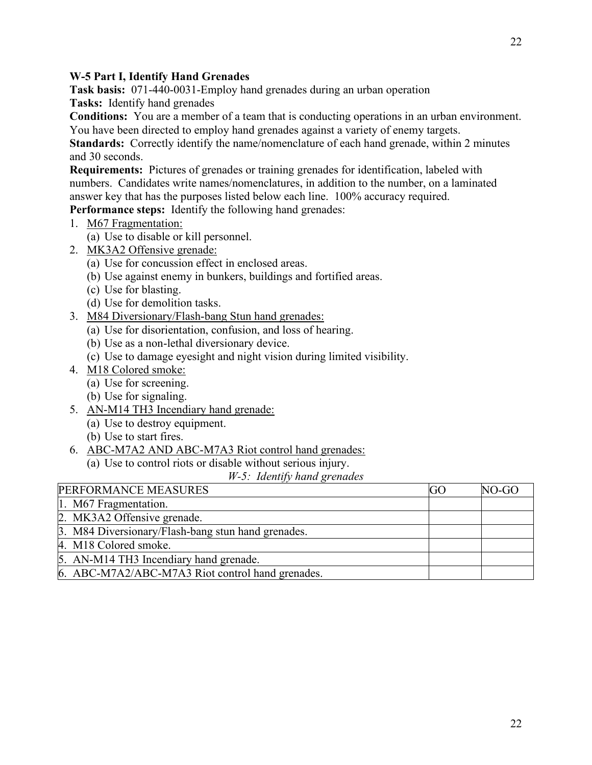## <span id="page-21-0"></span>**W-5 Part I, Identify Hand Grenades**

**Task basis:** 071-440-0031-Employ hand grenades during an urban operation

**Tasks:** Identify hand grenades

**Conditions:** You are a member of a team that is conducting operations in an urban environment. You have been directed to employ hand grenades against a variety of enemy targets.

**Standards:** Correctly identify the name/nomenclature of each hand grenade, within 2 minutes and 30 seconds.

**Requirements:** Pictures of grenades or training grenades for identification, labeled with numbers. Candidates write names/nomenclatures, in addition to the number, on a laminated answer key that has the purposes listed below each line. 100% accuracy required.

**Performance steps:** Identify the following hand grenades:

- 1. M67 Fragmentation:
	- (a) Use to disable or kill personnel.
- 2. MK3A2 Offensive grenade:
	- (a) Use for concussion effect in enclosed areas.
	- (b) Use against enemy in bunkers, buildings and fortified areas.
	- (c) Use for blasting.
	- (d) Use for demolition tasks.
- 3. M84 Diversionary/Flash-bang Stun hand grenades:
	- (a) Use for disorientation, confusion, and loss of hearing.
	- (b) Use as a non-lethal diversionary device.
	- (c) Use to damage eyesight and night vision during limited visibility.
- 4. M18 Colored smoke:
	- (a) Use for screening.
	- (b) Use for signaling.
- 5. AN-M14 TH3 Incendiary hand grenade:
	- (a) Use to destroy equipment.
	- (b) Use to start fires.
- 6. ABC-M7A2 AND ABC-M7A3 Riot control hand grenades:
	- (a) Use to control riots or disable without serious injury.

*W-5: Identify hand grenades*

| PERFORMANCE MEASURES                               | GO | NO-GO |
|----------------------------------------------------|----|-------|
| 1. M67 Fragmentation.                              |    |       |
| 2. MK3A2 Offensive grenade.                        |    |       |
| 3. M84 Diversionary/Flash-bang stun hand grenades. |    |       |
| 4. M18 Colored smoke.                              |    |       |
| 5. AN-M14 TH3 Incendiary hand grenade.             |    |       |
| 6. ABC-M7A2/ABC-M7A3 Riot control hand grenades.   |    |       |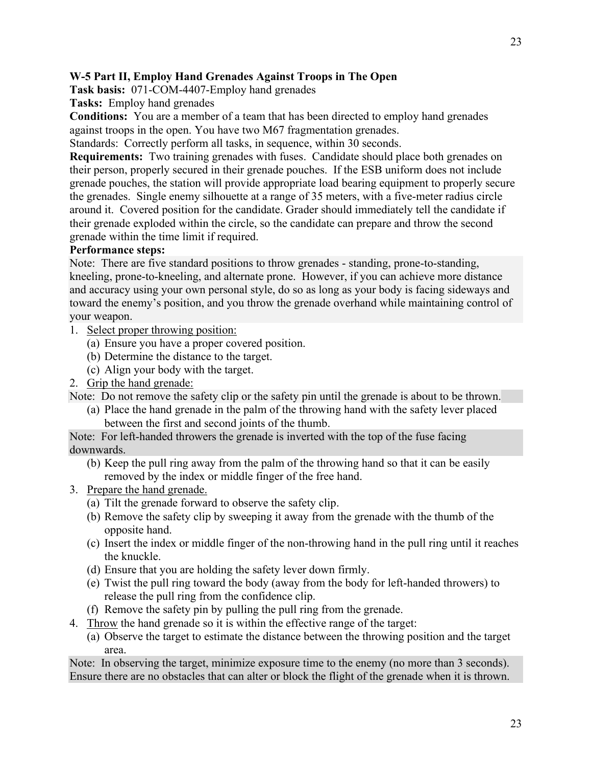# <span id="page-22-0"></span>**W-5 Part II, Employ Hand Grenades Against Troops in The Open**

**Task basis:** 071-COM-4407-Employ hand grenades

**Tasks:** Employ hand grenades

**Conditions:** You are a member of a team that has been directed to employ hand grenades against troops in the open. You have two M67 fragmentation grenades.

Standards: Correctly perform all tasks, in sequence, within 30 seconds.

**Requirements:** Two training grenades with fuses. Candidate should place both grenades on their person, properly secured in their grenade pouches. If the ESB uniform does not include grenade pouches, the station will provide appropriate load bearing equipment to properly secure the grenades. Single enemy silhouette at a range of 35 meters, with a five-meter radius circle around it. Covered position for the candidate. Grader should immediately tell the candidate if their grenade exploded within the circle, so the candidate can prepare and throw the second grenade within the time limit if required.

# **Performance steps:**

Note: There are five standard positions to throw grenades - standing, prone-to-standing, kneeling, prone-to-kneeling, and alternate prone. However, if you can achieve more distance and accuracy using your own personal style, do so as long as your body is facing sideways and toward the enemy's position, and you throw the grenade overhand while maintaining control of your weapon.

- 1. Select proper throwing position:
	- (a) Ensure you have a proper covered position.
	- (b) Determine the distance to the target.
	- (c) Align your body with the target.
- 2. Grip the hand grenade:

Note: Do not remove the safety clip or the safety pin until the grenade is about to be thrown.

(a) Place the hand grenade in the palm of the throwing hand with the safety lever placed between the first and second joints of the thumb.

Note: For left-handed throwers the grenade is inverted with the top of the fuse facing downwards.

- (b) Keep the pull ring away from the palm of the throwing hand so that it can be easily removed by the index or middle finger of the free hand.
- 3. Prepare the hand grenade.
	- (a) Tilt the grenade forward to observe the safety clip.
	- (b) Remove the safety clip by sweeping it away from the grenade with the thumb of the opposite hand.
	- (c) Insert the index or middle finger of the non-throwing hand in the pull ring until it reaches the knuckle.
	- (d) Ensure that you are holding the safety lever down firmly.
	- (e) Twist the pull ring toward the body (away from the body for left-handed throwers) to release the pull ring from the confidence clip.
	- (f) Remove the safety pin by pulling the pull ring from the grenade.
- 4. Throw the hand grenade so it is within the effective range of the target:
	- (a) Observe the target to estimate the distance between the throwing position and the target area.

Note: In observing the target, minimize exposure time to the enemy (no more than 3 seconds). Ensure there are no obstacles that can alter or block the flight of the grenade when it is thrown.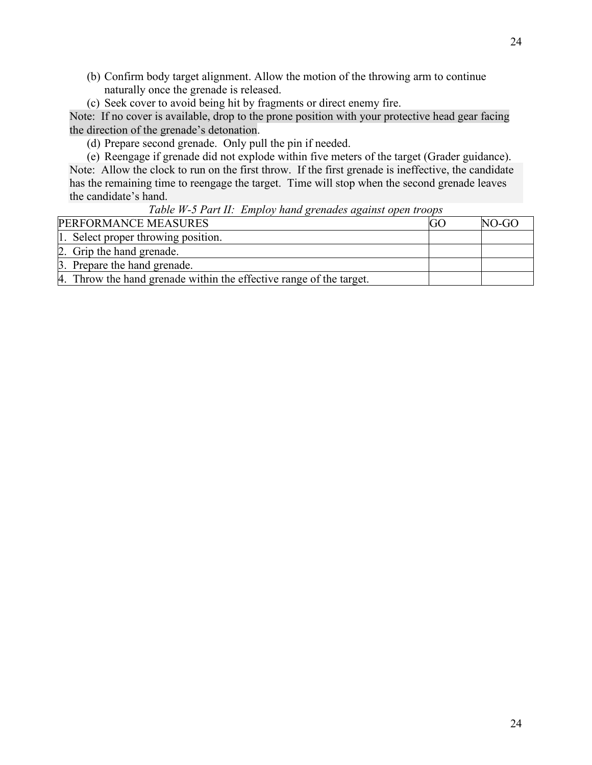- (b) Confirm body target alignment. Allow the motion of the throwing arm to continue naturally once the grenade is released.
- (c) Seek cover to avoid being hit by fragments or direct enemy fire.

Note: If no cover is available, drop to the prone position with your protective head gear facing the direction of the grenade's detonation.

(d) Prepare second grenade. Only pull the pin if needed.

(e) Reengage if grenade did not explode within five meters of the target (Grader guidance). Note: Allow the clock to run on the first throw. If the first grenade is ineffective, the candidate has the remaining time to reengage the target. Time will stop when the second grenade leaves the candidate's hand.

*Table W-5 Part II: Employ hand grenades against open troops*

| PERFORMANCE MEASURES                                                | GO | NO-GO |
|---------------------------------------------------------------------|----|-------|
| 1. Select proper throwing position.                                 |    |       |
| 2. Grip the hand grenade.                                           |    |       |
| 3. Prepare the hand grenade.                                        |    |       |
| 4. Throw the hand grenade within the effective range of the target. |    |       |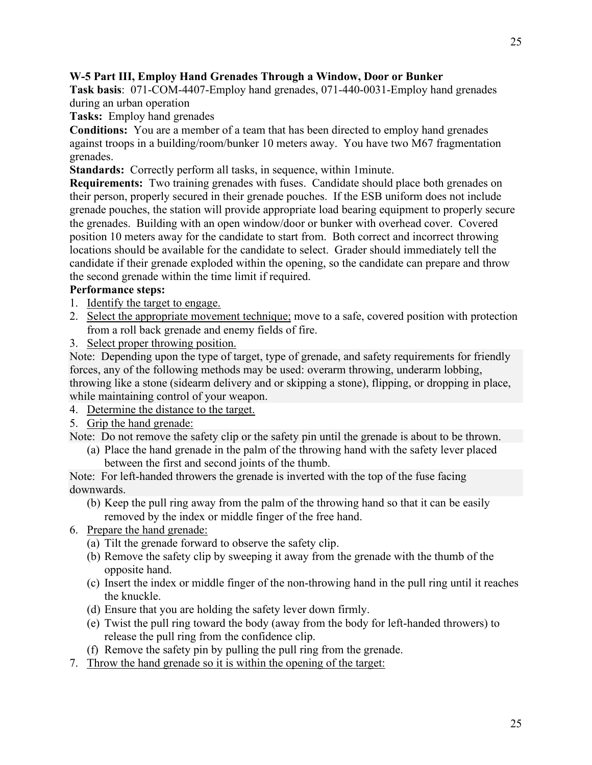# <span id="page-24-0"></span>**W-5 Part III, Employ Hand Grenades Through a Window, Door or Bunker**

**Task basis**: 071-COM-4407-Employ hand grenades, 071-440-0031-Employ hand grenades during an urban operation

**Tasks:** Employ hand grenades

**Conditions:** You are a member of a team that has been directed to employ hand grenades against troops in a building/room/bunker 10 meters away. You have two M67 fragmentation grenades.

**Standards:** Correctly perform all tasks, in sequence, within 1minute.

**Requirements:** Two training grenades with fuses. Candidate should place both grenades on their person, properly secured in their grenade pouches. If the ESB uniform does not include grenade pouches, the station will provide appropriate load bearing equipment to properly secure the grenades. Building with an open window/door or bunker with overhead cover. Covered position 10 meters away for the candidate to start from. Both correct and incorrect throwing locations should be available for the candidate to select. Grader should immediately tell the candidate if their grenade exploded within the opening, so the candidate can prepare and throw the second grenade within the time limit if required.

# **Performance steps:**

- 1. Identify the target to engage.
- 2. Select the appropriate movement technique; move to a safe, covered position with protection from a roll back grenade and enemy fields of fire.
- 3. Select proper throwing position.

Note: Depending upon the type of target, type of grenade, and safety requirements for friendly forces, any of the following methods may be used: overarm throwing, underarm lobbing, throwing like a stone (sidearm delivery and or skipping a stone), flipping, or dropping in place, while maintaining control of your weapon.

- 4. Determine the distance to the target.
- 5. Grip the hand grenade:

Note: Do not remove the safety clip or the safety pin until the grenade is about to be thrown.

(a) Place the hand grenade in the palm of the throwing hand with the safety lever placed between the first and second joints of the thumb.

Note: For left-handed throwers the grenade is inverted with the top of the fuse facing downwards.

- (b) Keep the pull ring away from the palm of the throwing hand so that it can be easily removed by the index or middle finger of the free hand.
- 6. Prepare the hand grenade:
	- (a) Tilt the grenade forward to observe the safety clip.
	- (b) Remove the safety clip by sweeping it away from the grenade with the thumb of the opposite hand.
	- (c) Insert the index or middle finger of the non-throwing hand in the pull ring until it reaches the knuckle.
	- (d) Ensure that you are holding the safety lever down firmly.
	- (e) Twist the pull ring toward the body (away from the body for left-handed throwers) to release the pull ring from the confidence clip.
	- (f) Remove the safety pin by pulling the pull ring from the grenade.
- 7. Throw the hand grenade so it is within the opening of the target: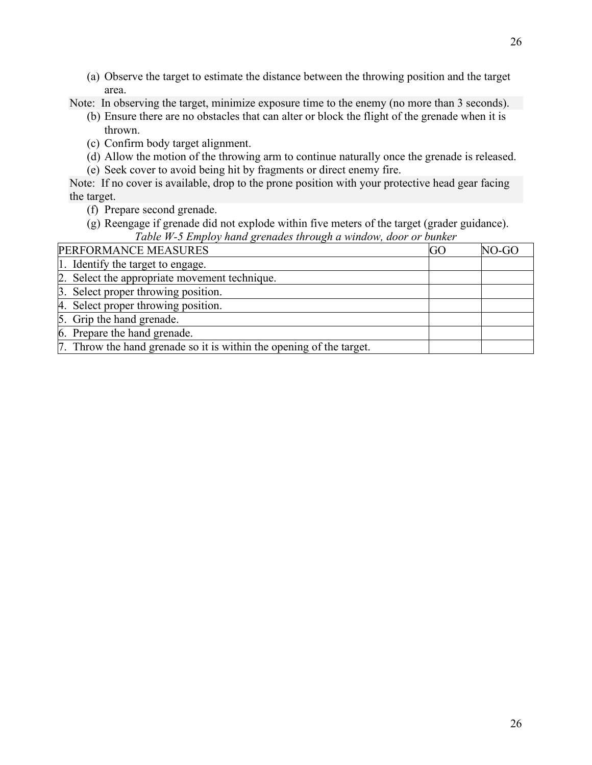(a) Observe the target to estimate the distance between the throwing position and the target area.

Note: In observing the target, minimize exposure time to the enemy (no more than 3 seconds).

- (b) Ensure there are no obstacles that can alter or block the flight of the grenade when it is thrown.
- (c) Confirm body target alignment.
- (d) Allow the motion of the throwing arm to continue naturally once the grenade is released.
- (e) Seek cover to avoid being hit by fragments or direct enemy fire.

Note: If no cover is available, drop to the prone position with your protective head gear facing the target.

(f) Prepare second grenade.

(g) Reengage if grenade did not explode within five meters of the target (grader guidance). *Table W-5 Employ hand grenades through a window, door or bunker*

| PERFORMANCE MEASURES                                                 | GO | NO-GC |
|----------------------------------------------------------------------|----|-------|
| 1. Identify the target to engage.                                    |    |       |
| 2. Select the appropriate movement technique.                        |    |       |
| 3. Select proper throwing position.                                  |    |       |
| 4. Select proper throwing position.                                  |    |       |
| 5. Grip the hand grenade.                                            |    |       |
| 6. Prepare the hand grenade.                                         |    |       |
| 7. Throw the hand grenade so it is within the opening of the target. |    |       |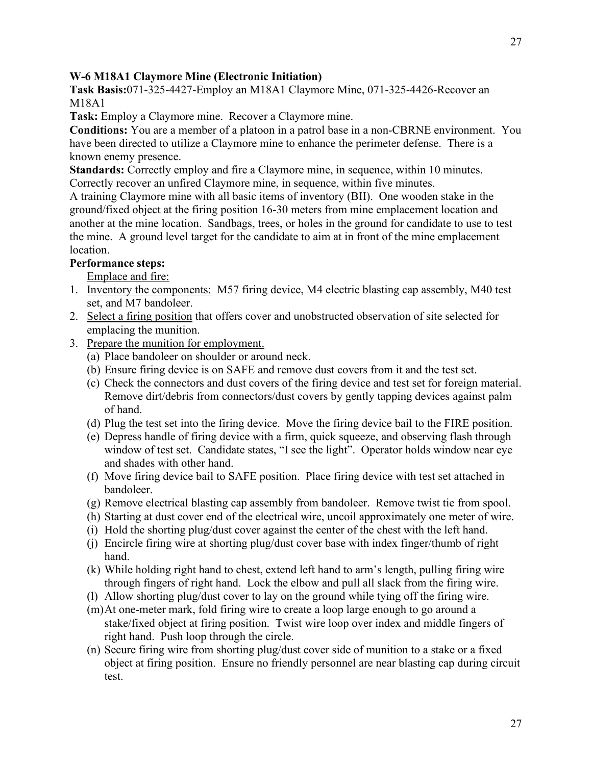# <span id="page-26-0"></span>**W-6 M18A1 Claymore Mine (Electronic Initiation)**

**Task Basis:**071-325-4427-Employ an M18A1 Claymore Mine, 071-325-4426-Recover an M18A1

**Task:** Employ a Claymore mine. Recover a Claymore mine.

**Conditions:** You are a member of a platoon in a patrol base in a non-CBRNE environment. You have been directed to utilize a Claymore mine to enhance the perimeter defense. There is a known enemy presence.

**Standards:** Correctly employ and fire a Claymore mine, in sequence, within 10 minutes. Correctly recover an unfired Claymore mine, in sequence, within five minutes.

A training Claymore mine with all basic items of inventory (BII). One wooden stake in the ground/fixed object at the firing position 16-30 meters from mine emplacement location and another at the mine location. Sandbags, trees, or holes in the ground for candidate to use to test the mine. A ground level target for the candidate to aim at in front of the mine emplacement location.

## **Performance steps:**

Emplace and fire:

- 1. Inventory the components: M57 firing device, M4 electric blasting cap assembly, M40 test set, and M7 bandoleer.
- 2. Select a firing position that offers cover and unobstructed observation of site selected for emplacing the munition.
- 3. Prepare the munition for employment.
	- (a) Place bandoleer on shoulder or around neck.
	- (b) Ensure firing device is on SAFE and remove dust covers from it and the test set.
	- (c) Check the connectors and dust covers of the firing device and test set for foreign material. Remove dirt/debris from connectors/dust covers by gently tapping devices against palm of hand.
	- (d) Plug the test set into the firing device. Move the firing device bail to the FIRE position.
	- (e) Depress handle of firing device with a firm, quick squeeze, and observing flash through window of test set. Candidate states, "I see the light". Operator holds window near eye and shades with other hand.
	- (f) Move firing device bail to SAFE position. Place firing device with test set attached in bandoleer.
	- (g) Remove electrical blasting cap assembly from bandoleer. Remove twist tie from spool.
	- (h) Starting at dust cover end of the electrical wire, uncoil approximately one meter of wire.
	- (i) Hold the shorting plug/dust cover against the center of the chest with the left hand.
	- (j) Encircle firing wire at shorting plug/dust cover base with index finger/thumb of right hand.
	- (k) While holding right hand to chest, extend left hand to arm's length, pulling firing wire through fingers of right hand. Lock the elbow and pull all slack from the firing wire.
	- (l) Allow shorting plug/dust cover to lay on the ground while tying off the firing wire.
	- (m)At one-meter mark, fold firing wire to create a loop large enough to go around a stake/fixed object at firing position. Twist wire loop over index and middle fingers of right hand. Push loop through the circle.
	- (n) Secure firing wire from shorting plug/dust cover side of munition to a stake or a fixed object at firing position. Ensure no friendly personnel are near blasting cap during circuit test.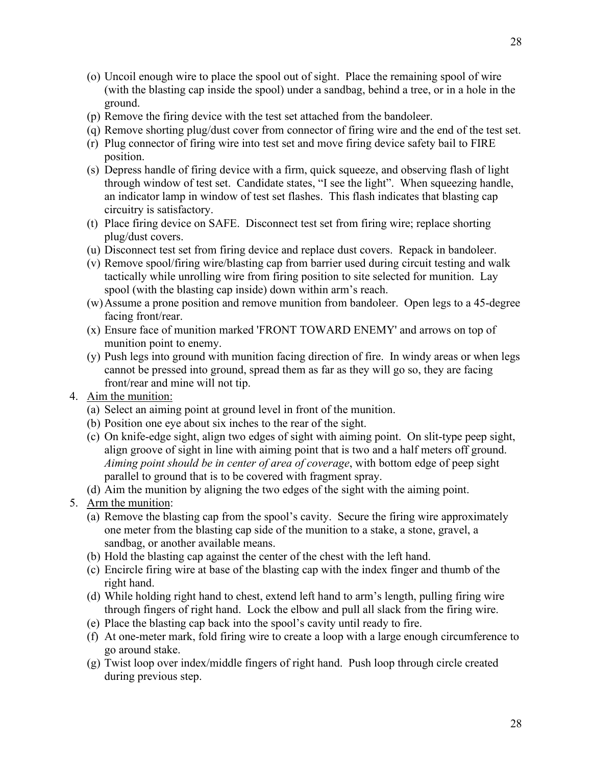- (o) Uncoil enough wire to place the spool out of sight. Place the remaining spool of wire (with the blasting cap inside the spool) under a sandbag, behind a tree, or in a hole in the ground.
- (p) Remove the firing device with the test set attached from the bandoleer.
- (q) Remove shorting plug/dust cover from connector of firing wire and the end of the test set.
- (r) Plug connector of firing wire into test set and move firing device safety bail to FIRE position.
- (s) Depress handle of firing device with a firm, quick squeeze, and observing flash of light through window of test set. Candidate states, "I see the light". When squeezing handle, an indicator lamp in window of test set flashes. This flash indicates that blasting cap circuitry is satisfactory.
- (t) Place firing device on SAFE. Disconnect test set from firing wire; replace shorting plug/dust covers.
- (u) Disconnect test set from firing device and replace dust covers. Repack in bandoleer.
- (v) Remove spool/firing wire/blasting cap from barrier used during circuit testing and walk tactically while unrolling wire from firing position to site selected for munition. Lay spool (with the blasting cap inside) down within arm's reach.
- (w)Assume a prone position and remove munition from bandoleer. Open legs to a 45-degree facing front/rear.
- (x) Ensure face of munition marked 'FRONT TOWARD ENEMY' and arrows on top of munition point to enemy.
- (y) Push legs into ground with munition facing direction of fire. In windy areas or when legs cannot be pressed into ground, spread them as far as they will go so, they are facing front/rear and mine will not tip.
- 4. Aim the munition:
	- (a) Select an aiming point at ground level in front of the munition.
	- (b) Position one eye about six inches to the rear of the sight.
	- (c) On knife-edge sight, align two edges of sight with aiming point. On slit-type peep sight, align groove of sight in line with aiming point that is two and a half meters off ground. *Aiming point should be in center of area of coverage*, with bottom edge of peep sight parallel to ground that is to be covered with fragment spray.
	- (d) Aim the munition by aligning the two edges of the sight with the aiming point.
- 5. Arm the munition:
	- (a) Remove the blasting cap from the spool's cavity. Secure the firing wire approximately one meter from the blasting cap side of the munition to a stake, a stone, gravel, a sandbag, or another available means.
	- (b) Hold the blasting cap against the center of the chest with the left hand.
	- (c) Encircle firing wire at base of the blasting cap with the index finger and thumb of the right hand.
	- (d) While holding right hand to chest, extend left hand to arm's length, pulling firing wire through fingers of right hand. Lock the elbow and pull all slack from the firing wire.
	- (e) Place the blasting cap back into the spool's cavity until ready to fire.
	- (f) At one-meter mark, fold firing wire to create a loop with a large enough circumference to go around stake.
	- (g) Twist loop over index/middle fingers of right hand. Push loop through circle created during previous step.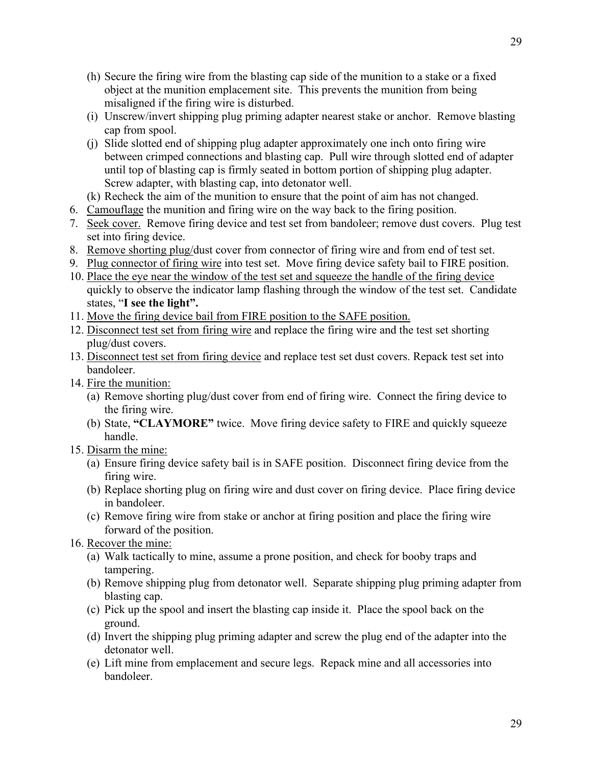- (h) Secure the firing wire from the blasting cap side of the munition to a stake or a fixed object at the munition emplacement site. This prevents the munition from being misaligned if the firing wire is disturbed.
- (i) Unscrew/invert shipping plug priming adapter nearest stake or anchor. Remove blasting cap from spool.
- (j) Slide slotted end of shipping plug adapter approximately one inch onto firing wire between crimped connections and blasting cap. Pull wire through slotted end of adapter until top of blasting cap is firmly seated in bottom portion of shipping plug adapter. Screw adapter, with blasting cap, into detonator well.
- (k) Recheck the aim of the munition to ensure that the point of aim has not changed.
- 6. Camouflage the munition and firing wire on the way back to the firing position.
- 7. Seek cover. Remove firing device and test set from bandoleer; remove dust covers. Plug test set into firing device.
- 8. Remove shorting plug/dust cover from connector of firing wire and from end of test set.
- 9. Plug connector of firing wire into test set. Move firing device safety bail to FIRE position.
- 10. Place the eye near the window of the test set and squeeze the handle of the firing device quickly to observe the indicator lamp flashing through the window of the test set. Candidate states, "**I see the light".**
- 11. Move the firing device bail from FIRE position to the SAFE position.
- 12. Disconnect test set from firing wire and replace the firing wire and the test set shorting plug/dust covers.
- 13. Disconnect test set from firing device and replace test set dust covers. Repack test set into bandoleer.
- 14. Fire the munition:
	- (a) Remove shorting plug/dust cover from end of firing wire. Connect the firing device to the firing wire.
	- (b) State, **"CLAYMORE"** twice. Move firing device safety to FIRE and quickly squeeze handle.
- 15. Disarm the mine:
	- (a) Ensure firing device safety bail is in SAFE position. Disconnect firing device from the firing wire.
	- (b) Replace shorting plug on firing wire and dust cover on firing device. Place firing device in bandoleer.
	- (c) Remove firing wire from stake or anchor at firing position and place the firing wire forward of the position.
- 16. Recover the mine:
	- (a) Walk tactically to mine, assume a prone position, and check for booby traps and tampering.
	- (b) Remove shipping plug from detonator well. Separate shipping plug priming adapter from blasting cap.
	- (c) Pick up the spool and insert the blasting cap inside it. Place the spool back on the ground.
	- (d) Invert the shipping plug priming adapter and screw the plug end of the adapter into the detonator well.
	- (e) Lift mine from emplacement and secure legs. Repack mine and all accessories into bandoleer.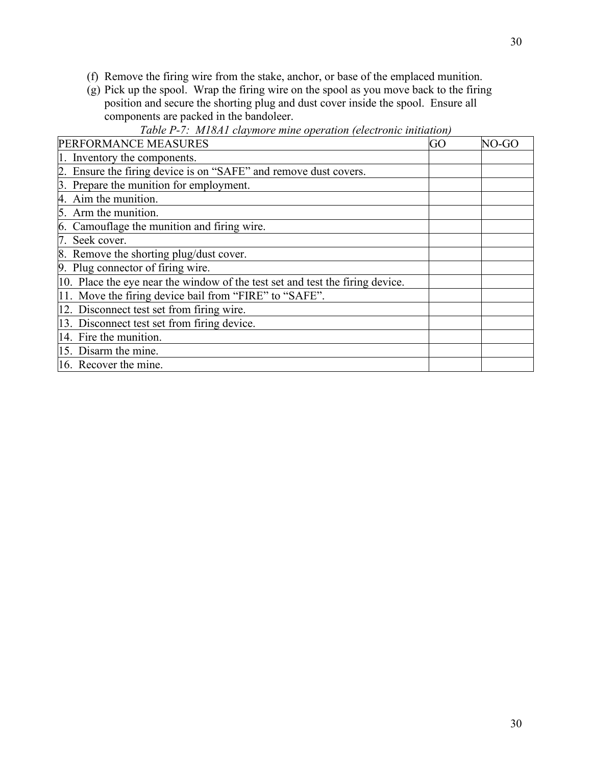- (f) Remove the firing wire from the stake, anchor, or base of the emplaced munition.
- (g) Pick up the spool. Wrap the firing wire on the spool as you move back to the firing position and secure the shorting plug and dust cover inside the spool. Ensure all components are packed in the bandoleer.

| PERFORMANCE MEASURES                                                          | GO | NO-GC |
|-------------------------------------------------------------------------------|----|-------|
| Inventory the components.                                                     |    |       |
| Ensure the firing device is on "SAFE" and remove dust covers.                 |    |       |
| Prepare the munition for employment.                                          |    |       |
| Aim the munition.                                                             |    |       |
| 5. Arm the munition.                                                          |    |       |
| 6. Camouflage the munition and firing wire.                                   |    |       |
| Seek cover.                                                                   |    |       |
| 8. Remove the shorting plug/dust cover.                                       |    |       |
| 9. Plug connector of firing wire.                                             |    |       |
| 10. Place the eye near the window of the test set and test the firing device. |    |       |
| 11. Move the firing device bail from "FIRE" to "SAFE".                        |    |       |
| 12. Disconnect test set from firing wire.                                     |    |       |
| 13. Disconnect test set from firing device.                                   |    |       |
| 14. Fire the munition.                                                        |    |       |
| 15. Disarm the mine.                                                          |    |       |
| 16. Recover the mine.                                                         |    |       |

# *Table P-7: M18A1 claymore mine operation (electronic initiation)*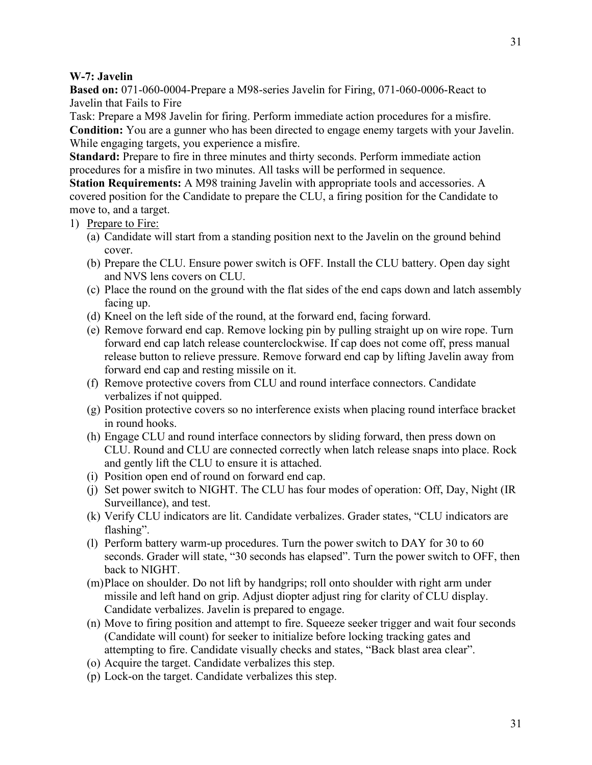## <span id="page-30-0"></span>**W-7: Javelin**

**Based on:** 071-060-0004-Prepare a M98-series Javelin for Firing, 071-060-0006-React to Javelin that Fails to Fire

Task: Prepare a M98 Javelin for firing. Perform immediate action procedures for a misfire. **Condition:** You are a gunner who has been directed to engage enemy targets with your Javelin. While engaging targets, you experience a misfire.

**Standard:** Prepare to fire in three minutes and thirty seconds. Perform immediate action procedures for a misfire in two minutes. All tasks will be performed in sequence.

**Station Requirements:** A M98 training Javelin with appropriate tools and accessories. A covered position for the Candidate to prepare the CLU, a firing position for the Candidate to move to, and a target.

# 1) Prepare to Fire:

- (a) Candidate will start from a standing position next to the Javelin on the ground behind cover.
- (b) Prepare the CLU. Ensure power switch is OFF. Install the CLU battery. Open day sight and NVS lens covers on CLU.
- (c) Place the round on the ground with the flat sides of the end caps down and latch assembly facing up.
- (d) Kneel on the left side of the round, at the forward end, facing forward.
- (e) Remove forward end cap. Remove locking pin by pulling straight up on wire rope. Turn forward end cap latch release counterclockwise. If cap does not come off, press manual release button to relieve pressure. Remove forward end cap by lifting Javelin away from forward end cap and resting missile on it.
- (f) Remove protective covers from CLU and round interface connectors. Candidate verbalizes if not quipped.
- (g) Position protective covers so no interference exists when placing round interface bracket in round hooks.
- (h) Engage CLU and round interface connectors by sliding forward, then press down on CLU. Round and CLU are connected correctly when latch release snaps into place. Rock and gently lift the CLU to ensure it is attached.
- (i) Position open end of round on forward end cap.
- (j) Set power switch to NIGHT. The CLU has four modes of operation: Off, Day, Night (IR Surveillance), and test.
- (k) Verify CLU indicators are lit. Candidate verbalizes. Grader states, "CLU indicators are flashing".
- (l) Perform battery warm-up procedures. Turn the power switch to DAY for 30 to 60 seconds. Grader will state, "30 seconds has elapsed". Turn the power switch to OFF, then back to NIGHT.
- (m)Place on shoulder. Do not lift by handgrips; roll onto shoulder with right arm under missile and left hand on grip. Adjust diopter adjust ring for clarity of CLU display. Candidate verbalizes. Javelin is prepared to engage.
- (n) Move to firing position and attempt to fire. Squeeze seeker trigger and wait four seconds (Candidate will count) for seeker to initialize before locking tracking gates and attempting to fire. Candidate visually checks and states, "Back blast area clear".
- (o) Acquire the target. Candidate verbalizes this step.
- (p) Lock-on the target. Candidate verbalizes this step.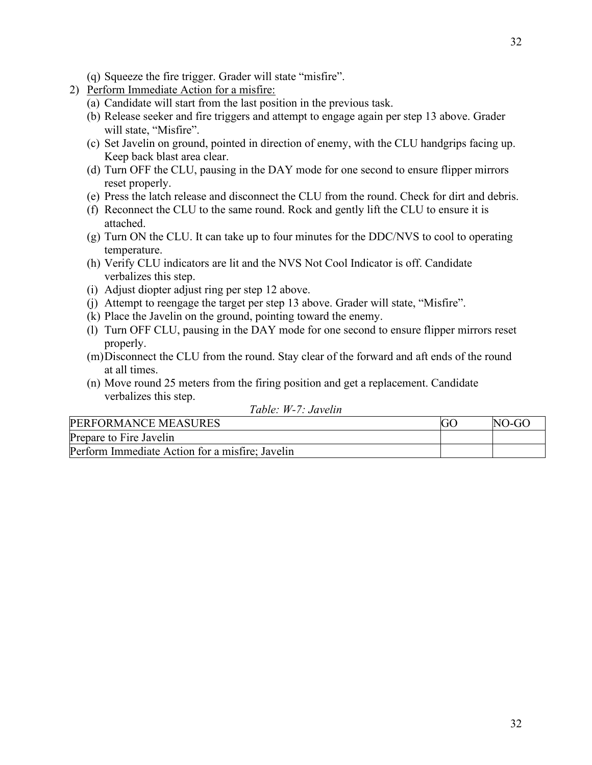- (q) Squeeze the fire trigger. Grader will state "misfire".
- 2) Perform Immediate Action for a misfire:
	- (a) Candidate will start from the last position in the previous task.
	- (b) Release seeker and fire triggers and attempt to engage again per step 13 above. Grader will state, "Misfire".
	- (c) Set Javelin on ground, pointed in direction of enemy, with the CLU handgrips facing up. Keep back blast area clear.
	- (d) Turn OFF the CLU, pausing in the DAY mode for one second to ensure flipper mirrors reset properly.
	- (e) Press the latch release and disconnect the CLU from the round. Check for dirt and debris.
	- (f) Reconnect the CLU to the same round. Rock and gently lift the CLU to ensure it is attached.
	- (g) Turn ON the CLU. It can take up to four minutes for the DDC/NVS to cool to operating temperature.
	- (h) Verify CLU indicators are lit and the NVS Not Cool Indicator is off. Candidate verbalizes this step.
	- (i) Adjust diopter adjust ring per step 12 above.
	- (j) Attempt to reengage the target per step 13 above. Grader will state, "Misfire".
	- (k) Place the Javelin on the ground, pointing toward the enemy.
	- (l) Turn OFF CLU, pausing in the DAY mode for one second to ensure flipper mirrors reset properly.
	- (m)Disconnect the CLU from the round. Stay clear of the forward and aft ends of the round at all times.
	- (n) Move round 25 meters from the firing position and get a replacement. Candidate verbalizes this step.

| Table: W-7: Javelin |  |
|---------------------|--|
|---------------------|--|

| PERFORMANCE MEASURES                            | NO-GO |
|-------------------------------------------------|-------|
| Prepare to Fire Javelin                         |       |
| Perform Immediate Action for a misfire; Javelin |       |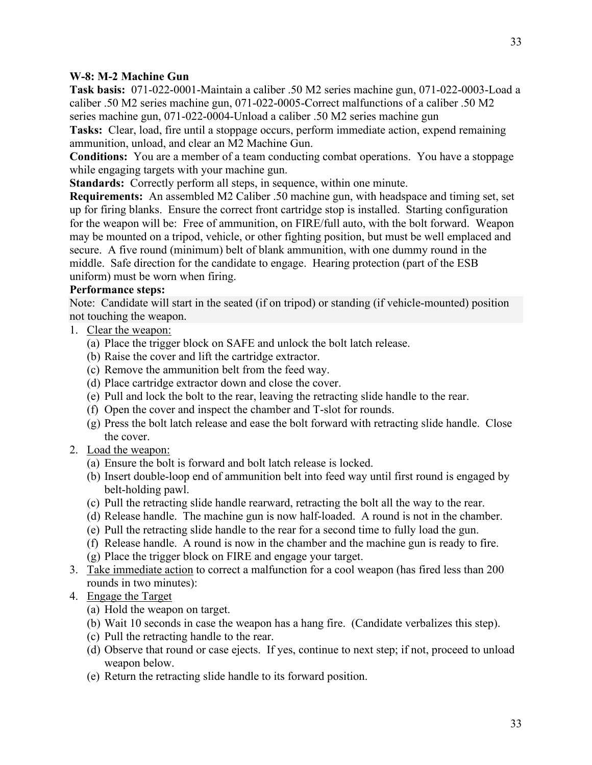<span id="page-32-0"></span>**Task basis:** 071-022-0001-Maintain a caliber .50 M2 series machine gun, 071-022-0003-Load a caliber .50 M2 series machine gun, 071-022-0005-Correct malfunctions of a caliber .50 M2 series machine gun, 071-022-0004-Unload a caliber .50 M2 series machine gun

**Tasks:** Clear, load, fire until a stoppage occurs, perform immediate action, expend remaining ammunition, unload, and clear an M2 Machine Gun.

**Conditions:** You are a member of a team conducting combat operations. You have a stoppage while engaging targets with your machine gun.

**Standards:** Correctly perform all steps, in sequence, within one minute.

**Requirements:** An assembled M2 Caliber .50 machine gun, with headspace and timing set, set up for firing blanks. Ensure the correct front cartridge stop is installed. Starting configuration for the weapon will be: Free of ammunition, on FIRE/full auto, with the bolt forward. Weapon may be mounted on a tripod, vehicle, or other fighting position, but must be well emplaced and secure. A five round (minimum) belt of blank ammunition, with one dummy round in the middle. Safe direction for the candidate to engage. Hearing protection (part of the ESB uniform) must be worn when firing.

# **Performance steps:**

Note: Candidate will start in the seated (if on tripod) or standing (if vehicle-mounted) position not touching the weapon.

- 1. Clear the weapon:
	- (a) Place the trigger block on SAFE and unlock the bolt latch release.
	- (b) Raise the cover and lift the cartridge extractor.
	- (c) Remove the ammunition belt from the feed way.
	- (d) Place cartridge extractor down and close the cover.
	- (e) Pull and lock the bolt to the rear, leaving the retracting slide handle to the rear.
	- (f) Open the cover and inspect the chamber and T-slot for rounds.
	- (g) Press the bolt latch release and ease the bolt forward with retracting slide handle. Close the cover.
- 2. Load the weapon:
	- (a) Ensure the bolt is forward and bolt latch release is locked.
	- (b) Insert double-loop end of ammunition belt into feed way until first round is engaged by belt-holding pawl.
	- (c) Pull the retracting slide handle rearward, retracting the bolt all the way to the rear.
	- (d) Release handle. The machine gun is now half-loaded. A round is not in the chamber.
	- (e) Pull the retracting slide handle to the rear for a second time to fully load the gun.
	- (f) Release handle. A round is now in the chamber and the machine gun is ready to fire.
	- (g) Place the trigger block on FIRE and engage your target.
- 3. Take immediate action to correct a malfunction for a cool weapon (has fired less than 200 rounds in two minutes):
- 4. Engage the Target
	- (a) Hold the weapon on target.
	- (b) Wait 10 seconds in case the weapon has a hang fire. (Candidate verbalizes this step).
	- (c) Pull the retracting handle to the rear.
	- (d) Observe that round or case ejects. If yes, continue to next step; if not, proceed to unload weapon below.
	- (e) Return the retracting slide handle to its forward position.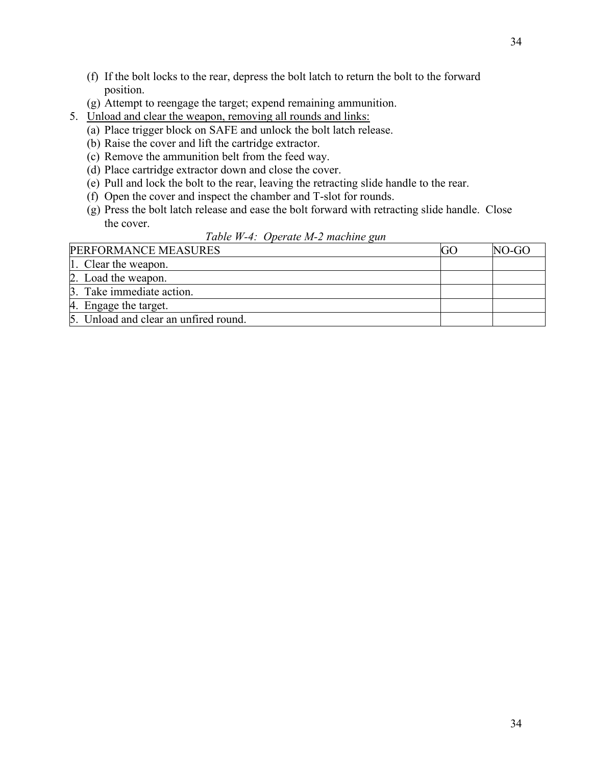- (f) If the bolt locks to the rear, depress the bolt latch to return the bolt to the forward position.
- (g) Attempt to reengage the target; expend remaining ammunition.
- 5. Unload and clear the weapon, removing all rounds and links:
	- (a) Place trigger block on SAFE and unlock the bolt latch release.
	- (b) Raise the cover and lift the cartridge extractor.
	- (c) Remove the ammunition belt from the feed way.
	- (d) Place cartridge extractor down and close the cover.
	- (e) Pull and lock the bolt to the rear, leaving the retracting slide handle to the rear.
	- (f) Open the cover and inspect the chamber and T-slot for rounds.
	- (g) Press the bolt latch release and ease the bolt forward with retracting slide handle. Close the cover.

# *Table W-4: Operate M-2 machine gun*

| PERFORMANCE MEASURES                  | $NO-GO$ |
|---------------------------------------|---------|
| 1. Clear the weapon.                  |         |
| 2. Load the weapon.                   |         |
| 3. Take immediate action.             |         |
| 4. Engage the target.                 |         |
| 5. Unload and clear an unfired round. |         |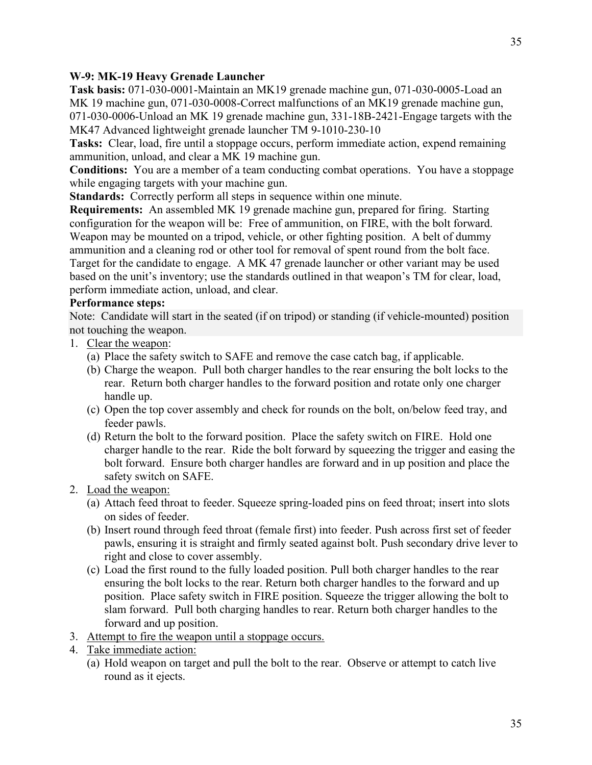<span id="page-34-0"></span>**Task basis:** 071-030-0001-Maintain an MK19 grenade machine gun, 071-030-0005-Load an MK 19 machine gun, 071-030-0008-Correct malfunctions of an MK19 grenade machine gun, 071-030-0006-Unload an MK 19 grenade machine gun, 331-18B-2421-Engage targets with the MK47 Advanced lightweight grenade launcher TM 9-1010-230-10

**Tasks:** Clear, load, fire until a stoppage occurs, perform immediate action, expend remaining ammunition, unload, and clear a MK 19 machine gun.

**Conditions:** You are a member of a team conducting combat operations. You have a stoppage while engaging targets with your machine gun.

**Standards:** Correctly perform all steps in sequence within one minute.

**Requirements:** An assembled MK 19 grenade machine gun, prepared for firing. Starting configuration for the weapon will be: Free of ammunition, on FIRE, with the bolt forward. Weapon may be mounted on a tripod, vehicle, or other fighting position. A belt of dummy ammunition and a cleaning rod or other tool for removal of spent round from the bolt face. Target for the candidate to engage. A MK 47 grenade launcher or other variant may be used based on the unit's inventory; use the standards outlined in that weapon's TM for clear, load, perform immediate action, unload, and clear.

# **Performance steps:**

Note: Candidate will start in the seated (if on tripod) or standing (if vehicle-mounted) position not touching the weapon.

- 1. Clear the weapon:
	- (a) Place the safety switch to SAFE and remove the case catch bag, if applicable.
	- (b) Charge the weapon. Pull both charger handles to the rear ensuring the bolt locks to the rear. Return both charger handles to the forward position and rotate only one charger handle up.
	- (c) Open the top cover assembly and check for rounds on the bolt, on/below feed tray, and feeder pawls.
	- (d) Return the bolt to the forward position. Place the safety switch on FIRE. Hold one charger handle to the rear. Ride the bolt forward by squeezing the trigger and easing the bolt forward. Ensure both charger handles are forward and in up position and place the safety switch on SAFE.
- 2. Load the weapon:
	- (a) Attach feed throat to feeder. Squeeze spring-loaded pins on feed throat; insert into slots on sides of feeder.
	- (b) Insert round through feed throat (female first) into feeder. Push across first set of feeder pawls, ensuring it is straight and firmly seated against bolt. Push secondary drive lever to right and close to cover assembly.
	- (c) Load the first round to the fully loaded position. Pull both charger handles to the rear ensuring the bolt locks to the rear. Return both charger handles to the forward and up position. Place safety switch in FIRE position. Squeeze the trigger allowing the bolt to slam forward. Pull both charging handles to rear. Return both charger handles to the forward and up position.
- 3. Attempt to fire the weapon until a stoppage occurs.
- 4. Take immediate action:
	- (a) Hold weapon on target and pull the bolt to the rear. Observe or attempt to catch live round as it ejects.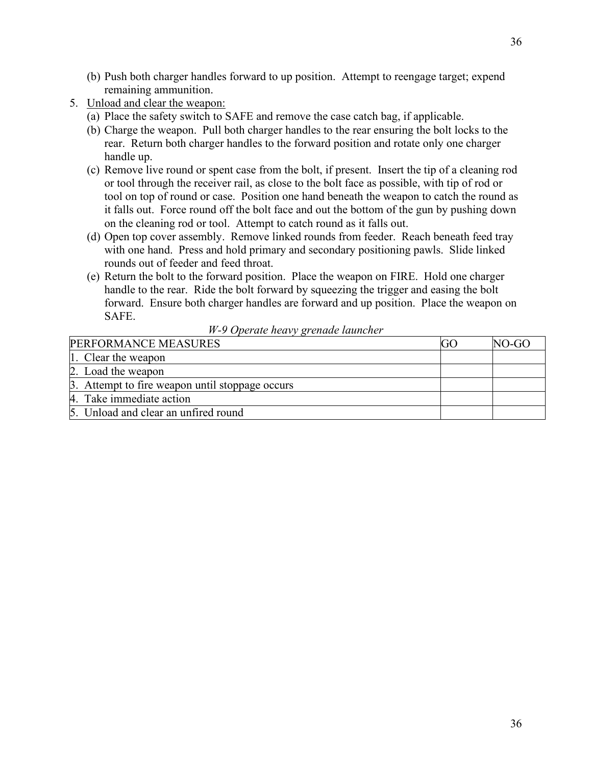- (b) Push both charger handles forward to up position. Attempt to reengage target; expend remaining ammunition.
- 5. Unload and clear the weapon:
	- (a) Place the safety switch to SAFE and remove the case catch bag, if applicable.
	- (b) Charge the weapon. Pull both charger handles to the rear ensuring the bolt locks to the rear. Return both charger handles to the forward position and rotate only one charger handle up.
	- (c) Remove live round or spent case from the bolt, if present. Insert the tip of a cleaning rod or tool through the receiver rail, as close to the bolt face as possible, with tip of rod or tool on top of round or case. Position one hand beneath the weapon to catch the round as it falls out. Force round off the bolt face and out the bottom of the gun by pushing down on the cleaning rod or tool. Attempt to catch round as it falls out.
	- (d) Open top cover assembly. Remove linked rounds from feeder. Reach beneath feed tray with one hand. Press and hold primary and secondary positioning pawls. Slide linked rounds out of feeder and feed throat.
	- (e) Return the bolt to the forward position. Place the weapon on FIRE. Hold one charger handle to the rear. Ride the bolt forward by squeezing the trigger and easing the bolt forward. Ensure both charger handles are forward and up position. Place the weapon on SAFE.

## *W-9 Operate heavy grenade launcher*

| PERFORMANCE MEASURES                            | NO-GO |
|-------------------------------------------------|-------|
| 1. Clear the weapon                             |       |
| 2. Load the weapon                              |       |
| 3. Attempt to fire weapon until stoppage occurs |       |
| 4. Take immediate action                        |       |
| 5. Unload and clear an unfired round            |       |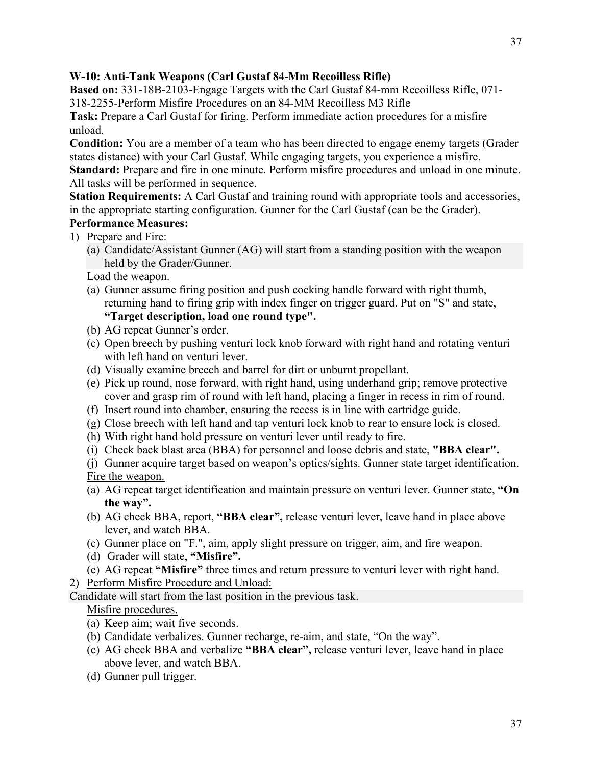# **W-10: Anti-Tank Weapons (Carl Gustaf 84-Mm Recoilless Rifle)**

**Based on:** 331-18B-2103-Engage Targets with the Carl Gustaf 84-mm Recoilless Rifle, 071- 318-2255-Perform Misfire Procedures on an 84-MM Recoilless M3 Rifle

**Task:** Prepare a Carl Gustaf for firing. Perform immediate action procedures for a misfire unload.

**Condition:** You are a member of a team who has been directed to engage enemy targets (Grader states distance) with your Carl Gustaf. While engaging targets, you experience a misfire.

**Standard:** Prepare and fire in one minute. Perform misfire procedures and unload in one minute. All tasks will be performed in sequence.

**Station Requirements:** A Carl Gustaf and training round with appropriate tools and accessories, in the appropriate starting configuration. Gunner for the Carl Gustaf (can be the Grader). **Performance Measures:**

## 1) Prepare and Fire:

(a) Candidate/Assistant Gunner (AG) will start from a standing position with the weapon held by the Grader/Gunner.

Load the weapon.

- (a) Gunner assume firing position and push cocking handle forward with right thumb, returning hand to firing grip with index finger on trigger guard. Put on "S" and state, **"Target description, load one round type".**
- (b) AG repeat Gunner's order.
- (c) Open breech by pushing venturi lock knob forward with right hand and rotating venturi with left hand on venturi lever.
- (d) Visually examine breech and barrel for dirt or unburnt propellant.
- (e) Pick up round, nose forward, with right hand, using underhand grip; remove protective cover and grasp rim of round with left hand, placing a finger in recess in rim of round.
- (f) Insert round into chamber, ensuring the recess is in line with cartridge guide.
- (g) Close breech with left hand and tap venturi lock knob to rear to ensure lock is closed.
- (h) With right hand hold pressure on venturi lever until ready to fire.
- (i) Check back blast area (BBA) for personnel and loose debris and state, **"BBA clear".**
- (j) Gunner acquire target based on weapon's optics/sights. Gunner state target identification. Fire the weapon.
- (a) AG repeat target identification and maintain pressure on venturi lever. Gunner state, **"On the way".**
- (b) AG check BBA, report, **"BBA clear",** release venturi lever, leave hand in place above lever, and watch BBA.
- (c) Gunner place on "F.", aim, apply slight pressure on trigger, aim, and fire weapon.
- (d) Grader will state, **"Misfire".**
- (e) AG repeat **"Misfire"** three times and return pressure to venturi lever with right hand.
- 2) Perform Misfire Procedure and Unload:

Candidate will start from the last position in the previous task.

# Misfire procedures.

- (a) Keep aim; wait five seconds.
- (b) Candidate verbalizes. Gunner recharge, re-aim, and state, "On the way".
- (c) AG check BBA and verbalize **"BBA clear",** release venturi lever, leave hand in place above lever, and watch BBA.
- (d) Gunner pull trigger.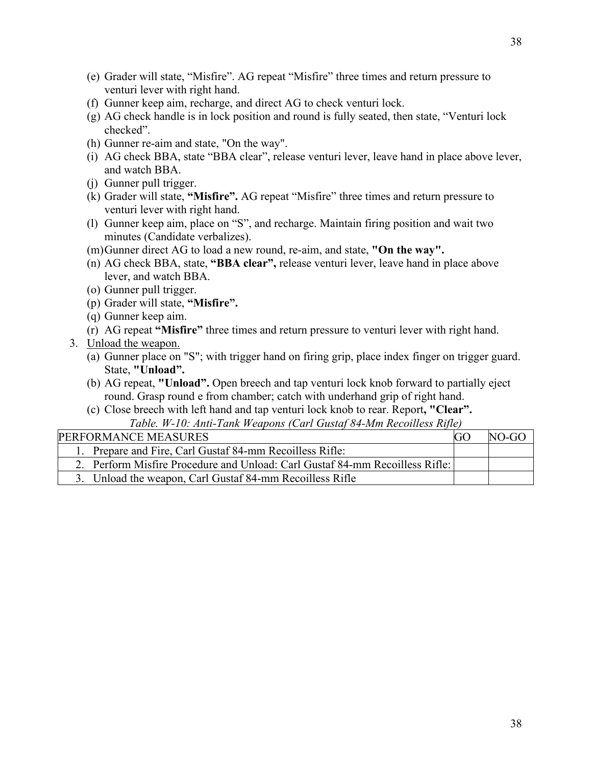- (e) Grader will state, "Misfire". AG repeat "Misfire" three times and return pressure to venturi lever with right hand.
- (f) Gunner keep aim, recharge, and direct AG to check venturi lock.
- (g) AG check handle is in lock position and round is fully seated, then state, "Venturi lock checked".
- (h) Gunner re-aim and state, "On the way".
- (i) AG check BBA, state "BBA clear", release venturi lever, leave hand in place above lever, and watch BBA.
- (j) Gunner pull trigger.
- (k) Grader will state, **"Misfire".** AG repeat "Misfire" three times and return pressure to venturi lever with right hand.
- (l) Gunner keep aim, place on "S", and recharge. Maintain firing position and wait two minutes (Candidate verbalizes).
- (m)Gunner direct AG to load a new round, re-aim, and state, **"On the way".**
- (n) AG check BBA, state, **"BBA clear",** release venturi lever, leave hand in place above lever, and watch BBA.
- (o) Gunner pull trigger.
- (p) Grader will state, **"Misfire".**
- (q) Gunner keep aim.
- (r) AG repeat **"Misfire"** three times and return pressure to venturi lever with right hand.
- 3. Unload the weapon.
	- (a) Gunner place on "S"; with trigger hand on firing grip, place index finger on trigger guard. State, **"Unload".**
	- (b) AG repeat, **"Unload".** Open breech and tap venturi lock knob forward to partially eject round. Grasp round e from chamber; catch with underhand grip of right hand.
	- (c) Close breech with left hand and tap venturi lock knob to rear. Report**, "Clear".** *Table. W-10: Anti-Tank Weapons (Carl Gustaf 84-Mm Recoilless Rifle)*

| Tuble. W-T0. Anti-Tunk Weapons (Carl Ouslaf 04-Mm Recottless Rifle)          |    |         |
|------------------------------------------------------------------------------|----|---------|
| PERFORMANCE MEASURES                                                         | GO | $NO-GO$ |
| 1. Prepare and Fire, Carl Gustaf 84-mm Recoilless Rifle:                     |    |         |
| 2. Perform Misfire Procedure and Unload: Carl Gustaf 84-mm Recoilless Rifle: |    |         |
| 3. Unload the weapon, Carl Gustaf 84-mm Recoilless Rifle                     |    |         |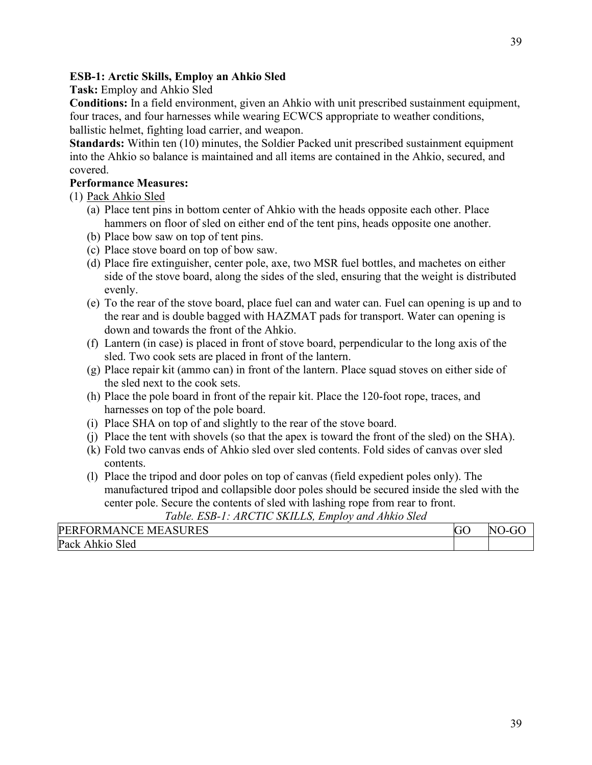# **ESB-1: Arctic Skills, Employ an Ahkio Sled**

**Task:** Employ and Ahkio Sled

**Conditions:** In a field environment, given an Ahkio with unit prescribed sustainment equipment, four traces, and four harnesses while wearing ECWCS appropriate to weather conditions, ballistic helmet, fighting load carrier, and weapon.

**Standards:** Within ten (10) minutes, the Soldier Packed unit prescribed sustainment equipment into the Ahkio so balance is maintained and all items are contained in the Ahkio, secured, and covered.

# **Performance Measures:**

(1) Pack Ahkio Sled

- (a) Place tent pins in bottom center of Ahkio with the heads opposite each other. Place hammers on floor of sled on either end of the tent pins, heads opposite one another.
- (b) Place bow saw on top of tent pins.
- (c) Place stove board on top of bow saw.
- (d) Place fire extinguisher, center pole, axe, two MSR fuel bottles, and machetes on either side of the stove board, along the sides of the sled, ensuring that the weight is distributed evenly.
- (e) To the rear of the stove board, place fuel can and water can. Fuel can opening is up and to the rear and is double bagged with HAZMAT pads for transport. Water can opening is down and towards the front of the Ahkio.
- (f) Lantern (in case) is placed in front of stove board, perpendicular to the long axis of the sled. Two cook sets are placed in front of the lantern.
- (g) Place repair kit (ammo can) in front of the lantern. Place squad stoves on either side of the sled next to the cook sets.
- (h) Place the pole board in front of the repair kit. Place the 120-foot rope, traces, and harnesses on top of the pole board.
- (i) Place SHA on top of and slightly to the rear of the stove board.
- (j) Place the tent with shovels (so that the apex is toward the front of the sled) on the SHA).
- (k) Fold two canvas ends of Ahkio sled over sled contents. Fold sides of canvas over sled contents.
- (l) Place the tripod and door poles on top of canvas (field expedient poles only). The manufactured tripod and collapsible door poles should be secured inside the sled with the center pole. Secure the contents of sled with lashing rope from rear to front.

*Table. ESB-1: ARCTIC SKILLS, Employ and Ahkio Sled*

| <b>SURES</b><br><b>PER</b><br>$\sqrt{ }$<br>ME.<br>` ⊨<br>$\Delta$<br>IK MA<br>NO<br>н ( | $\sim$<br>N<br>◡ | $\mathbf{r}$<br>N |
|------------------------------------------------------------------------------------------|------------------|-------------------|
| Pac<br>$\sim$ 1<br>3led<br>A hk10                                                        |                  |                   |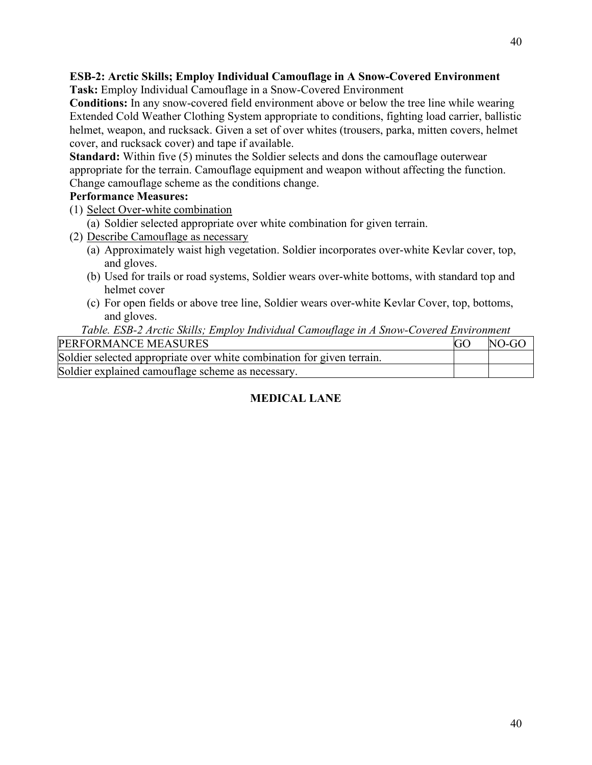# **ESB-2: Arctic Skills; Employ Individual Camouflage in A Snow-Covered Environment**

**Task:** Employ Individual Camouflage in a Snow-Covered Environment

**Conditions:** In any snow-covered field environment above or below the tree line while wearing Extended Cold Weather Clothing System appropriate to conditions, fighting load carrier, ballistic helmet, weapon, and rucksack. Given a set of over whites (trousers, parka, mitten covers, helmet cover, and rucksack cover) and tape if available.

**Standard:** Within five (5) minutes the Soldier selects and dons the camouflage outerwear appropriate for the terrain. Camouflage equipment and weapon without affecting the function. Change camouflage scheme as the conditions change.

## **Performance Measures:**

- (1) Select Over-white combination
	- (a) Soldier selected appropriate over white combination for given terrain.
- (2) Describe Camouflage as necessary
	- (a) Approximately waist high vegetation. Soldier incorporates over-white Kevlar cover, top, and gloves.
	- (b) Used for trails or road systems, Soldier wears over-white bottoms, with standard top and helmet cover
	- (c) For open fields or above tree line, Soldier wears over-white Kevlar Cover, top, bottoms, and gloves.

### *Table. ESB-2 Arctic Skills; Employ Individual Camouflage in A Snow-Covered Environment*

| PERFORMANCE MEASURES                                                   | $NO-GO$ |
|------------------------------------------------------------------------|---------|
| Soldier selected appropriate over white combination for given terrain. |         |
| Soldier explained camouflage scheme as necessary.                      |         |

# **MEDICAL LANE**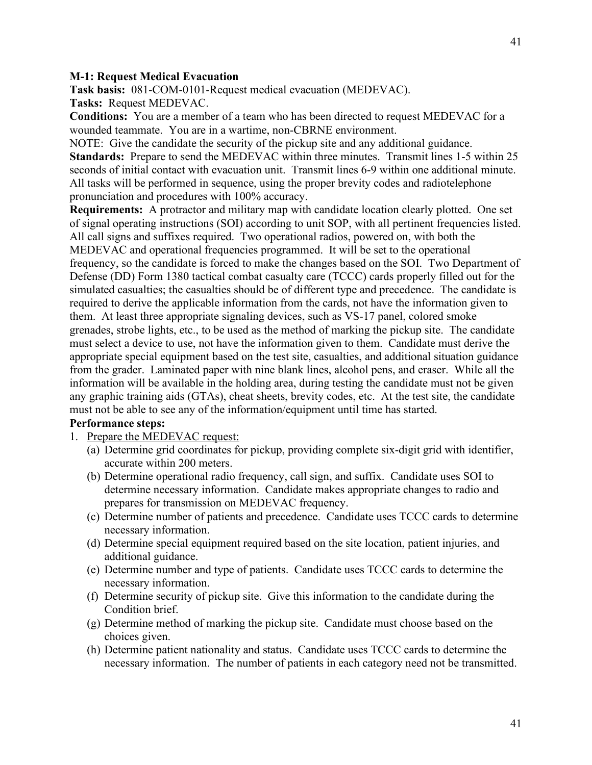#### **M-1: Request Medical Evacuation**

**Task basis:** 081-COM-0101-Request medical evacuation (MEDEVAC). **Tasks:** Request MEDEVAC.

**Conditions:** You are a member of a team who has been directed to request MEDEVAC for a wounded teammate. You are in a wartime, non-CBRNE environment.

NOTE: Give the candidate the security of the pickup site and any additional guidance. **Standards:** Prepare to send the MEDEVAC within three minutes. Transmit lines 1-5 within 25 seconds of initial contact with evacuation unit. Transmit lines 6-9 within one additional minute. All tasks will be performed in sequence, using the proper brevity codes and radiotelephone pronunciation and procedures with 100% accuracy.

**Requirements:** A protractor and military map with candidate location clearly plotted. One set of signal operating instructions (SOI) according to unit SOP, with all pertinent frequencies listed. All call signs and suffixes required. Two operational radios, powered on, with both the MEDEVAC and operational frequencies programmed. It will be set to the operational frequency, so the candidate is forced to make the changes based on the SOI. Two Department of Defense (DD) Form 1380 tactical combat casualty care (TCCC) cards properly filled out for the simulated casualties; the casualties should be of different type and precedence. The candidate is required to derive the applicable information from the cards, not have the information given to them. At least three appropriate signaling devices, such as VS-17 panel, colored smoke grenades, strobe lights, etc., to be used as the method of marking the pickup site. The candidate must select a device to use, not have the information given to them. Candidate must derive the appropriate special equipment based on the test site, casualties, and additional situation guidance from the grader. Laminated paper with nine blank lines, alcohol pens, and eraser. While all the information will be available in the holding area, during testing the candidate must not be given any graphic training aids (GTAs), cheat sheets, brevity codes, etc. At the test site, the candidate must not be able to see any of the information/equipment until time has started.

#### **Performance steps:**

- 1. Prepare the MEDEVAC request:
	- (a) Determine grid coordinates for pickup, providing complete six-digit grid with identifier, accurate within 200 meters.
	- (b) Determine operational radio frequency, call sign, and suffix. Candidate uses SOI to determine necessary information. Candidate makes appropriate changes to radio and prepares for transmission on MEDEVAC frequency.
	- (c) Determine number of patients and precedence. Candidate uses TCCC cards to determine necessary information.
	- (d) Determine special equipment required based on the site location, patient injuries, and additional guidance.
	- (e) Determine number and type of patients. Candidate uses TCCC cards to determine the necessary information.
	- (f) Determine security of pickup site. Give this information to the candidate during the Condition brief.
	- (g) Determine method of marking the pickup site. Candidate must choose based on the choices given.
	- (h) Determine patient nationality and status. Candidate uses TCCC cards to determine the necessary information. The number of patients in each category need not be transmitted.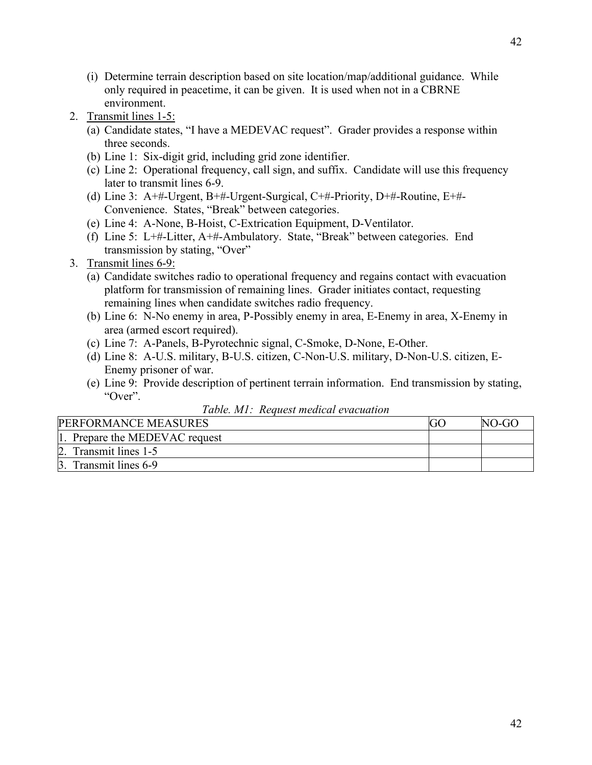- (i) Determine terrain description based on site location/map/additional guidance. While only required in peacetime, it can be given. It is used when not in a CBRNE environment.
- 2. Transmit lines 1-5:
	- (a) Candidate states, "I have a MEDEVAC request". Grader provides a response within three seconds.
	- (b) Line 1: Six-digit grid, including grid zone identifier.
	- (c) Line 2: Operational frequency, call sign, and suffix. Candidate will use this frequency later to transmit lines 6-9.
	- (d) Line 3: A+#-Urgent, B+#-Urgent-Surgical, C+#-Priority, D+#-Routine, E+#- Convenience. States, "Break" between categories.
	- (e) Line 4: A-None, B-Hoist, C-Extrication Equipment, D-Ventilator.
	- (f) Line 5: L+#-Litter, A+#-Ambulatory. State, "Break" between categories. End transmission by stating, "Over"
- 3. Transmit lines 6-9:
	- (a) Candidate switches radio to operational frequency and regains contact with evacuation platform for transmission of remaining lines. Grader initiates contact, requesting remaining lines when candidate switches radio frequency.
	- (b) Line 6: N-No enemy in area, P-Possibly enemy in area, E-Enemy in area, X-Enemy in area (armed escort required).
	- (c) Line 7: A-Panels, B-Pyrotechnic signal, C-Smoke, D-None, E-Other.
	- (d) Line 8: A-U.S. military, B-U.S. citizen, C-Non-U.S. military, D-Non-U.S. citizen, E-Enemy prisoner of war.
	- (e) Line 9: Provide description of pertinent terrain information. End transmission by stating, "Over".

| Table. M1: Request medical evacuation |  |
|---------------------------------------|--|
|---------------------------------------|--|

| PERFORMANCE MEASURES           |  | NO-GO |
|--------------------------------|--|-------|
| 1. Prepare the MEDEVAC request |  |       |
| Transmit lines 1-5             |  |       |
| 3. Transmit lines 6-9          |  |       |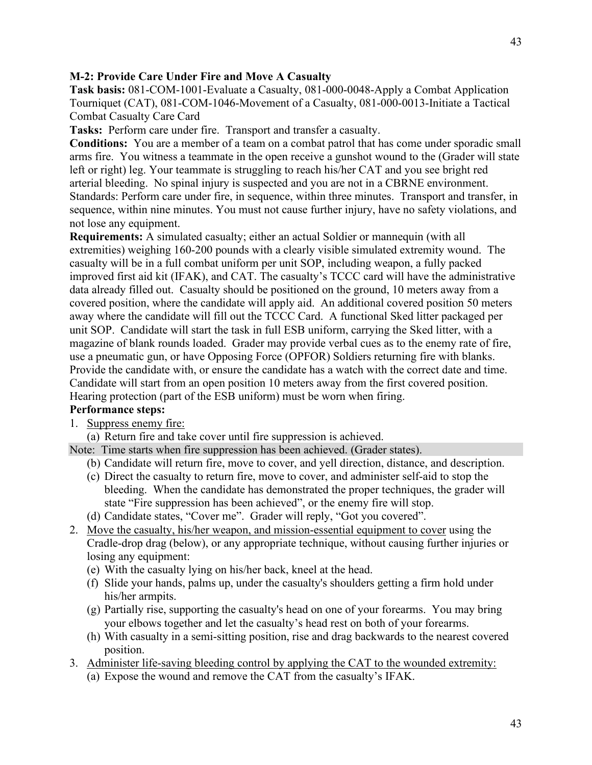#### **M-2: Provide Care Under Fire and Move A Casualty**

**Task basis:** 081-COM-1001-Evaluate a Casualty, 081-000-0048-Apply a Combat Application Tourniquet (CAT), 081-COM-1046-Movement of a Casualty, 081-000-0013-Initiate a Tactical Combat Casualty Care Card

**Tasks:** Perform care under fire. Transport and transfer a casualty.

**Conditions:** You are a member of a team on a combat patrol that has come under sporadic small arms fire. You witness a teammate in the open receive a gunshot wound to the (Grader will state left or right) leg. Your teammate is struggling to reach his/her CAT and you see bright red arterial bleeding. No spinal injury is suspected and you are not in a CBRNE environment. Standards: Perform care under fire, in sequence, within three minutes. Transport and transfer, in sequence, within nine minutes. You must not cause further injury, have no safety violations, and not lose any equipment.

**Requirements:** A simulated casualty; either an actual Soldier or mannequin (with all extremities) weighing 160-200 pounds with a clearly visible simulated extremity wound. The casualty will be in a full combat uniform per unit SOP, including weapon, a fully packed improved first aid kit (IFAK), and CAT. The casualty's TCCC card will have the administrative data already filled out. Casualty should be positioned on the ground, 10 meters away from a covered position, where the candidate will apply aid. An additional covered position 50 meters away where the candidate will fill out the TCCC Card. A functional Sked litter packaged per unit SOP. Candidate will start the task in full ESB uniform, carrying the Sked litter, with a magazine of blank rounds loaded. Grader may provide verbal cues as to the enemy rate of fire, use a pneumatic gun, or have Opposing Force (OPFOR) Soldiers returning fire with blanks. Provide the candidate with, or ensure the candidate has a watch with the correct date and time. Candidate will start from an open position 10 meters away from the first covered position. Hearing protection (part of the ESB uniform) must be worn when firing.

# **Performance steps:**

- 1. Suppress enemy fire:
	- (a) Return fire and take cover until fire suppression is achieved.

Note: Time starts when fire suppression has been achieved. (Grader states).

- (b) Candidate will return fire, move to cover, and yell direction, distance, and description.
- (c) Direct the casualty to return fire, move to cover, and administer self-aid to stop the bleeding. When the candidate has demonstrated the proper techniques, the grader will state "Fire suppression has been achieved", or the enemy fire will stop.
- (d) Candidate states, "Cover me". Grader will reply, "Got you covered".
- 2. Move the casualty, his/her weapon, and mission-essential equipment to cover using the Cradle-drop drag (below), or any appropriate technique, without causing further injuries or losing any equipment:
	- (e) With the casualty lying on his/her back, kneel at the head.
	- (f) Slide your hands, palms up, under the casualty's shoulders getting a firm hold under his/her armpits.
	- (g) Partially rise, supporting the casualty's head on one of your forearms. You may bring your elbows together and let the casualty's head rest on both of your forearms.
	- (h) With casualty in a semi-sitting position, rise and drag backwards to the nearest covered position.
- 3. Administer life-saving bleeding control by applying the CAT to the wounded extremity:
	- (a) Expose the wound and remove the CAT from the casualty's IFAK.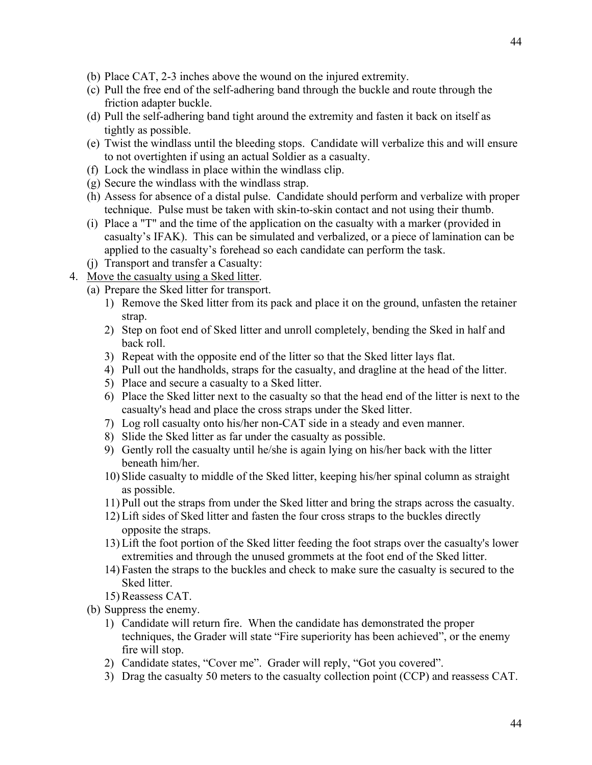- (b) Place CAT, 2-3 inches above the wound on the injured extremity.
- (c) Pull the free end of the self-adhering band through the buckle and route through the friction adapter buckle.
- (d) Pull the self-adhering band tight around the extremity and fasten it back on itself as tightly as possible.
- (e) Twist the windlass until the bleeding stops. Candidate will verbalize this and will ensure to not overtighten if using an actual Soldier as a casualty.
- (f) Lock the windlass in place within the windlass clip.
- (g) Secure the windlass with the windlass strap.
- (h) Assess for absence of a distal pulse. Candidate should perform and verbalize with proper technique. Pulse must be taken with skin-to-skin contact and not using their thumb.
- (i) Place a "T" and the time of the application on the casualty with a marker (provided in casualty's IFAK). This can be simulated and verbalized, or a piece of lamination can be applied to the casualty's forehead so each candidate can perform the task.
- (j) Transport and transfer a Casualty:
- 4. Move the casualty using a Sked litter.
	- (a) Prepare the Sked litter for transport.
		- 1) Remove the Sked litter from its pack and place it on the ground, unfasten the retainer strap.
		- 2) Step on foot end of Sked litter and unroll completely, bending the Sked in half and back roll.
		- 3) Repeat with the opposite end of the litter so that the Sked litter lays flat.
		- 4) Pull out the handholds, straps for the casualty, and dragline at the head of the litter.
		- 5) Place and secure a casualty to a Sked litter.
		- 6) Place the Sked litter next to the casualty so that the head end of the litter is next to the casualty's head and place the cross straps under the Sked litter.
		- 7) Log roll casualty onto his/her non-CAT side in a steady and even manner.
		- 8) Slide the Sked litter as far under the casualty as possible.
		- 9) Gently roll the casualty until he/she is again lying on his/her back with the litter beneath him/her.
		- 10) Slide casualty to middle of the Sked litter, keeping his/her spinal column as straight as possible.
		- 11) Pull out the straps from under the Sked litter and bring the straps across the casualty.
		- 12) Lift sides of Sked litter and fasten the four cross straps to the buckles directly opposite the straps.
		- 13) Lift the foot portion of the Sked litter feeding the foot straps over the casualty's lower extremities and through the unused grommets at the foot end of the Sked litter.
		- 14) Fasten the straps to the buckles and check to make sure the casualty is secured to the Sked litter.
		- 15) Reassess CAT.
	- (b) Suppress the enemy.
		- 1) Candidate will return fire. When the candidate has demonstrated the proper techniques, the Grader will state "Fire superiority has been achieved", or the enemy fire will stop.
		- 2) Candidate states, "Cover me". Grader will reply, "Got you covered".
		- 3) Drag the casualty 50 meters to the casualty collection point (CCP) and reassess CAT.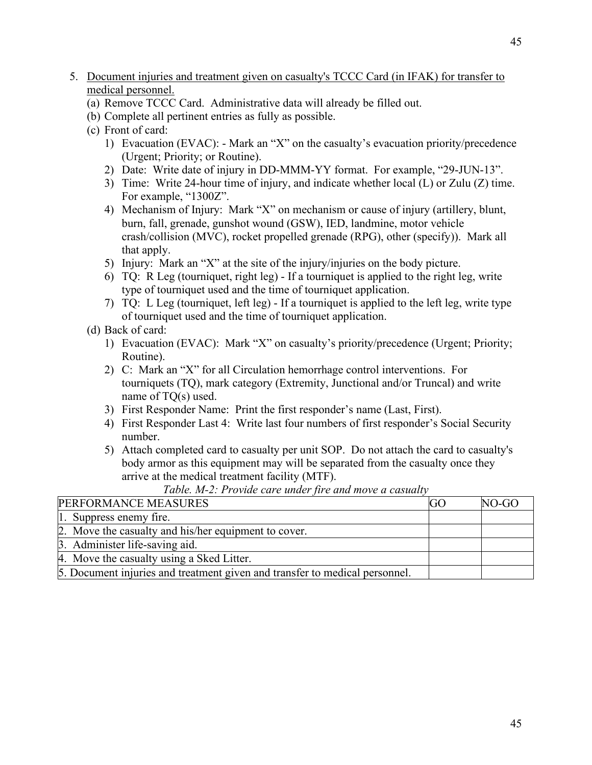- 5. Document injuries and treatment given on casualty's TCCC Card (in IFAK) for transfer to medical personnel.
	- (a) Remove TCCC Card. Administrative data will already be filled out.
	- (b) Complete all pertinent entries as fully as possible.
	- (c) Front of card:
		- 1) Evacuation (EVAC): Mark an "X" on the casualty's evacuation priority/precedence (Urgent; Priority; or Routine).
		- 2) Date: Write date of injury in DD-MMM-YY format. For example, "29-JUN-13".
		- 3) Time: Write 24-hour time of injury, and indicate whether local (L) or Zulu (Z) time. For example, "1300Z".
		- 4) Mechanism of Injury: Mark "X" on mechanism or cause of injury (artillery, blunt, burn, fall, grenade, gunshot wound (GSW), IED, landmine, motor vehicle crash/collision (MVC), rocket propelled grenade (RPG), other (specify)). Mark all that apply.
		- 5) Injury: Mark an "X" at the site of the injury/injuries on the body picture.
		- 6) TQ: R Leg (tourniquet, right leg) If a tourniquet is applied to the right leg, write type of tourniquet used and the time of tourniquet application.
		- 7) TQ: L Leg (tourniquet, left leg) If a tourniquet is applied to the left leg, write type of tourniquet used and the time of tourniquet application.
	- (d) Back of card:
		- 1) Evacuation (EVAC): Mark "X" on casualty's priority/precedence (Urgent; Priority; Routine).
		- 2) C: Mark an "X" for all Circulation hemorrhage control interventions. For tourniquets (TQ), mark category (Extremity, Junctional and/or Truncal) and write name of TQ(s) used.
		- 3) First Responder Name: Print the first responder's name (Last, First).
		- 4) First Responder Last 4: Write last four numbers of first responder's Social Security number.
		- 5) Attach completed card to casualty per unit SOP. Do not attach the card to casualty's body armor as this equipment may will be separated from the casualty once they arrive at the medical treatment facility (MTF).

*Table. M-2: Provide care under fire and move a casualty*

| PERFORMANCE MEASURES                                                        | (i() | NO-GO |
|-----------------------------------------------------------------------------|------|-------|
| 1. Suppress enemy fire.                                                     |      |       |
| 2. Move the casualty and his/her equipment to cover.                        |      |       |
| 3. Administer life-saving aid.                                              |      |       |
| 4. Move the casualty using a Sked Litter.                                   |      |       |
| 5. Document injuries and treatment given and transfer to medical personnel. |      |       |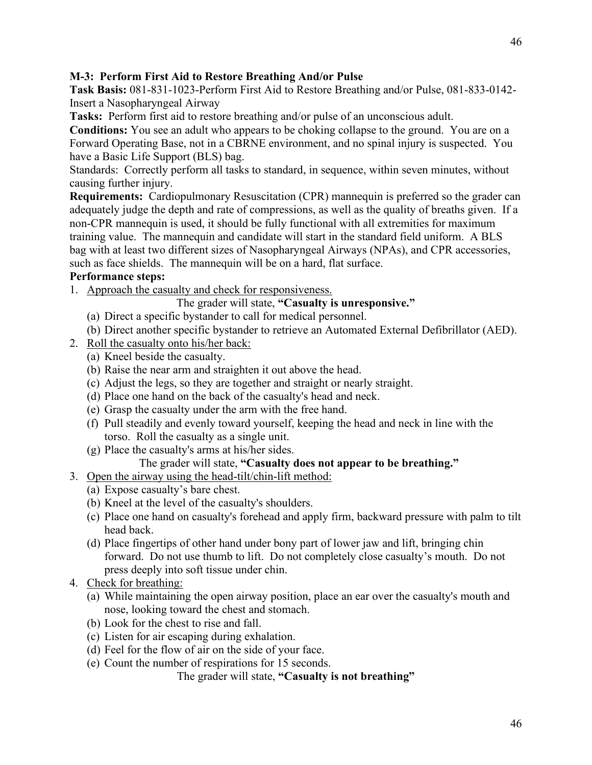**Task Basis:** 081-831-1023-Perform First Aid to Restore Breathing and/or Pulse, 081-833-0142- Insert a Nasopharyngeal Airway

**Tasks:** Perform first aid to restore breathing and/or pulse of an unconscious adult.

**Conditions:** You see an adult who appears to be choking collapse to the ground. You are on a Forward Operating Base, not in a CBRNE environment, and no spinal injury is suspected. You have a Basic Life Support (BLS) bag.

Standards: Correctly perform all tasks to standard, in sequence, within seven minutes, without causing further injury.

**Requirements:** Cardiopulmonary Resuscitation (CPR) mannequin is preferred so the grader can adequately judge the depth and rate of compressions, as well as the quality of breaths given. If a non-CPR mannequin is used, it should be fully functional with all extremities for maximum training value. The mannequin and candidate will start in the standard field uniform. A BLS bag with at least two different sizes of Nasopharyngeal Airways (NPAs), and CPR accessories, such as face shields. The mannequin will be on a hard, flat surface.

# **Performance steps:**

1. Approach the casualty and check for responsiveness.

The grader will state, **"Casualty is unresponsive."**

- (a) Direct a specific bystander to call for medical personnel.
- (b) Direct another specific bystander to retrieve an Automated External Defibrillator (AED).
- 2. Roll the casualty onto his/her back:
	- (a) Kneel beside the casualty.
	- (b) Raise the near arm and straighten it out above the head.
	- (c) Adjust the legs, so they are together and straight or nearly straight.
	- (d) Place one hand on the back of the casualty's head and neck.
	- (e) Grasp the casualty under the arm with the free hand.
	- (f) Pull steadily and evenly toward yourself, keeping the head and neck in line with the torso. Roll the casualty as a single unit.
	- (g) Place the casualty's arms at his/her sides.

# The grader will state, **"Casualty does not appear to be breathing."**

- 3. Open the airway using the head-tilt/chin-lift method:
	- (a) Expose casualty's bare chest.
	- (b) Kneel at the level of the casualty's shoulders.
	- (c) Place one hand on casualty's forehead and apply firm, backward pressure with palm to tilt head back.
	- (d) Place fingertips of other hand under bony part of lower jaw and lift, bringing chin forward. Do not use thumb to lift. Do not completely close casualty's mouth. Do not press deeply into soft tissue under chin.
- 4. Check for breathing:
	- (a) While maintaining the open airway position, place an ear over the casualty's mouth and nose, looking toward the chest and stomach.
	- (b) Look for the chest to rise and fall.
	- (c) Listen for air escaping during exhalation.
	- (d) Feel for the flow of air on the side of your face.
	- (e) Count the number of respirations for 15 seconds.

The grader will state, **"Casualty is not breathing"**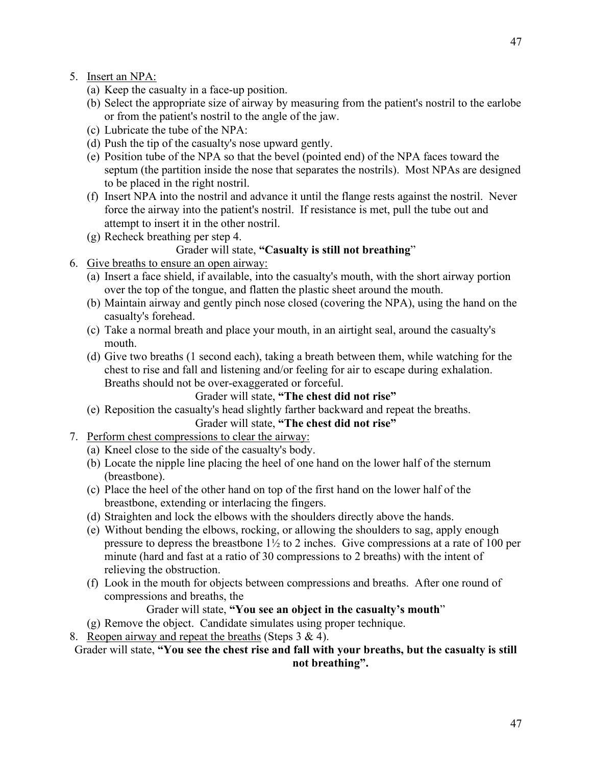- 5. Insert an NPA:
	- (a) Keep the casualty in a face-up position.
	- (b) Select the appropriate size of airway by measuring from the patient's nostril to the earlobe or from the patient's nostril to the angle of the jaw.
	- (c) Lubricate the tube of the NPA:
	- (d) Push the tip of the casualty's nose upward gently.
	- (e) Position tube of the NPA so that the bevel (pointed end) of the NPA faces toward the septum (the partition inside the nose that separates the nostrils). Most NPAs are designed to be placed in the right nostril.
	- (f) Insert NPA into the nostril and advance it until the flange rests against the nostril. Never force the airway into the patient's nostril. If resistance is met, pull the tube out and attempt to insert it in the other nostril.
	- (g) Recheck breathing per step 4.

# Grader will state, **"Casualty is still not breathing**"

- 6. Give breaths to ensure an open airway:
	- (a) Insert a face shield, if available, into the casualty's mouth, with the short airway portion over the top of the tongue, and flatten the plastic sheet around the mouth.
	- (b) Maintain airway and gently pinch nose closed (covering the NPA), using the hand on the casualty's forehead.
	- (c) Take a normal breath and place your mouth, in an airtight seal, around the casualty's mouth.
	- (d) Give two breaths (1 second each), taking a breath between them, while watching for the chest to rise and fall and listening and/or feeling for air to escape during exhalation. Breaths should not be over-exaggerated or forceful.

## Grader will state, **"The chest did not rise"**

- (e) Reposition the casualty's head slightly farther backward and repeat the breaths. Grader will state, **"The chest did not rise"**
- 7. Perform chest compressions to clear the airway:
	- (a) Kneel close to the side of the casualty's body.
	- (b) Locate the nipple line placing the heel of one hand on the lower half of the sternum (breastbone).
	- (c) Place the heel of the other hand on top of the first hand on the lower half of the breastbone, extending or interlacing the fingers.
	- (d) Straighten and lock the elbows with the shoulders directly above the hands.
	- (e) Without bending the elbows, rocking, or allowing the shoulders to sag, apply enough pressure to depress the breastbone 1½ to 2 inches. Give compressions at a rate of 100 per minute (hard and fast at a ratio of 30 compressions to 2 breaths) with the intent of relieving the obstruction.
	- (f) Look in the mouth for objects between compressions and breaths. After one round of compressions and breaths, the

## Grader will state, **"You see an object in the casualty's mouth**"

(g) Remove the object. Candidate simulates using proper technique.

8. Reopen airway and repeat the breaths (Steps 3 & 4).

### Grader will state, **"You see the chest rise and fall with your breaths, but the casualty is still not breathing".**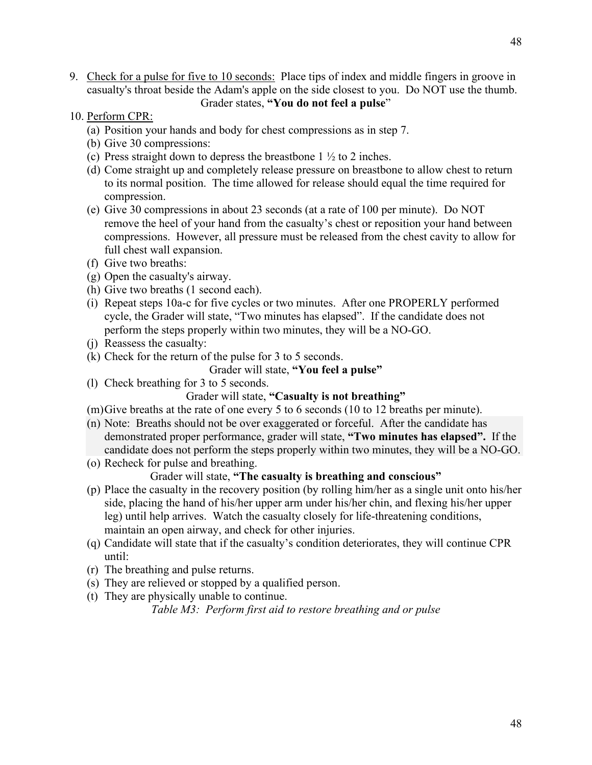- 9. Check for a pulse for five to 10 seconds: Place tips of index and middle fingers in groove in casualty's throat beside the Adam's apple on the side closest to you. Do NOT use the thumb. Grader states, **"You do not feel a pulse**"
- 10. Perform CPR:
	- (a) Position your hands and body for chest compressions as in step 7.
	- (b) Give 30 compressions:
	- (c) Press straight down to depress the breastbone  $1 \frac{1}{2}$  to 2 inches.
	- (d) Come straight up and completely release pressure on breastbone to allow chest to return to its normal position. The time allowed for release should equal the time required for compression.
	- (e) Give 30 compressions in about 23 seconds (at a rate of 100 per minute). Do NOT remove the heel of your hand from the casualty's chest or reposition your hand between compressions. However, all pressure must be released from the chest cavity to allow for full chest wall expansion.
	- (f) Give two breaths:
	- (g) Open the casualty's airway.
	- (h) Give two breaths (1 second each).
	- (i) Repeat steps 10a-c for five cycles or two minutes. After one PROPERLY performed cycle, the Grader will state, "Two minutes has elapsed". If the candidate does not perform the steps properly within two minutes, they will be a NO-GO.
	- (j) Reassess the casualty:
	- (k) Check for the return of the pulse for 3 to 5 seconds.

#### Grader will state, **"You feel a pulse"**

(l) Check breathing for 3 to 5 seconds.

## Grader will state, **"Casualty is not breathing"**

- (m)Give breaths at the rate of one every 5 to 6 seconds (10 to 12 breaths per minute).
- (n) Note: Breaths should not be over exaggerated or forceful. After the candidate has demonstrated proper performance, grader will state, **"Two minutes has elapsed".** If the candidate does not perform the steps properly within two minutes, they will be a NO-GO.
- (o) Recheck for pulse and breathing.

#### Grader will state, **"The casualty is breathing and conscious"**

- (p) Place the casualty in the recovery position (by rolling him/her as a single unit onto his/her side, placing the hand of his/her upper arm under his/her chin, and flexing his/her upper leg) until help arrives. Watch the casualty closely for life-threatening conditions, maintain an open airway, and check for other injuries.
- (q) Candidate will state that if the casualty's condition deteriorates, they will continue CPR until:
- (r) The breathing and pulse returns.
- (s) They are relieved or stopped by a qualified person.
- (t) They are physically unable to continue.

*Table M3: Perform first aid to restore breathing and or pulse*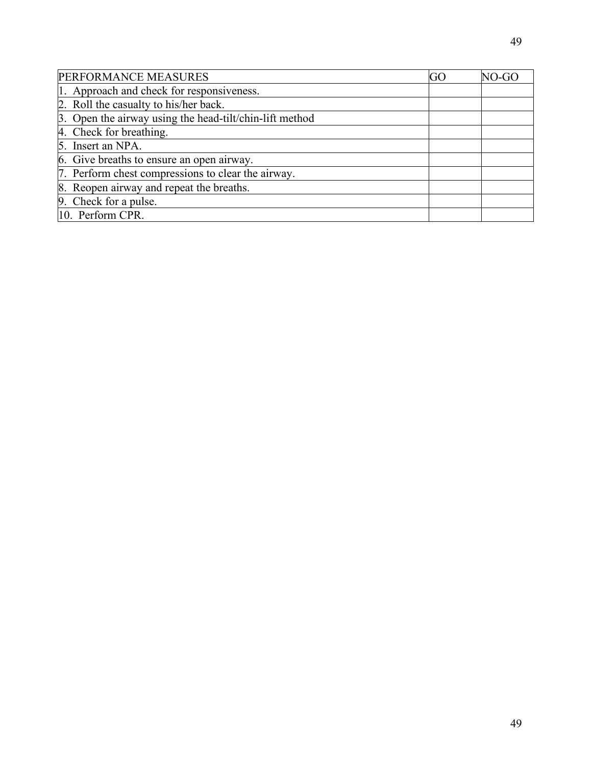| PERFORMANCE MEASURES                                    | GO | NO-GO |
|---------------------------------------------------------|----|-------|
| 1. Approach and check for responsiveness.               |    |       |
| 2. Roll the casualty to his/her back.                   |    |       |
| 3. Open the airway using the head-tilt/chin-lift method |    |       |
| 4. Check for breathing.                                 |    |       |
| 5. Insert an NPA.                                       |    |       |
| 6. Give breaths to ensure an open airway.               |    |       |
| 7. Perform chest compressions to clear the airway.      |    |       |
| 8. Reopen airway and repeat the breaths.                |    |       |
| 9. Check for a pulse.                                   |    |       |
| 10. Perform CPR.                                        |    |       |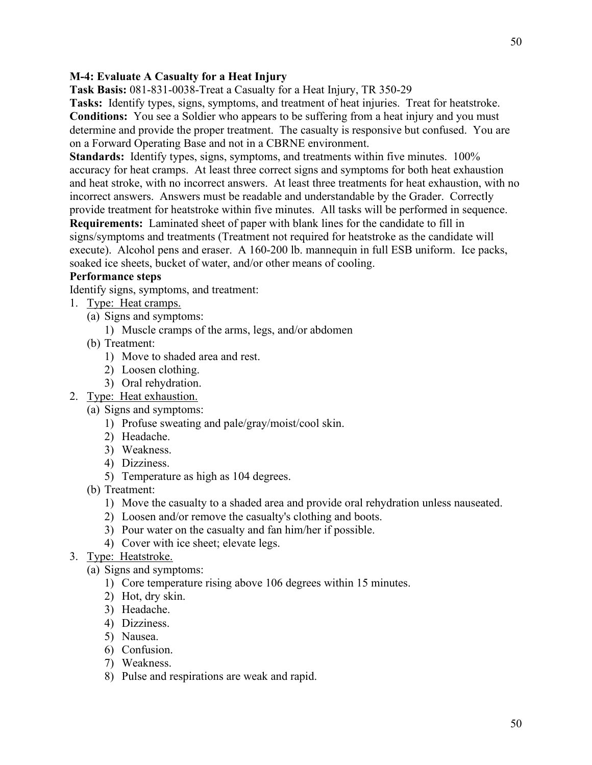# **M-4: Evaluate A Casualty for a Heat Injury**

**Task Basis:** 081-831-0038-Treat a Casualty for a Heat Injury, TR 350-29

**Tasks:** Identify types, signs, symptoms, and treatment of heat injuries. Treat for heatstroke. **Conditions:** You see a Soldier who appears to be suffering from a heat injury and you must determine and provide the proper treatment. The casualty is responsive but confused. You are on a Forward Operating Base and not in a CBRNE environment.

**Standards:** Identify types, signs, symptoms, and treatments within five minutes. 100% accuracy for heat cramps. At least three correct signs and symptoms for both heat exhaustion and heat stroke, with no incorrect answers. At least three treatments for heat exhaustion, with no incorrect answers. Answers must be readable and understandable by the Grader. Correctly provide treatment for heatstroke within five minutes. All tasks will be performed in sequence. **Requirements:** Laminated sheet of paper with blank lines for the candidate to fill in signs/symptoms and treatments (Treatment not required for heatstroke as the candidate will execute). Alcohol pens and eraser. A 160-200 lb. mannequin in full ESB uniform. Ice packs, soaked ice sheets, bucket of water, and/or other means of cooling.

# **Performance steps**

Identify signs, symptoms, and treatment:

- 1. Type: Heat cramps.
	- (a) Signs and symptoms:
		- 1) Muscle cramps of the arms, legs, and/or abdomen
	- (b) Treatment:
		- 1) Move to shaded area and rest.
		- 2) Loosen clothing.
		- 3) Oral rehydration.
- 2. Type: Heat exhaustion.
	- (a) Signs and symptoms:
		- 1) Profuse sweating and pale/gray/moist/cool skin.
		- 2) Headache.
		- 3) Weakness.
		- 4) Dizziness.
		- 5) Temperature as high as 104 degrees.
		- (b) Treatment:
			- 1) Move the casualty to a shaded area and provide oral rehydration unless nauseated.
			- 2) Loosen and/or remove the casualty's clothing and boots.
			- 3) Pour water on the casualty and fan him/her if possible.
			- 4) Cover with ice sheet; elevate legs.
- 3. Type: Heatstroke.
	- (a) Signs and symptoms:
		- 1) Core temperature rising above 106 degrees within 15 minutes.
		- 2) Hot, dry skin.
		- 3) Headache.
		- 4) Dizziness.
		- 5) Nausea.
		- 6) Confusion.
		- 7) Weakness.
		- 8) Pulse and respirations are weak and rapid.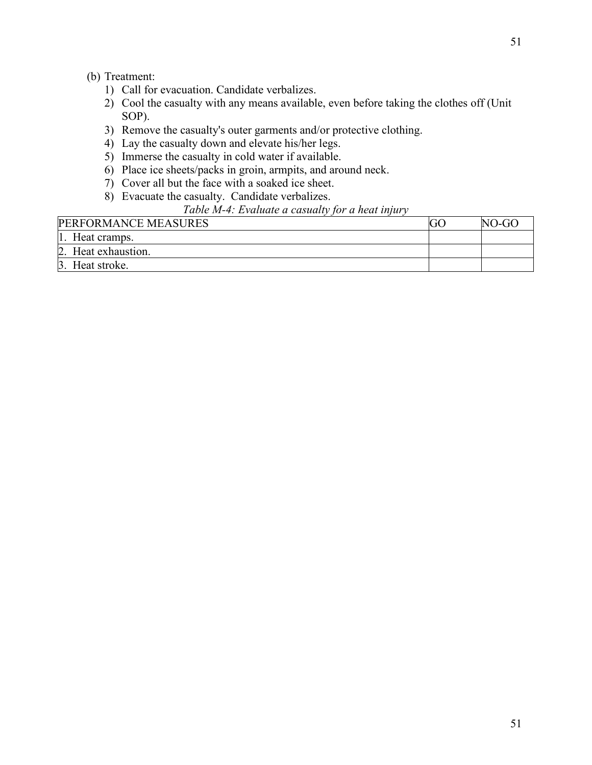# (b) Treatment:

- 1) Call for evacuation. Candidate verbalizes.
- 2) Cool the casualty with any means available, even before taking the clothes off (Unit SOP).
- 3) Remove the casualty's outer garments and/or protective clothing.
- 4) Lay the casualty down and elevate his/her legs.
- 5) Immerse the casualty in cold water if available.
- 6) Place ice sheets/packs in groin, armpits, and around neck.
- 7) Cover all but the face with a soaked ice sheet.
- 8) Evacuate the casualty. Candidate verbalizes.

# *Table M-4: Evaluate a casualty for a heat injury*

| PERFORMANCE MEASURES | NO-GO |
|----------------------|-------|
| 1. Heat cramps.      |       |
| 2. Heat exhaustion.  |       |
| 3. Heat stroke.      |       |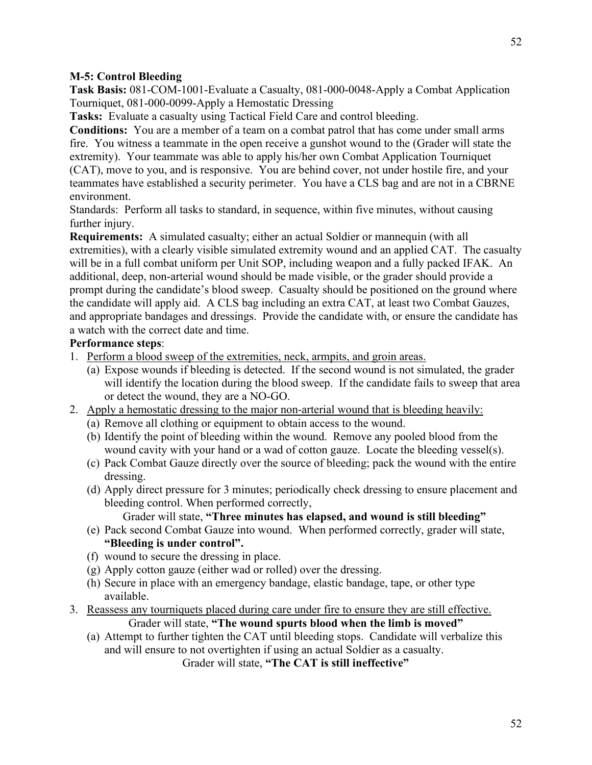### **M-5: Control Bleeding**

**Task Basis:** 081-COM-1001-Evaluate a Casualty, 081-000-0048-Apply a Combat Application Tourniquet, 081-000-0099-Apply a Hemostatic Dressing

**Tasks:** Evaluate a casualty using Tactical Field Care and control bleeding.

**Conditions:** You are a member of a team on a combat patrol that has come under small arms fire. You witness a teammate in the open receive a gunshot wound to the (Grader will state the extremity). Your teammate was able to apply his/her own Combat Application Tourniquet (CAT), move to you, and is responsive. You are behind cover, not under hostile fire, and your teammates have established a security perimeter. You have a CLS bag and are not in a CBRNE environment.

Standards: Perform all tasks to standard, in sequence, within five minutes, without causing further injury.

**Requirements:** A simulated casualty; either an actual Soldier or mannequin (with all extremities), with a clearly visible simulated extremity wound and an applied CAT. The casualty will be in a full combat uniform per Unit SOP, including weapon and a fully packed IFAK. An additional, deep, non-arterial wound should be made visible, or the grader should provide a prompt during the candidate's blood sweep. Casualty should be positioned on the ground where the candidate will apply aid. A CLS bag including an extra CAT, at least two Combat Gauzes, and appropriate bandages and dressings. Provide the candidate with, or ensure the candidate has a watch with the correct date and time.

### **Performance steps**:

- 1. Perform a blood sweep of the extremities, neck, armpits, and groin areas.
	- (a) Expose wounds if bleeding is detected. If the second wound is not simulated, the grader will identify the location during the blood sweep. If the candidate fails to sweep that area or detect the wound, they are a NO-GO.
- 2. Apply a hemostatic dressing to the major non-arterial wound that is bleeding heavily:
	- (a) Remove all clothing or equipment to obtain access to the wound.
	- (b) Identify the point of bleeding within the wound. Remove any pooled blood from the wound cavity with your hand or a wad of cotton gauze. Locate the bleeding vessel(s).
	- (c) Pack Combat Gauze directly over the source of bleeding; pack the wound with the entire dressing.
	- (d) Apply direct pressure for 3 minutes; periodically check dressing to ensure placement and bleeding control. When performed correctly,

# Grader will state, **"Three minutes has elapsed, and wound is still bleeding"**

- (e) Pack second Combat Gauze into wound. When performed correctly, grader will state, **"Bleeding is under control".**
- (f) wound to secure the dressing in place.
- (g) Apply cotton gauze (either wad or rolled) over the dressing.
- (h) Secure in place with an emergency bandage, elastic bandage, tape, or other type available.
- 3. Reassess any tourniquets placed during care under fire to ensure they are still effective. Grader will state, **"The wound spurts blood when the limb is moved"**
	- (a) Attempt to further tighten the CAT until bleeding stops. Candidate will verbalize this and will ensure to not overtighten if using an actual Soldier as a casualty.

Grader will state, **"The CAT is still ineffective"**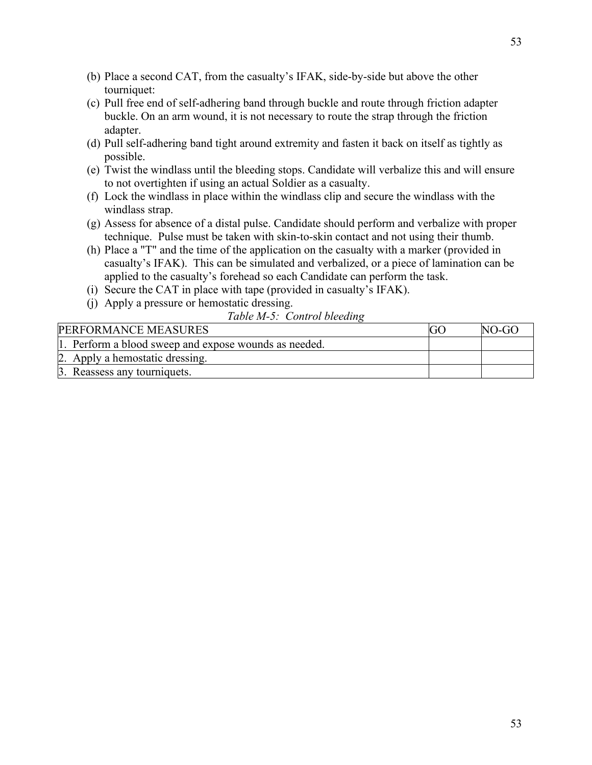- (b) Place a second CAT, from the casualty's IFAK, side-by-side but above the other tourniquet:
- (c) Pull free end of self-adhering band through buckle and route through friction adapter buckle. On an arm wound, it is not necessary to route the strap through the friction adapter.
- (d) Pull self-adhering band tight around extremity and fasten it back on itself as tightly as possible.
- (e) Twist the windlass until the bleeding stops. Candidate will verbalize this and will ensure to not overtighten if using an actual Soldier as a casualty.
- (f) Lock the windlass in place within the windlass clip and secure the windlass with the windlass strap.
- (g) Assess for absence of a distal pulse. Candidate should perform and verbalize with proper technique. Pulse must be taken with skin-to-skin contact and not using their thumb.
- (h) Place a "T" and the time of the application on the casualty with a marker (provided in casualty's IFAK). This can be simulated and verbalized, or a piece of lamination can be applied to the casualty's forehead so each Candidate can perform the task.
- (i) Secure the CAT in place with tape (provided in casualty's IFAK).
- (j) Apply a pressure or hemostatic dressing.
	- *Table M-5: Control bleeding*

| <b>PERFORMANCE MEASURES</b>                           | NO-GO |
|-------------------------------------------------------|-------|
| 1. Perform a blood sweep and expose wounds as needed. |       |
| 2. Apply a hemostatic dressing.                       |       |
| 3. Reassess any tourniquets.                          |       |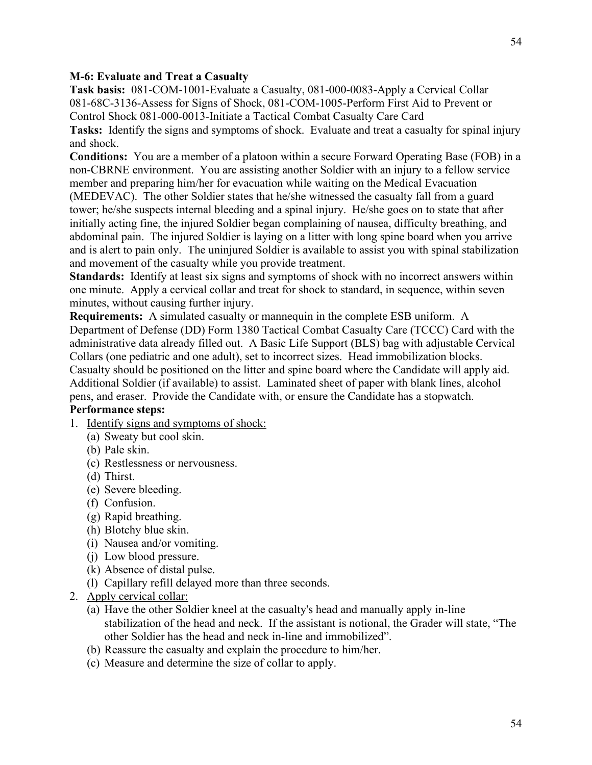#### **M-6: Evaluate and Treat a Casualty**

**Task basis:** 081-COM-1001-Evaluate a Casualty, 081-000-0083-Apply a Cervical Collar 081-68C-3136-Assess for Signs of Shock, 081-COM-1005-Perform First Aid to Prevent or Control Shock 081-000-0013-Initiate a Tactical Combat Casualty Care Card **Tasks:** Identify the signs and symptoms of shock. Evaluate and treat a casualty for spinal injury

and shock.

**Conditions:** You are a member of a platoon within a secure Forward Operating Base (FOB) in a non-CBRNE environment. You are assisting another Soldier with an injury to a fellow service member and preparing him/her for evacuation while waiting on the Medical Evacuation (MEDEVAC). The other Soldier states that he/she witnessed the casualty fall from a guard tower; he/she suspects internal bleeding and a spinal injury. He/she goes on to state that after initially acting fine, the injured Soldier began complaining of nausea, difficulty breathing, and abdominal pain. The injured Soldier is laying on a litter with long spine board when you arrive and is alert to pain only. The uninjured Soldier is available to assist you with spinal stabilization and movement of the casualty while you provide treatment.

**Standards:** Identify at least six signs and symptoms of shock with no incorrect answers within one minute. Apply a cervical collar and treat for shock to standard, in sequence, within seven minutes, without causing further injury.

**Requirements:** A simulated casualty or mannequin in the complete ESB uniform. A Department of Defense (DD) Form 1380 Tactical Combat Casualty Care (TCCC) Card with the administrative data already filled out. A Basic Life Support (BLS) bag with adjustable Cervical Collars (one pediatric and one adult), set to incorrect sizes. Head immobilization blocks. Casualty should be positioned on the litter and spine board where the Candidate will apply aid. Additional Soldier (if available) to assist. Laminated sheet of paper with blank lines, alcohol pens, and eraser. Provide the Candidate with, or ensure the Candidate has a stopwatch.

# **Performance steps:**

- 1. Identify signs and symptoms of shock:
	- (a) Sweaty but cool skin.
	- (b) Pale skin.
	- (c) Restlessness or nervousness.
	- (d) Thirst.
	- (e) Severe bleeding.
	- (f) Confusion.
	- (g) Rapid breathing.
	- (h) Blotchy blue skin.
	- (i) Nausea and/or vomiting.
	- (j) Low blood pressure.
	- (k) Absence of distal pulse.
	- (l) Capillary refill delayed more than three seconds.
- 2. Apply cervical collar:
	- (a) Have the other Soldier kneel at the casualty's head and manually apply in-line stabilization of the head and neck. If the assistant is notional, the Grader will state, "The other Soldier has the head and neck in-line and immobilized".
	- (b) Reassure the casualty and explain the procedure to him/her.
	- (c) Measure and determine the size of collar to apply.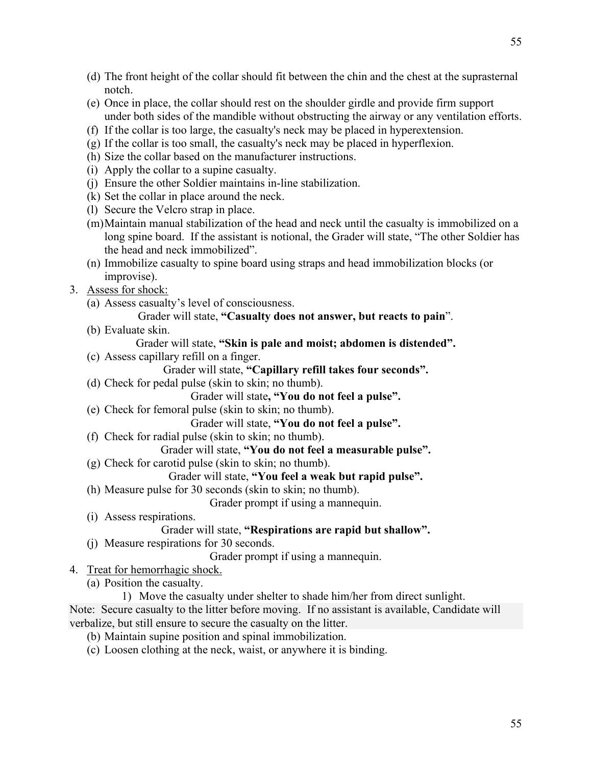- (e) Once in place, the collar should rest on the shoulder girdle and provide firm support under both sides of the mandible without obstructing the airway or any ventilation efforts.
- (f) If the collar is too large, the casualty's neck may be placed in hyperextension.
- (g) If the collar is too small, the casualty's neck may be placed in hyperflexion.
- (h) Size the collar based on the manufacturer instructions.
- (i) Apply the collar to a supine casualty.
- (j) Ensure the other Soldier maintains in-line stabilization.
- (k) Set the collar in place around the neck.
- (l) Secure the Velcro strap in place.
- (m)Maintain manual stabilization of the head and neck until the casualty is immobilized on a long spine board. If the assistant is notional, the Grader will state, "The other Soldier has the head and neck immobilized".
- (n) Immobilize casualty to spine board using straps and head immobilization blocks (or improvise).
- 3. Assess for shock:

notch.

- (a) Assess casualty's level of consciousness.
	- Grader will state, **"Casualty does not answer, but reacts to pain**".
- (b) Evaluate skin.
	- Grader will state, **"Skin is pale and moist; abdomen is distended".**
- (c) Assess capillary refill on a finger.
	- Grader will state, **"Capillary refill takes four seconds".**
- (d) Check for pedal pulse (skin to skin; no thumb).
	- Grader will state**, "You do not feel a pulse".**
- (e) Check for femoral pulse (skin to skin; no thumb).

Grader will state, **"You do not feel a pulse".**

(f) Check for radial pulse (skin to skin; no thumb).

Grader will state, **"You do not feel a measurable pulse".**

- (g) Check for carotid pulse (skin to skin; no thumb).
	- Grader will state, **"You feel a weak but rapid pulse".**
- (h) Measure pulse for 30 seconds (skin to skin; no thumb).

Grader prompt if using a mannequin.

(i) Assess respirations.

## Grader will state, **"Respirations are rapid but shallow".**

(j) Measure respirations for 30 seconds.

Grader prompt if using a mannequin.

4. Treat for hemorrhagic shock.

(a) Position the casualty.

1) Move the casualty under shelter to shade him/her from direct sunlight. Note: Secure casualty to the litter before moving. If no assistant is available, Candidate will verbalize, but still ensure to secure the casualty on the litter.

- (b) Maintain supine position and spinal immobilization.
- (c) Loosen clothing at the neck, waist, or anywhere it is binding.

55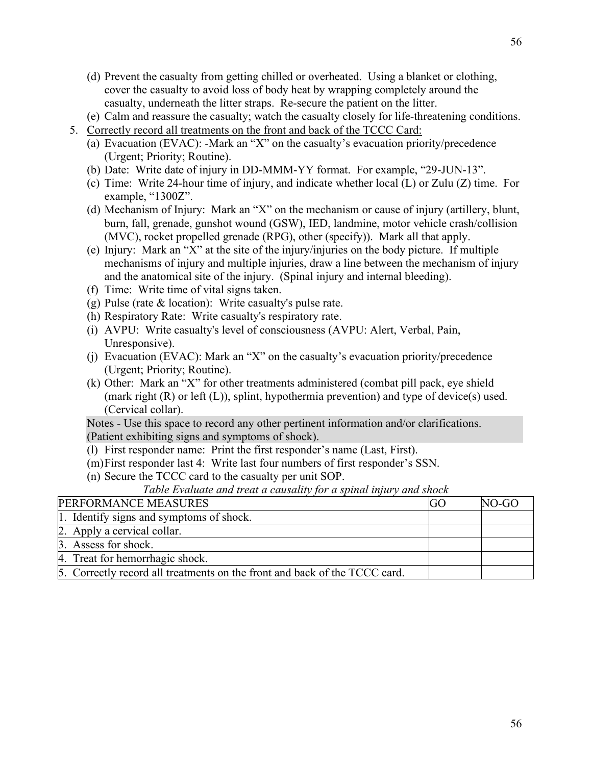- (d) Prevent the casualty from getting chilled or overheated. Using a blanket or clothing, cover the casualty to avoid loss of body heat by wrapping completely around the casualty, underneath the litter straps. Re-secure the patient on the litter.
- (e) Calm and reassure the casualty; watch the casualty closely for life-threatening conditions.
- 5. Correctly record all treatments on the front and back of the TCCC Card:
	- (a) Evacuation (EVAC): -Mark an "X" on the casualty's evacuation priority/precedence (Urgent; Priority; Routine).
	- (b) Date: Write date of injury in DD-MMM-YY format. For example, "29-JUN-13".
	- (c) Time: Write 24-hour time of injury, and indicate whether local (L) or Zulu (Z) time. For example, "1300Z".
	- (d) Mechanism of Injury: Mark an "X" on the mechanism or cause of injury (artillery, blunt, burn, fall, grenade, gunshot wound (GSW), IED, landmine, motor vehicle crash/collision (MVC), rocket propelled grenade (RPG), other (specify)). Mark all that apply.
	- (e) Injury: Mark an "X" at the site of the injury/injuries on the body picture. If multiple mechanisms of injury and multiple injuries, draw a line between the mechanism of injury and the anatomical site of the injury. (Spinal injury and internal bleeding).
	- (f) Time: Write time of vital signs taken.
	- (g) Pulse (rate & location): Write casualty's pulse rate.
	- (h) Respiratory Rate: Write casualty's respiratory rate.
	- (i) AVPU: Write casualty's level of consciousness (AVPU: Alert, Verbal, Pain, Unresponsive).
	- (j) Evacuation (EVAC): Mark an "X" on the casualty's evacuation priority/precedence (Urgent; Priority; Routine).
	- (k) Other: Mark an "X" for other treatments administered (combat pill pack, eye shield (mark right  $(R)$  or left  $(L)$ ), splint, hypothermia prevention) and type of device(s) used. (Cervical collar).

Notes - Use this space to record any other pertinent information and/or clarifications. (Patient exhibiting signs and symptoms of shock).

- (l) First responder name: Print the first responder's name (Last, First).
- (m)First responder last 4: Write last four numbers of first responder's SSN.
- (n) Secure the TCCC card to the casualty per unit SOP.

*Table Evaluate and treat a causality for a spinal injury and shock*

| PERFORMANCE MEASURES                                                       | GO | NO-GO |
|----------------------------------------------------------------------------|----|-------|
| 1. Identify signs and symptoms of shock.                                   |    |       |
| 2. Apply a cervical collar.                                                |    |       |
| 3. Assess for shock.                                                       |    |       |
| 4. Treat for hemorrhagic shock.                                            |    |       |
| 5. Correctly record all treatments on the front and back of the TCCC card. |    |       |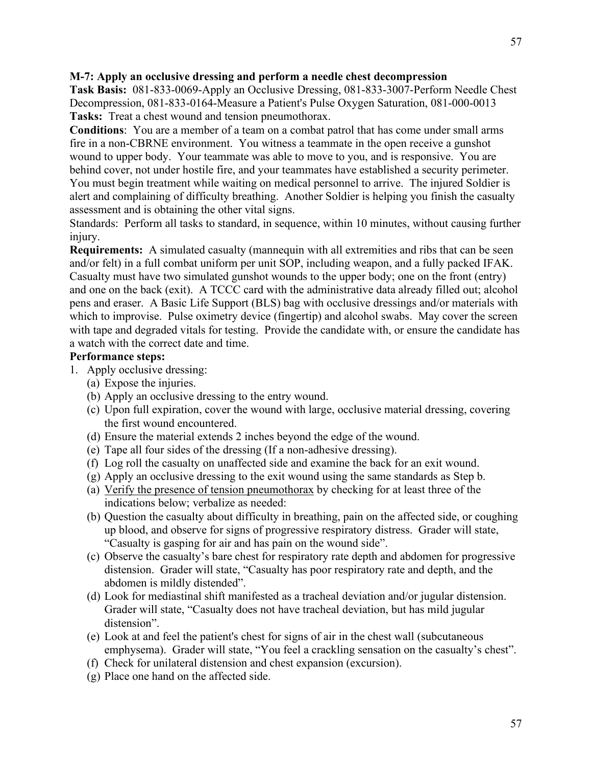### **M-7: Apply an occlusive dressing and perform a needle chest decompression**

**Task Basis:** 081-833-0069-Apply an Occlusive Dressing, 081-833-3007-Perform Needle Chest Decompression, 081-833-0164-Measure a Patient's Pulse Oxygen Saturation, 081-000-0013 **Tasks:** Treat a chest wound and tension pneumothorax.

**Conditions**: You are a member of a team on a combat patrol that has come under small arms fire in a non-CBRNE environment. You witness a teammate in the open receive a gunshot wound to upper body. Your teammate was able to move to you, and is responsive. You are behind cover, not under hostile fire, and your teammates have established a security perimeter. You must begin treatment while waiting on medical personnel to arrive. The injured Soldier is alert and complaining of difficulty breathing. Another Soldier is helping you finish the casualty assessment and is obtaining the other vital signs.

Standards: Perform all tasks to standard, in sequence, within 10 minutes, without causing further injury.

**Requirements:** A simulated casualty (mannequin with all extremities and ribs that can be seen and/or felt) in a full combat uniform per unit SOP, including weapon, and a fully packed IFAK. Casualty must have two simulated gunshot wounds to the upper body; one on the front (entry) and one on the back (exit). A TCCC card with the administrative data already filled out; alcohol pens and eraser. A Basic Life Support (BLS) bag with occlusive dressings and/or materials with which to improvise. Pulse oximetry device (fingertip) and alcohol swabs. May cover the screen with tape and degraded vitals for testing. Provide the candidate with, or ensure the candidate has a watch with the correct date and time.

## **Performance steps:**

- 1. Apply occlusive dressing:
	- (a) Expose the injuries.
	- (b) Apply an occlusive dressing to the entry wound.
	- (c) Upon full expiration, cover the wound with large, occlusive material dressing, covering the first wound encountered.
	- (d) Ensure the material extends 2 inches beyond the edge of the wound.
	- (e) Tape all four sides of the dressing (If a non-adhesive dressing).
	- (f) Log roll the casualty on unaffected side and examine the back for an exit wound.
	- (g) Apply an occlusive dressing to the exit wound using the same standards as Step b.
	- (a) Verify the presence of tension pneumothorax by checking for at least three of the indications below; verbalize as needed:
	- (b) Question the casualty about difficulty in breathing, pain on the affected side, or coughing up blood, and observe for signs of progressive respiratory distress. Grader will state, "Casualty is gasping for air and has pain on the wound side".
	- (c) Observe the casualty's bare chest for respiratory rate depth and abdomen for progressive distension. Grader will state, "Casualty has poor respiratory rate and depth, and the abdomen is mildly distended".
	- (d) Look for mediastinal shift manifested as a tracheal deviation and/or jugular distension. Grader will state, "Casualty does not have tracheal deviation, but has mild jugular distension".
	- (e) Look at and feel the patient's chest for signs of air in the chest wall (subcutaneous emphysema). Grader will state, "You feel a crackling sensation on the casualty's chest".
	- (f) Check for unilateral distension and chest expansion (excursion).
	- (g) Place one hand on the affected side.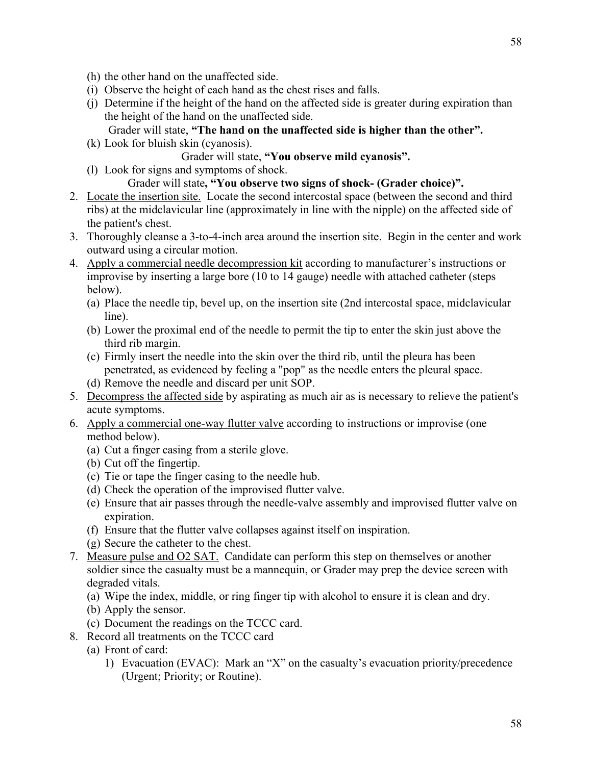- (h) the other hand on the unaffected side.
- (i) Observe the height of each hand as the chest rises and falls.
- (j) Determine if the height of the hand on the affected side is greater during expiration than the height of the hand on the unaffected side.

# Grader will state, **"The hand on the unaffected side is higher than the other".**

- (k) Look for bluish skin (cyanosis).
	- Grader will state, **"You observe mild cyanosis".**
- (l) Look for signs and symptoms of shock.

## Grader will state**, "You observe two signs of shock- (Grader choice)".**

- 2. Locate the insertion site. Locate the second intercostal space (between the second and third ribs) at the midclavicular line (approximately in line with the nipple) on the affected side of the patient's chest.
- 3. Thoroughly cleanse a 3-to-4-inch area around the insertion site. Begin in the center and work outward using a circular motion.
- 4. Apply a commercial needle decompression kit according to manufacturer's instructions or improvise by inserting a large bore (10 to 14 gauge) needle with attached catheter (steps below).
	- (a) Place the needle tip, bevel up, on the insertion site (2nd intercostal space, midclavicular line).
	- (b) Lower the proximal end of the needle to permit the tip to enter the skin just above the third rib margin.
	- (c) Firmly insert the needle into the skin over the third rib, until the pleura has been penetrated, as evidenced by feeling a "pop" as the needle enters the pleural space.
	- (d) Remove the needle and discard per unit SOP.
- 5. Decompress the affected side by aspirating as much air as is necessary to relieve the patient's acute symptoms.
- 6. Apply a commercial one-way flutter valve according to instructions or improvise (one method below).
	- (a) Cut a finger casing from a sterile glove.
	- (b) Cut off the fingertip.
	- (c) Tie or tape the finger casing to the needle hub.
	- (d) Check the operation of the improvised flutter valve.
	- (e) Ensure that air passes through the needle-valve assembly and improvised flutter valve on expiration.
	- (f) Ensure that the flutter valve collapses against itself on inspiration.
	- (g) Secure the catheter to the chest.
- 7. Measure pulse and O2 SAT. Candidate can perform this step on themselves or another soldier since the casualty must be a mannequin, or Grader may prep the device screen with degraded vitals.
	- (a) Wipe the index, middle, or ring finger tip with alcohol to ensure it is clean and dry.
	- (b) Apply the sensor.
	- (c) Document the readings on the TCCC card.
- 8. Record all treatments on the TCCC card
- (a) Front of card:
	- 1) Evacuation (EVAC): Mark an "X" on the casualty's evacuation priority/precedence (Urgent; Priority; or Routine).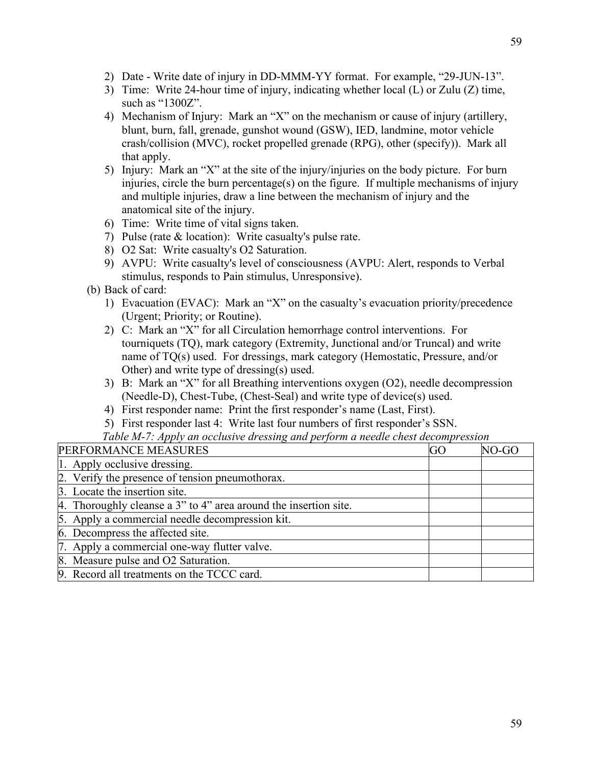- 2) Date Write date of injury in DD-MMM-YY format. For example, "29-JUN-13".
- 3) Time: Write 24-hour time of injury, indicating whether local (L) or Zulu (Z) time, such as "1300Z".
- 4) Mechanism of Injury: Mark an "X" on the mechanism or cause of injury (artillery, blunt, burn, fall, grenade, gunshot wound (GSW), IED, landmine, motor vehicle crash/collision (MVC), rocket propelled grenade (RPG), other (specify)). Mark all that apply.
- 5) Injury: Mark an "X" at the site of the injury/injuries on the body picture. For burn injuries, circle the burn percentage(s) on the figure. If multiple mechanisms of injury and multiple injuries, draw a line between the mechanism of injury and the anatomical site of the injury.
- 6) Time: Write time of vital signs taken.
- 7) Pulse (rate & location): Write casualty's pulse rate.
- 8) O2 Sat: Write casualty's O2 Saturation.
- 9) AVPU: Write casualty's level of consciousness (AVPU: Alert, responds to Verbal stimulus, responds to Pain stimulus, Unresponsive).
- (b) Back of card:
	- 1) Evacuation (EVAC): Mark an "X" on the casualty's evacuation priority/precedence (Urgent; Priority; or Routine).
	- 2) C: Mark an "X" for all Circulation hemorrhage control interventions. For tourniquets (TQ), mark category (Extremity, Junctional and/or Truncal) and write name of TQ(s) used. For dressings, mark category (Hemostatic, Pressure, and/or Other) and write type of dressing(s) used.
	- 3) B: Mark an "X" for all Breathing interventions oxygen (O2), needle decompression (Needle-D), Chest-Tube, (Chest-Seal) and write type of device(s) used.
	- 4) First responder name: Print the first responder's name (Last, First).
	- 5) First responder last 4: Write last four numbers of first responder's SSN.

### *Table M-7: Apply an occlusive dressing and perform a needle chest decompression*

| GO | NO-GC |
|----|-------|
|    |       |
|    |       |
|    |       |
|    |       |
|    |       |
|    |       |
|    |       |
|    |       |
|    |       |
|    |       |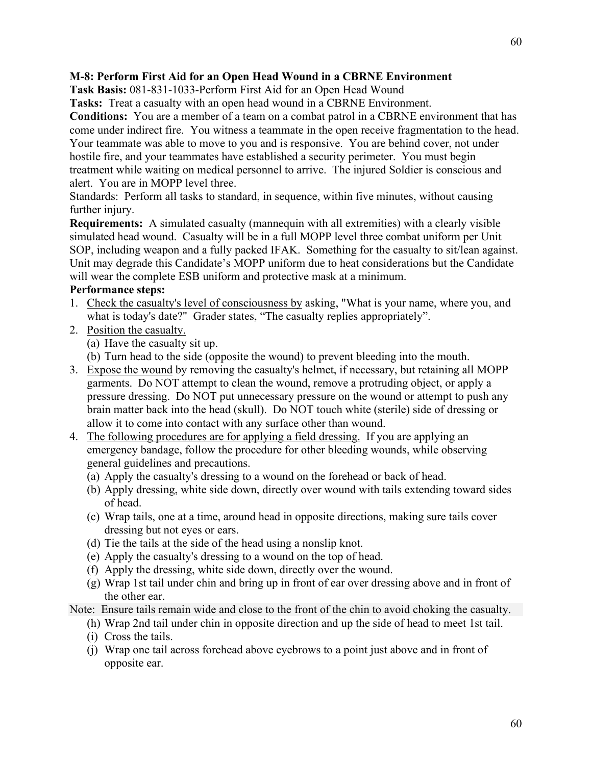### **M-8: Perform First Aid for an Open Head Wound in a CBRNE Environment**

**Task Basis:** 081-831-1033-Perform First Aid for an Open Head Wound

**Tasks:** Treat a casualty with an open head wound in a CBRNE Environment.

**Conditions:** You are a member of a team on a combat patrol in a CBRNE environment that has come under indirect fire. You witness a teammate in the open receive fragmentation to the head. Your teammate was able to move to you and is responsive. You are behind cover, not under hostile fire, and your teammates have established a security perimeter. You must begin treatment while waiting on medical personnel to arrive. The injured Soldier is conscious and alert. You are in MOPP level three.

Standards: Perform all tasks to standard, in sequence, within five minutes, without causing further injury.

**Requirements:** A simulated casualty (mannequin with all extremities) with a clearly visible simulated head wound. Casualty will be in a full MOPP level three combat uniform per Unit SOP, including weapon and a fully packed IFAK. Something for the casualty to sit/lean against. Unit may degrade this Candidate's MOPP uniform due to heat considerations but the Candidate will wear the complete ESB uniform and protective mask at a minimum.

### **Performance steps:**

- 1. Check the casualty's level of consciousness by asking, "What is your name, where you, and what is today's date?" Grader states, "The casualty replies appropriately".
- 2. Position the casualty.
	- (a) Have the casualty sit up.
	- (b) Turn head to the side (opposite the wound) to prevent bleeding into the mouth.
- 3. Expose the wound by removing the casualty's helmet, if necessary, but retaining all MOPP garments. Do NOT attempt to clean the wound, remove a protruding object, or apply a pressure dressing. Do NOT put unnecessary pressure on the wound or attempt to push any brain matter back into the head (skull). Do NOT touch white (sterile) side of dressing or allow it to come into contact with any surface other than wound.
- 4. The following procedures are for applying a field dressing. If you are applying an emergency bandage, follow the procedure for other bleeding wounds, while observing general guidelines and precautions.
	- (a) Apply the casualty's dressing to a wound on the forehead or back of head.
	- (b) Apply dressing, white side down, directly over wound with tails extending toward sides of head.
	- (c) Wrap tails, one at a time, around head in opposite directions, making sure tails cover dressing but not eyes or ears.
	- (d) Tie the tails at the side of the head using a nonslip knot.
	- (e) Apply the casualty's dressing to a wound on the top of head.
	- (f) Apply the dressing, white side down, directly over the wound.
	- (g) Wrap 1st tail under chin and bring up in front of ear over dressing above and in front of the other ear.

Note: Ensure tails remain wide and close to the front of the chin to avoid choking the casualty.

- (h) Wrap 2nd tail under chin in opposite direction and up the side of head to meet 1st tail.
- (i) Cross the tails.
- (j) Wrap one tail across forehead above eyebrows to a point just above and in front of opposite ear.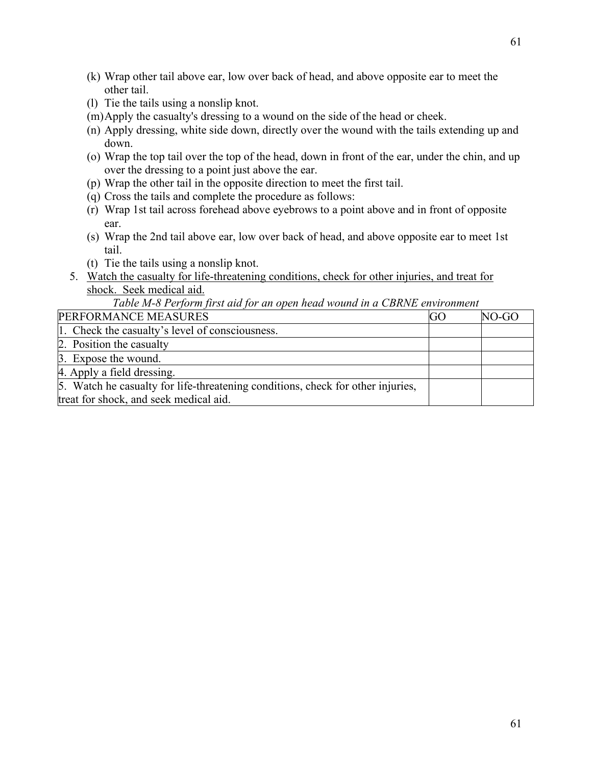- (k) Wrap other tail above ear, low over back of head, and above opposite ear to meet the other tail.
- (l) Tie the tails using a nonslip knot.
- (m)Apply the casualty's dressing to a wound on the side of the head or cheek.
- (n) Apply dressing, white side down, directly over the wound with the tails extending up and down.
- (o) Wrap the top tail over the top of the head, down in front of the ear, under the chin, and up over the dressing to a point just above the ear.
- (p) Wrap the other tail in the opposite direction to meet the first tail.
- (q) Cross the tails and complete the procedure as follows:
- (r) Wrap 1st tail across forehead above eyebrows to a point above and in front of opposite ear.
- (s) Wrap the 2nd tail above ear, low over back of head, and above opposite ear to meet 1st tail.
- (t) Tie the tails using a nonslip knot.
- 5. Watch the casualty for life-threatening conditions, check for other injuries, and treat for shock. Seek medical aid.

| Tuble M-0 I erform first and for an open nead wound in a CDRIVE environment     |    |       |
|---------------------------------------------------------------------------------|----|-------|
| PERFORMANCE MEASURES                                                            | GO | NO-GO |
| 1. Check the casualty's level of consciousness.                                 |    |       |
| 2. Position the casualty                                                        |    |       |
| 3. Expose the wound.                                                            |    |       |
| 4. Apply a field dressing.                                                      |    |       |
| 5. Watch he casualty for life-threatening conditions, check for other injuries, |    |       |
| treat for shock, and seek medical aid.                                          |    |       |

*Table M-8 Perform first aid for an open head wound in a CBRNE environment*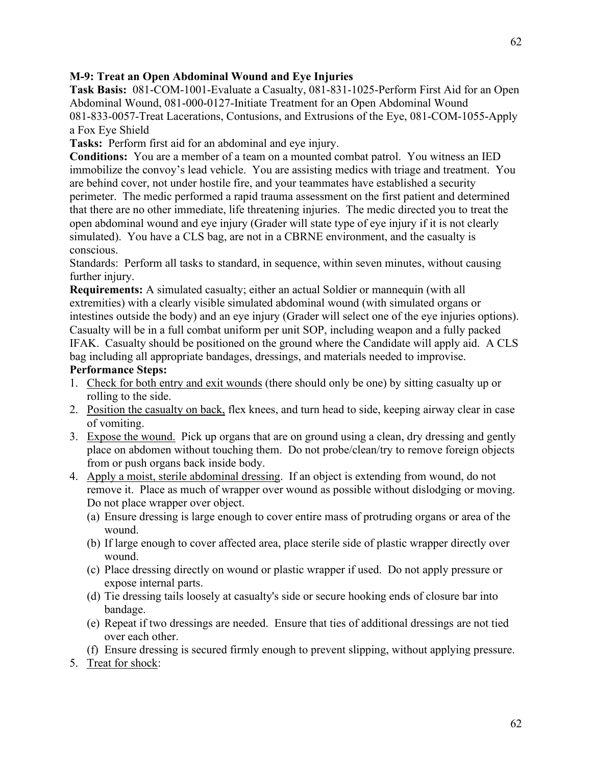## **M-9: Treat an Open Abdominal Wound and Eye Injuries**

**Task Basis:** 081-COM-1001-Evaluate a Casualty, 081-831-1025-Perform First Aid for an Open Abdominal Wound, 081-000-0127-Initiate Treatment for an Open Abdominal Wound 081-833-0057-Treat Lacerations, Contusions, and Extrusions of the Eye, 081-COM-1055-Apply a Fox Eye Shield

**Tasks:** Perform first aid for an abdominal and eye injury.

**Conditions:** You are a member of a team on a mounted combat patrol. You witness an IED immobilize the convoy's lead vehicle. You are assisting medics with triage and treatment. You are behind cover, not under hostile fire, and your teammates have established a security perimeter. The medic performed a rapid trauma assessment on the first patient and determined that there are no other immediate, life threatening injuries. The medic directed you to treat the open abdominal wound and eye injury (Grader will state type of eye injury if it is not clearly simulated). You have a CLS bag, are not in a CBRNE environment, and the casualty is conscious.

Standards: Perform all tasks to standard, in sequence, within seven minutes, without causing further injury.

**Requirements:** A simulated casualty; either an actual Soldier or mannequin (with all extremities) with a clearly visible simulated abdominal wound (with simulated organs or intestines outside the body) and an eye injury (Grader will select one of the eye injuries options). Casualty will be in a full combat uniform per unit SOP, including weapon and a fully packed IFAK. Casualty should be positioned on the ground where the Candidate will apply aid. A CLS bag including all appropriate bandages, dressings, and materials needed to improvise.

#### **Performance Steps:**

- 1. Check for both entry and exit wounds (there should only be one) by sitting casualty up or rolling to the side.
- 2. Position the casualty on back, flex knees, and turn head to side, keeping airway clear in case of vomiting.
- 3. Expose the wound. Pick up organs that are on ground using a clean, dry dressing and gently place on abdomen without touching them. Do not probe/clean/try to remove foreign objects from or push organs back inside body.
- 4. Apply a moist, sterile abdominal dressing. If an object is extending from wound, do not remove it. Place as much of wrapper over wound as possible without dislodging or moving. Do not place wrapper over object.
	- (a) Ensure dressing is large enough to cover entire mass of protruding organs or area of the wound.
	- (b) If large enough to cover affected area, place sterile side of plastic wrapper directly over wound.
	- (c) Place dressing directly on wound or plastic wrapper if used. Do not apply pressure or expose internal parts.
	- (d) Tie dressing tails loosely at casualty's side or secure hooking ends of closure bar into bandage.
	- (e) Repeat if two dressings are needed. Ensure that ties of additional dressings are not tied over each other.
	- (f) Ensure dressing is secured firmly enough to prevent slipping, without applying pressure.
- 5. Treat for shock: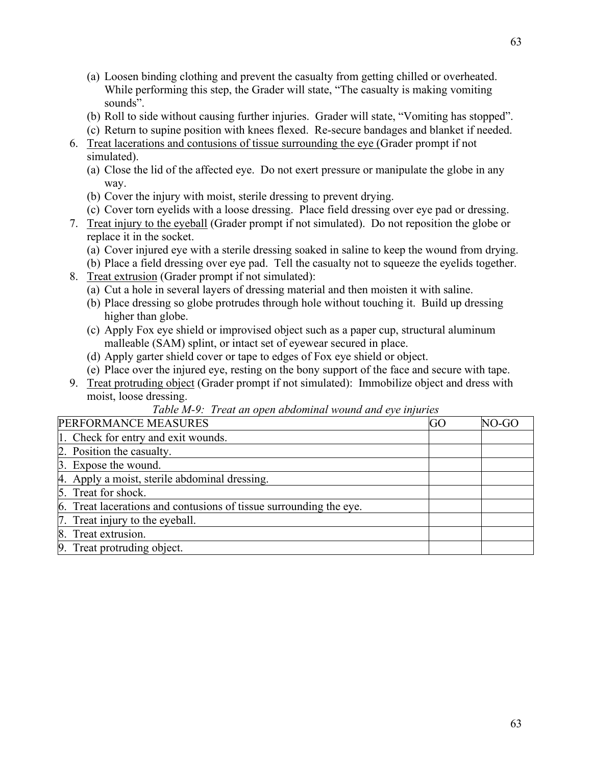- (a) Loosen binding clothing and prevent the casualty from getting chilled or overheated. While performing this step, the Grader will state, "The casualty is making vomiting sounds".
- (b) Roll to side without causing further injuries. Grader will state, "Vomiting has stopped".
- (c) Return to supine position with knees flexed. Re-secure bandages and blanket if needed.
- 6. Treat lacerations and contusions of tissue surrounding the eye (Grader prompt if not simulated).
	- (a) Close the lid of the affected eye. Do not exert pressure or manipulate the globe in any way.
	- (b) Cover the injury with moist, sterile dressing to prevent drying.
	- (c) Cover torn eyelids with a loose dressing. Place field dressing over eye pad or dressing.
- 7. Treat injury to the eyeball (Grader prompt if not simulated). Do not reposition the globe or replace it in the socket.
	- (a) Cover injured eye with a sterile dressing soaked in saline to keep the wound from drying.
	- (b) Place a field dressing over eye pad. Tell the casualty not to squeeze the eyelids together.
- 8. Treat extrusion (Grader prompt if not simulated):
	- (a) Cut a hole in several layers of dressing material and then moisten it with saline.
	- (b) Place dressing so globe protrudes through hole without touching it. Build up dressing higher than globe.
	- (c) Apply Fox eye shield or improvised object such as a paper cup, structural aluminum malleable (SAM) splint, or intact set of eyewear secured in place.
	- (d) Apply garter shield cover or tape to edges of Fox eye shield or object.
	- (e) Place over the injured eye, resting on the bony support of the face and secure with tape.
- 9. Treat protruding object (Grader prompt if not simulated): Immobilize object and dress with moist, loose dressing.

# *Table M-9: Treat an open abdominal wound and eye injuries*

| PERFORMANCE MEASURES                                               | <b>GO</b> | NO-GO |
|--------------------------------------------------------------------|-----------|-------|
| 1. Check for entry and exit wounds.                                |           |       |
| 2. Position the casualty.                                          |           |       |
| 3. Expose the wound.                                               |           |       |
| 4. Apply a moist, sterile abdominal dressing.                      |           |       |
| 5. Treat for shock.                                                |           |       |
| 6. Treat lacerations and contusions of tissue surrounding the eye. |           |       |
| 7. Treat injury to the eyeball.                                    |           |       |
| 8. Treat extrusion.                                                |           |       |
| 9. Treat protruding object.                                        |           |       |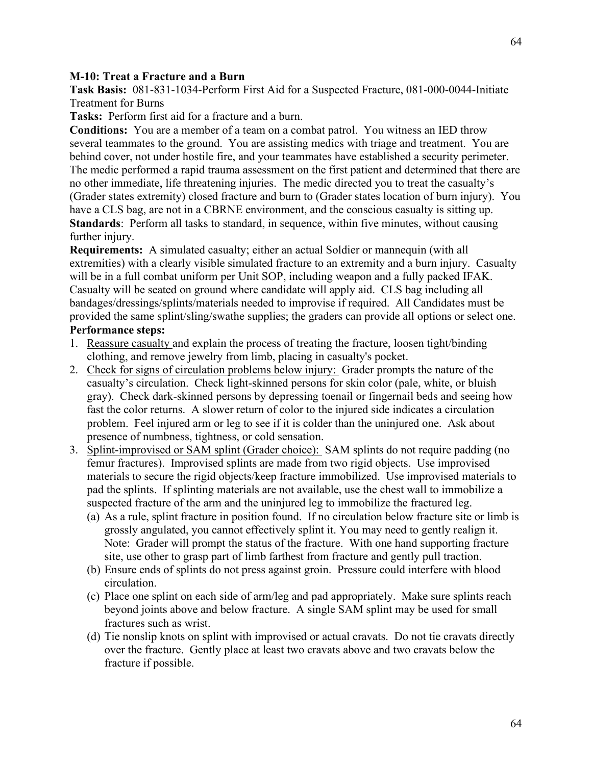#### **M-10: Treat a Fracture and a Burn**

**Task Basis:** 081-831-1034-Perform First Aid for a Suspected Fracture, 081-000-0044-Initiate Treatment for Burns

**Tasks:** Perform first aid for a fracture and a burn.

**Conditions:** You are a member of a team on a combat patrol. You witness an IED throw several teammates to the ground. You are assisting medics with triage and treatment. You are behind cover, not under hostile fire, and your teammates have established a security perimeter. The medic performed a rapid trauma assessment on the first patient and determined that there are no other immediate, life threatening injuries. The medic directed you to treat the casualty's (Grader states extremity) closed fracture and burn to (Grader states location of burn injury). You have a CLS bag, are not in a CBRNE environment, and the conscious casualty is sitting up. **Standards**: Perform all tasks to standard, in sequence, within five minutes, without causing further injury.

**Requirements:** A simulated casualty; either an actual Soldier or mannequin (with all extremities) with a clearly visible simulated fracture to an extremity and a burn injury. Casualty will be in a full combat uniform per Unit SOP, including weapon and a fully packed IFAK. Casualty will be seated on ground where candidate will apply aid. CLS bag including all bandages/dressings/splints/materials needed to improvise if required. All Candidates must be provided the same splint/sling/swathe supplies; the graders can provide all options or select one. **Performance steps:**

- 1. Reassure casualty and explain the process of treating the fracture, loosen tight/binding clothing, and remove jewelry from limb, placing in casualty's pocket.
- 2. Check for signs of circulation problems below injury: Grader prompts the nature of the casualty's circulation. Check light-skinned persons for skin color (pale, white, or bluish gray). Check dark-skinned persons by depressing toenail or fingernail beds and seeing how fast the color returns. A slower return of color to the injured side indicates a circulation problem. Feel injured arm or leg to see if it is colder than the uninjured one. Ask about presence of numbness, tightness, or cold sensation.
- 3. Splint-improvised or SAM splint (Grader choice): SAM splints do not require padding (no femur fractures). Improvised splints are made from two rigid objects. Use improvised materials to secure the rigid objects/keep fracture immobilized. Use improvised materials to pad the splints. If splinting materials are not available, use the chest wall to immobilize a suspected fracture of the arm and the uninjured leg to immobilize the fractured leg.
	- (a) As a rule, splint fracture in position found. If no circulation below fracture site or limb is grossly angulated, you cannot effectively splint it. You may need to gently realign it. Note: Grader will prompt the status of the fracture. With one hand supporting fracture site, use other to grasp part of limb farthest from fracture and gently pull traction.
	- (b) Ensure ends of splints do not press against groin. Pressure could interfere with blood circulation.
	- (c) Place one splint on each side of arm/leg and pad appropriately. Make sure splints reach beyond joints above and below fracture. A single SAM splint may be used for small fractures such as wrist.
	- (d) Tie nonslip knots on splint with improvised or actual cravats. Do not tie cravats directly over the fracture. Gently place at least two cravats above and two cravats below the fracture if possible.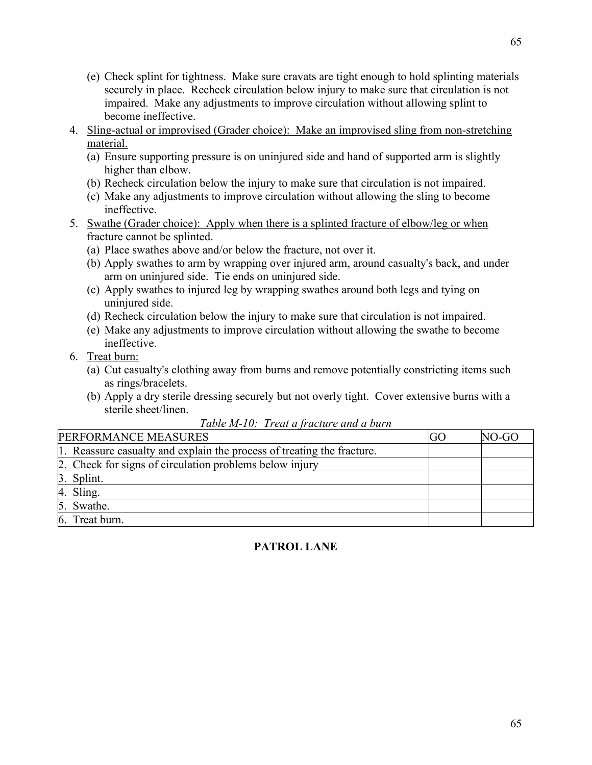- (e) Check splint for tightness. Make sure cravats are tight enough to hold splinting materials securely in place. Recheck circulation below injury to make sure that circulation is not impaired. Make any adjustments to improve circulation without allowing splint to become ineffective.
- 4. Sling-actual or improvised (Grader choice): Make an improvised sling from non-stretching material.
	- (a) Ensure supporting pressure is on uninjured side and hand of supported arm is slightly higher than elbow.
	- (b) Recheck circulation below the injury to make sure that circulation is not impaired.
	- (c) Make any adjustments to improve circulation without allowing the sling to become ineffective.
- 5. Swathe (Grader choice): Apply when there is a splinted fracture of elbow/leg or when fracture cannot be splinted.
	- (a) Place swathes above and/or below the fracture, not over it.
	- (b) Apply swathes to arm by wrapping over injured arm, around casualty's back, and under arm on uninjured side. Tie ends on uninjured side.
	- (c) Apply swathes to injured leg by wrapping swathes around both legs and tying on uninjured side.
	- (d) Recheck circulation below the injury to make sure that circulation is not impaired.
	- (e) Make any adjustments to improve circulation without allowing the swathe to become ineffective.
- 6. Treat burn:
	- (a) Cut casualty's clothing away from burns and remove potentially constricting items such as rings/bracelets.
	- (b) Apply a dry sterile dressing securely but not overly tight. Cover extensive burns with a sterile sheet/linen.

| PERFORMANCE MEASURES                                                   | GO | NO-GO |
|------------------------------------------------------------------------|----|-------|
| 1. Reassure casualty and explain the process of treating the fracture. |    |       |
| 2. Check for signs of circulation problems below injury                |    |       |
| 3. Splint.                                                             |    |       |
| 4. Sling.                                                              |    |       |
| 5. Swathe.                                                             |    |       |
| 6. Treat burn.                                                         |    |       |
|                                                                        |    |       |

# *Table M-10: Treat a fracture and a burn*

# **PATROL LANE**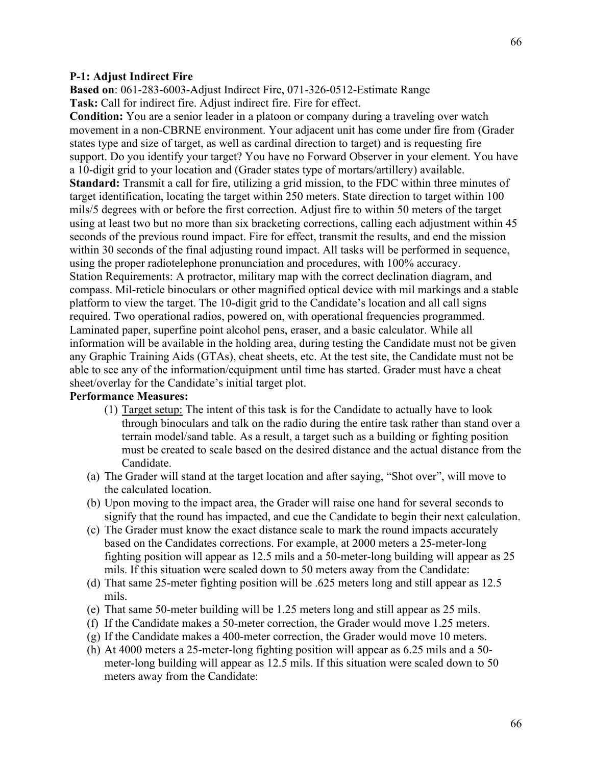#### **P-1: Adjust Indirect Fire**

**Based on**: 061-283-6003-Adjust Indirect Fire, 071-326-0512-Estimate Range **Task:** Call for indirect fire. Adjust indirect fire. Fire for effect.

**Condition:** You are a senior leader in a platoon or company during a traveling over watch movement in a non-CBRNE environment. Your adjacent unit has come under fire from (Grader states type and size of target, as well as cardinal direction to target) and is requesting fire support. Do you identify your target? You have no Forward Observer in your element. You have a 10-digit grid to your location and (Grader states type of mortars/artillery) available. **Standard:** Transmit a call for fire, utilizing a grid mission, to the FDC within three minutes of target identification, locating the target within 250 meters. State direction to target within 100 mils/5 degrees with or before the first correction. Adjust fire to within 50 meters of the target using at least two but no more than six bracketing corrections, calling each adjustment within 45 seconds of the previous round impact. Fire for effect, transmit the results, and end the mission within 30 seconds of the final adjusting round impact. All tasks will be performed in sequence, using the proper radiotelephone pronunciation and procedures, with 100% accuracy. Station Requirements: A protractor, military map with the correct declination diagram, and compass. Mil-reticle binoculars or other magnified optical device with mil markings and a stable platform to view the target. The 10-digit grid to the Candidate's location and all call signs required. Two operational radios, powered on, with operational frequencies programmed. Laminated paper, superfine point alcohol pens, eraser, and a basic calculator. While all information will be available in the holding area, during testing the Candidate must not be given any Graphic Training Aids (GTAs), cheat sheets, etc. At the test site, the Candidate must not be able to see any of the information/equipment until time has started. Grader must have a cheat sheet/overlay for the Candidate's initial target plot.

#### **Performance Measures:**

- (1) Target setup: The intent of this task is for the Candidate to actually have to look through binoculars and talk on the radio during the entire task rather than stand over a terrain model/sand table. As a result, a target such as a building or fighting position must be created to scale based on the desired distance and the actual distance from the Candidate.
- (a) The Grader will stand at the target location and after saying, "Shot over", will move to the calculated location.
- (b) Upon moving to the impact area, the Grader will raise one hand for several seconds to signify that the round has impacted, and cue the Candidate to begin their next calculation.
- (c) The Grader must know the exact distance scale to mark the round impacts accurately based on the Candidates corrections. For example, at 2000 meters a 25-meter-long fighting position will appear as 12.5 mils and a 50-meter-long building will appear as 25 mils. If this situation were scaled down to 50 meters away from the Candidate:
- (d) That same 25-meter fighting position will be .625 meters long and still appear as 12.5 mils.
- (e) That same 50-meter building will be 1.25 meters long and still appear as 25 mils.
- (f) If the Candidate makes a 50-meter correction, the Grader would move 1.25 meters.
- (g) If the Candidate makes a 400-meter correction, the Grader would move 10 meters.
- (h) At 4000 meters a 25-meter-long fighting position will appear as 6.25 mils and a 50 meter-long building will appear as 12.5 mils. If this situation were scaled down to 50 meters away from the Candidate:

66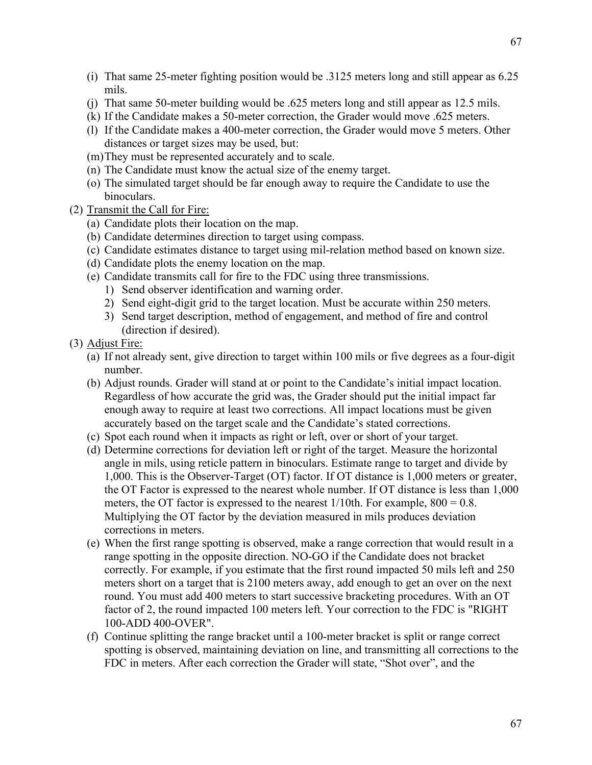- (i) That same 25-meter fighting position would be .3125 meters long and still appear as 6.25 mils.
- (j) That same 50-meter building would be .625 meters long and still appear as 12.5 mils.
- (k) If the Candidate makes a 50-meter correction, the Grader would move .625 meters.
- (l) If the Candidate makes a 400-meter correction, the Grader would move 5 meters. Other distances or target sizes may be used, but:
- (m)They must be represented accurately and to scale.
- (n) The Candidate must know the actual size of the enemy target.
- (o) The simulated target should be far enough away to require the Candidate to use the binoculars.
- (2) Transmit the Call for Fire:
	- (a) Candidate plots their location on the map.
	- (b) Candidate determines direction to target using compass.
	- (c) Candidate estimates distance to target using mil-relation method based on known size.
	- (d) Candidate plots the enemy location on the map.
	- (e) Candidate transmits call for fire to the FDC using three transmissions.
		- 1) Send observer identification and warning order.
		- 2) Send eight-digit grid to the target location. Must be accurate within 250 meters.
		- 3) Send target description, method of engagement, and method of fire and control (direction if desired).
- (3) Adjust Fire:
	- (a) If not already sent, give direction to target within 100 mils or five degrees as a four-digit number.
	- (b) Adjust rounds. Grader will stand at or point to the Candidate's initial impact location. Regardless of how accurate the grid was, the Grader should put the initial impact far enough away to require at least two corrections. All impact locations must be given accurately based on the target scale and the Candidate's stated corrections.
	- (c) Spot each round when it impacts as right or left, over or short of your target.
	- (d) Determine corrections for deviation left or right of the target. Measure the horizontal angle in mils, using reticle pattern in binoculars. Estimate range to target and divide by 1,000. This is the Observer-Target (OT) factor. If OT distance is 1,000 meters or greater, the OT Factor is expressed to the nearest whole number. If OT distance is less than 1,000 meters, the OT factor is expressed to the nearest  $1/10$ th. For example,  $800 = 0.8$ . Multiplying the OT factor by the deviation measured in mils produces deviation corrections in meters.
	- (e) When the first range spotting is observed, make a range correction that would result in a range spotting in the opposite direction. NO-GO if the Candidate does not bracket correctly. For example, if you estimate that the first round impacted 50 mils left and 250 meters short on a target that is 2100 meters away, add enough to get an over on the next round. You must add 400 meters to start successive bracketing procedures. With an OT factor of 2, the round impacted 100 meters left. Your correction to the FDC is "RIGHT 100-ADD 400-OVER".
	- (f) Continue splitting the range bracket until a 100-meter bracket is split or range correct spotting is observed, maintaining deviation on line, and transmitting all corrections to the FDC in meters. After each correction the Grader will state, "Shot over", and the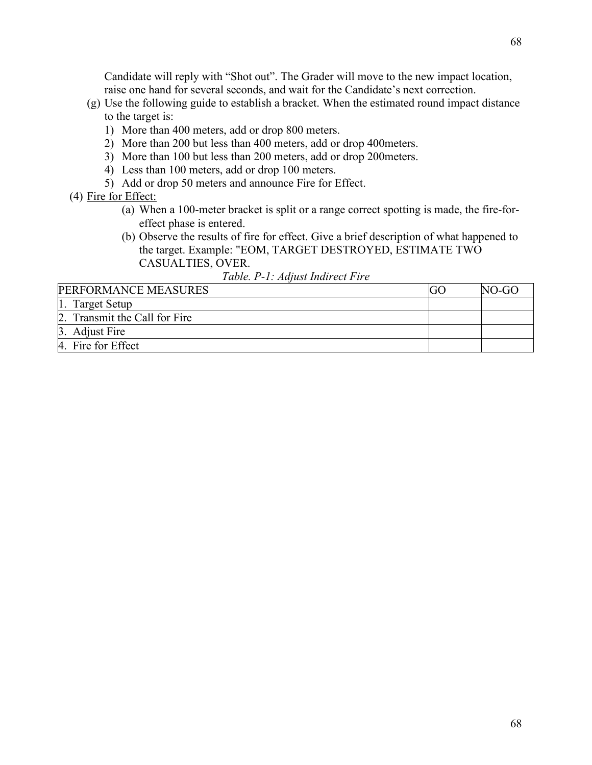Candidate will reply with "Shot out". The Grader will move to the new impact location, raise one hand for several seconds, and wait for the Candidate's next correction.

- (g) Use the following guide to establish a bracket. When the estimated round impact distance to the target is:
	- 1) More than 400 meters, add or drop 800 meters.
	- 2) More than 200 but less than 400 meters, add or drop 400meters.
	- 3) More than 100 but less than 200 meters, add or drop 200meters.
	- 4) Less than 100 meters, add or drop 100 meters.
	- 5) Add or drop 50 meters and announce Fire for Effect.
- (4) Fire for Effect:
	- (a) When a 100-meter bracket is split or a range correct spotting is made, the fire-foreffect phase is entered.
	- (b) Observe the results of fire for effect. Give a brief description of what happened to the target. Example: "EOM, TARGET DESTROYED, ESTIMATE TWO CASUALTIES, OVER.

*Table. P-1: Adjust Indirect Fire*

| PERFORMANCE MEASURES          | NO-GO |
|-------------------------------|-------|
| 1. Target Setup               |       |
| 2. Transmit the Call for Fire |       |
| 3. Adjust Fire                |       |
| 4. Fire for Effect            |       |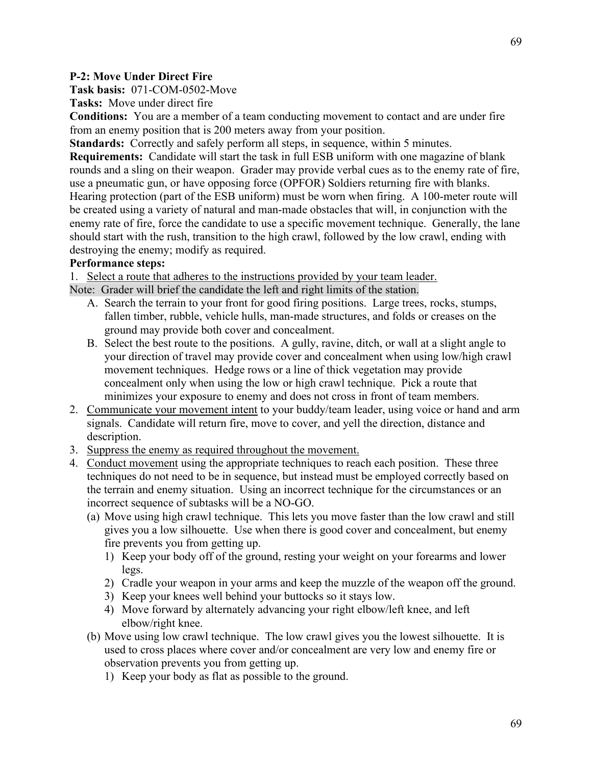## **P-2: Move Under Direct Fire**

**Task basis:** 071-COM-0502-Move

**Tasks:** Move under direct fire

**Conditions:** You are a member of a team conducting movement to contact and are under fire from an enemy position that is 200 meters away from your position.

**Standards:** Correctly and safely perform all steps, in sequence, within 5 minutes.

**Requirements:** Candidate will start the task in full ESB uniform with one magazine of blank rounds and a sling on their weapon. Grader may provide verbal cues as to the enemy rate of fire, use a pneumatic gun, or have opposing force (OPFOR) Soldiers returning fire with blanks. Hearing protection (part of the ESB uniform) must be worn when firing. A 100-meter route will be created using a variety of natural and man-made obstacles that will, in conjunction with the enemy rate of fire, force the candidate to use a specific movement technique. Generally, the lane should start with the rush, transition to the high crawl, followed by the low crawl, ending with destroying the enemy; modify as required.

## **Performance steps:**

1. Select a route that adheres to the instructions provided by your team leader.

Note: Grader will brief the candidate the left and right limits of the station.

- A. Search the terrain to your front for good firing positions. Large trees, rocks, stumps, fallen timber, rubble, vehicle hulls, man-made structures, and folds or creases on the ground may provide both cover and concealment.
- B. Select the best route to the positions. A gully, ravine, ditch, or wall at a slight angle to your direction of travel may provide cover and concealment when using low/high crawl movement techniques. Hedge rows or a line of thick vegetation may provide concealment only when using the low or high crawl technique. Pick a route that minimizes your exposure to enemy and does not cross in front of team members.
- 2. Communicate your movement intent to your buddy/team leader, using voice or hand and arm signals. Candidate will return fire, move to cover, and yell the direction, distance and description.
- 3. Suppress the enemy as required throughout the movement.
- 4. Conduct movement using the appropriate techniques to reach each position. These three techniques do not need to be in sequence, but instead must be employed correctly based on the terrain and enemy situation. Using an incorrect technique for the circumstances or an incorrect sequence of subtasks will be a NO-GO.
	- (a) Move using high crawl technique. This lets you move faster than the low crawl and still gives you a low silhouette. Use when there is good cover and concealment, but enemy fire prevents you from getting up.
		- 1) Keep your body off of the ground, resting your weight on your forearms and lower legs.
		- 2) Cradle your weapon in your arms and keep the muzzle of the weapon off the ground.
		- 3) Keep your knees well behind your buttocks so it stays low.
		- 4) Move forward by alternately advancing your right elbow/left knee, and left elbow/right knee.
	- (b) Move using low crawl technique. The low crawl gives you the lowest silhouette. It is used to cross places where cover and/or concealment are very low and enemy fire or observation prevents you from getting up.
		- 1) Keep your body as flat as possible to the ground.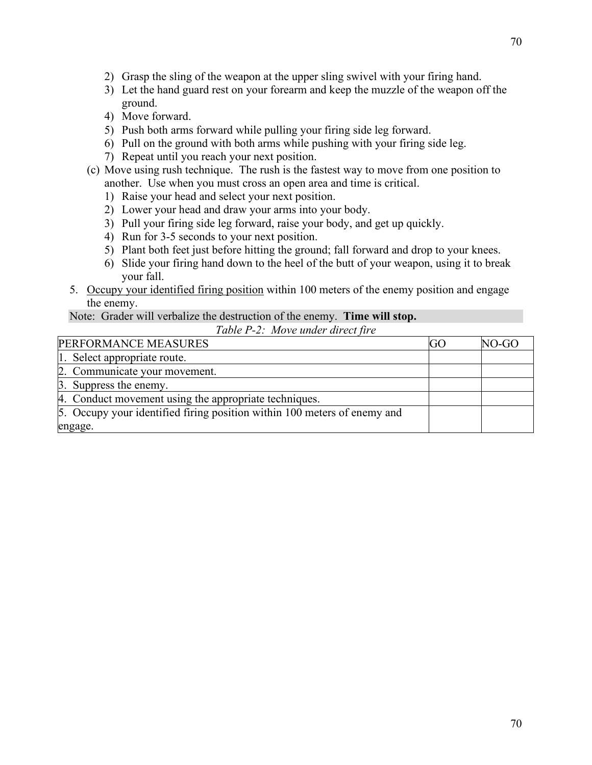- 2) Grasp the sling of the weapon at the upper sling swivel with your firing hand.
- 3) Let the hand guard rest on your forearm and keep the muzzle of the weapon off the ground.
- 4) Move forward.
- 5) Push both arms forward while pulling your firing side leg forward.
- 6) Pull on the ground with both arms while pushing with your firing side leg.
- 7) Repeat until you reach your next position.
- (c) Move using rush technique. The rush is the fastest way to move from one position to another. Use when you must cross an open area and time is critical.
	- 1) Raise your head and select your next position.
	- 2) Lower your head and draw your arms into your body.
	- 3) Pull your firing side leg forward, raise your body, and get up quickly.
	- 4) Run for 3-5 seconds to your next position.
	- 5) Plant both feet just before hitting the ground; fall forward and drop to your knees.
	- 6) Slide your firing hand down to the heel of the butt of your weapon, using it to break your fall.
- 5. Occupy your identified firing position within 100 meters of the enemy position and engage the enemy.

#### Note: Grader will verbalize the destruction of the enemy. **Time will stop.** *Table P-2: Move under direct fire*

| PERFORMANCE MEASURES                                                     | GO | NO-GO |
|--------------------------------------------------------------------------|----|-------|
| 1. Select appropriate route.                                             |    |       |
| 2. Communicate your movement.                                            |    |       |
| 3. Suppress the enemy.                                                   |    |       |
| 4. Conduct movement using the appropriate techniques.                    |    |       |
| 5. Occupy your identified firing position within 100 meters of enemy and |    |       |
| engage.                                                                  |    |       |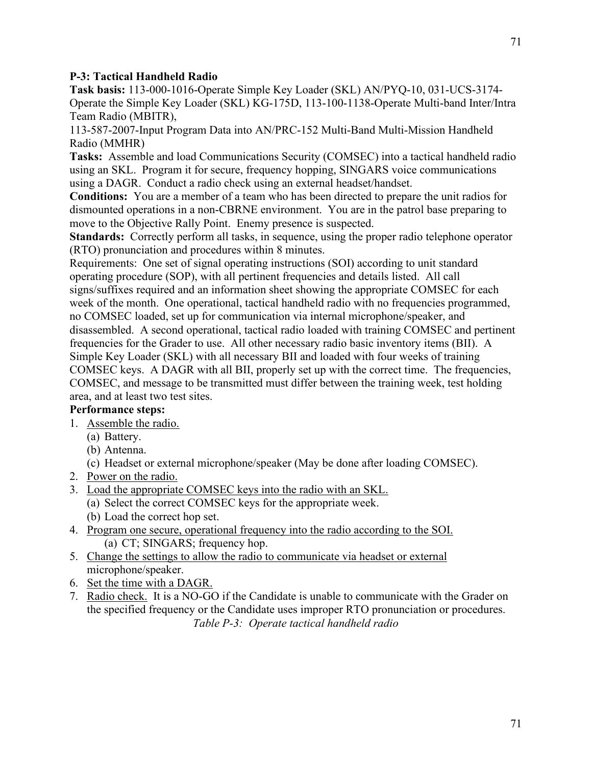### **P-3: Tactical Handheld Radio**

**Task basis:** 113-000-1016-Operate Simple Key Loader (SKL) AN/PYQ-10, 031-UCS-3174- Operate the Simple Key Loader (SKL) KG-175D, 113-100-1138-Operate Multi-band Inter/Intra Team Radio (MBITR),

113-587-2007-Input Program Data into AN/PRC-152 Multi-Band Multi-Mission Handheld Radio (MMHR)

**Tasks:** Assemble and load Communications Security (COMSEC) into a tactical handheld radio using an SKL. Program it for secure, frequency hopping, SINGARS voice communications using a DAGR. Conduct a radio check using an external headset/handset.

**Conditions:** You are a member of a team who has been directed to prepare the unit radios for dismounted operations in a non-CBRNE environment. You are in the patrol base preparing to move to the Objective Rally Point. Enemy presence is suspected.

**Standards:** Correctly perform all tasks, in sequence, using the proper radio telephone operator (RTO) pronunciation and procedures within 8 minutes.

Requirements: One set of signal operating instructions (SOI) according to unit standard operating procedure (SOP), with all pertinent frequencies and details listed. All call signs/suffixes required and an information sheet showing the appropriate COMSEC for each week of the month. One operational, tactical handheld radio with no frequencies programmed, no COMSEC loaded, set up for communication via internal microphone/speaker, and disassembled. A second operational, tactical radio loaded with training COMSEC and pertinent frequencies for the Grader to use. All other necessary radio basic inventory items (BII). A Simple Key Loader (SKL) with all necessary BII and loaded with four weeks of training COMSEC keys. A DAGR with all BII, properly set up with the correct time. The frequencies, COMSEC, and message to be transmitted must differ between the training week, test holding area, and at least two test sites.

# **Performance steps:**

- 1. Assemble the radio.
	- (a) Battery.
	- (b) Antenna.
	- (c) Headset or external microphone/speaker (May be done after loading COMSEC).
- 2. Power on the radio.
- 3. Load the appropriate COMSEC keys into the radio with an SKL.
	- (a) Select the correct COMSEC keys for the appropriate week. (b) Load the correct hop set.
- 4. Program one secure, operational frequency into the radio according to the SOI. (a) CT; SINGARS; frequency hop.
- 5. Change the settings to allow the radio to communicate via headset or external microphone/speaker.
- 6. Set the time with a DAGR.
- 7. Radio check. It is a NO-GO if the Candidate is unable to communicate with the Grader on the specified frequency or the Candidate uses improper RTO pronunciation or procedures. *Table P-3: Operate tactical handheld radio*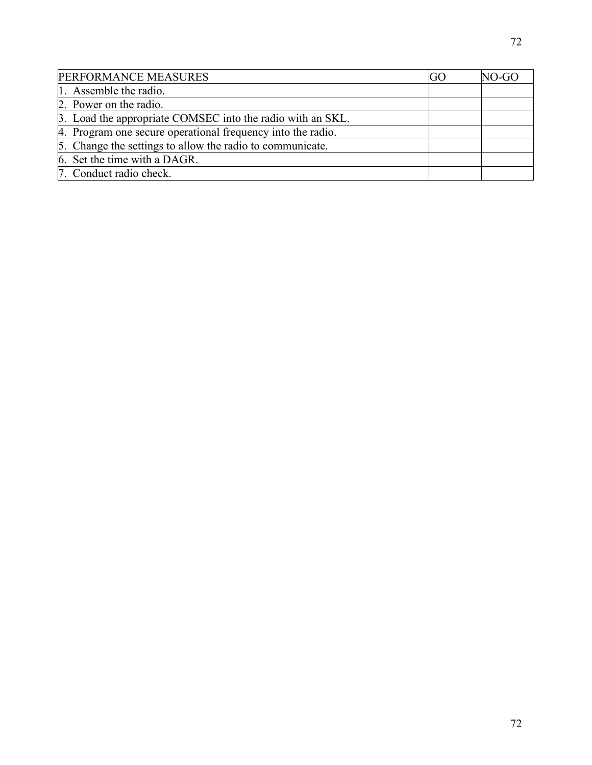| PERFORMANCE MEASURES                                        | GO. | NO-GO |
|-------------------------------------------------------------|-----|-------|
| 1. Assemble the radio.                                      |     |       |
| 2. Power on the radio.                                      |     |       |
| 3. Load the appropriate COMSEC into the radio with an SKL.  |     |       |
| 4. Program one secure operational frequency into the radio. |     |       |
| 5. Change the settings to allow the radio to communicate.   |     |       |
| 6. Set the time with a DAGR.                                |     |       |
| 7. Conduct radio check.                                     |     |       |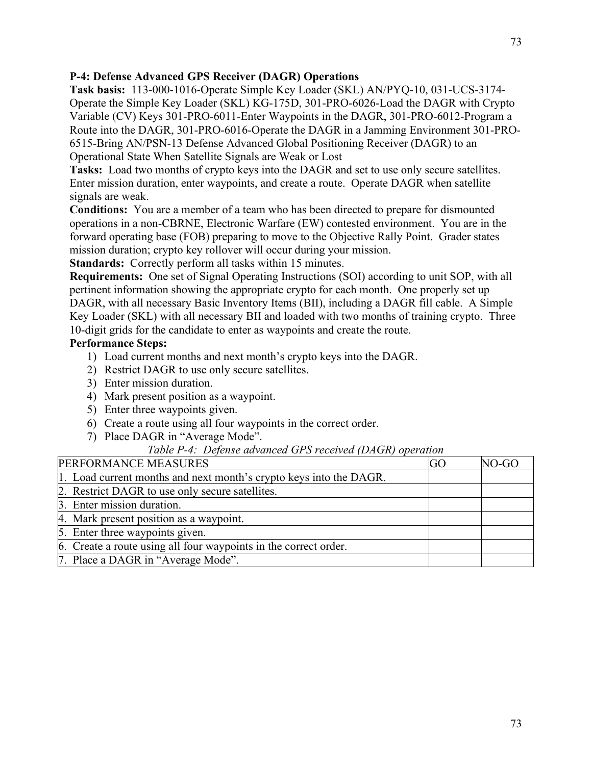# **P-4: Defense Advanced GPS Receiver (DAGR) Operations**

**Task basis:** 113-000-1016-Operate Simple Key Loader (SKL) AN/PYQ-10, 031-UCS-3174- Operate the Simple Key Loader (SKL) KG-175D, 301-PRO-6026-Load the DAGR with Crypto Variable (CV) Keys 301-PRO-6011-Enter Waypoints in the DAGR, 301-PRO-6012-Program a Route into the DAGR, 301-PRO-6016-Operate the DAGR in a Jamming Environment 301-PRO-6515-Bring AN/PSN-13 Defense Advanced Global Positioning Receiver (DAGR) to an Operational State When Satellite Signals are Weak or Lost

**Tasks:** Load two months of crypto keys into the DAGR and set to use only secure satellites. Enter mission duration, enter waypoints, and create a route. Operate DAGR when satellite signals are weak.

**Conditions:** You are a member of a team who has been directed to prepare for dismounted operations in a non-CBRNE, Electronic Warfare (EW) contested environment. You are in the forward operating base (FOB) preparing to move to the Objective Rally Point. Grader states mission duration; crypto key rollover will occur during your mission.

**Standards:** Correctly perform all tasks within 15 minutes.

**Requirements:** One set of Signal Operating Instructions (SOI) according to unit SOP, with all pertinent information showing the appropriate crypto for each month. One properly set up DAGR, with all necessary Basic Inventory Items (BII), including a DAGR fill cable. A Simple Key Loader (SKL) with all necessary BII and loaded with two months of training crypto. Three 10-digit grids for the candidate to enter as waypoints and create the route.

# **Performance Steps:**

- 1) Load current months and next month's crypto keys into the DAGR.
- 2) Restrict DAGR to use only secure satellites.
- 3) Enter mission duration.
- 4) Mark present position as a waypoint.
- 5) Enter three waypoints given.
- 6) Create a route using all four waypoints in the correct order.
- 7) Place DAGR in "Average Mode".

# *Table P-4: Defense advanced GPS received (DAGR) operation*

| PERFORMANCE MEASURES                                               | GO | NO-GO |
|--------------------------------------------------------------------|----|-------|
| 1. Load current months and next month's crypto keys into the DAGR. |    |       |
| 2. Restrict DAGR to use only secure satellites.                    |    |       |
| 3. Enter mission duration.                                         |    |       |
| 4. Mark present position as a waypoint.                            |    |       |
| 5. Enter three waypoints given.                                    |    |       |
| 6. Create a route using all four waypoints in the correct order.   |    |       |
| 7. Place a DAGR in "Average Mode".                                 |    |       |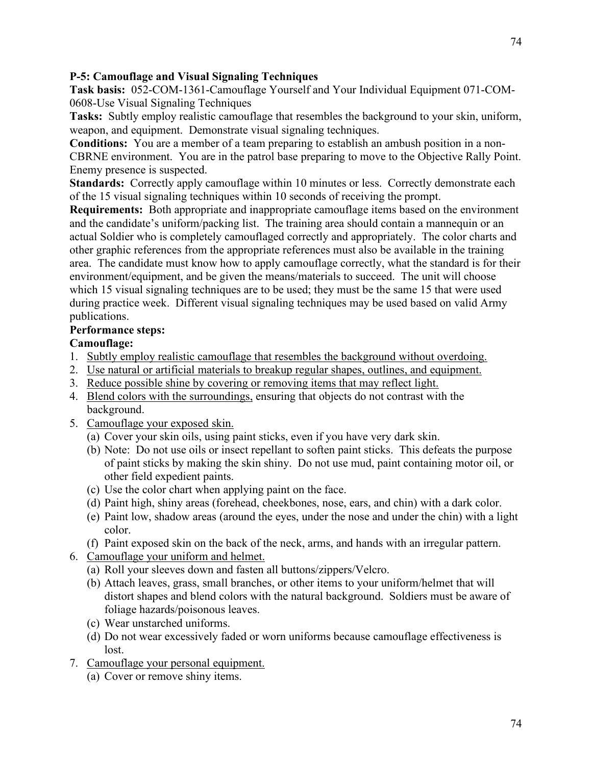### **P-5: Camouflage and Visual Signaling Techniques**

**Task basis:** 052-COM-1361-Camouflage Yourself and Your Individual Equipment 071-COM-0608-Use Visual Signaling Techniques

**Tasks:** Subtly employ realistic camouflage that resembles the background to your skin, uniform, weapon, and equipment. Demonstrate visual signaling techniques.

**Conditions:** You are a member of a team preparing to establish an ambush position in a non-CBRNE environment. You are in the patrol base preparing to move to the Objective Rally Point. Enemy presence is suspected.

**Standards:** Correctly apply camouflage within 10 minutes or less. Correctly demonstrate each of the 15 visual signaling techniques within 10 seconds of receiving the prompt.

**Requirements:** Both appropriate and inappropriate camouflage items based on the environment and the candidate's uniform/packing list. The training area should contain a mannequin or an actual Soldier who is completely camouflaged correctly and appropriately. The color charts and other graphic references from the appropriate references must also be available in the training area. The candidate must know how to apply camouflage correctly, what the standard is for their environment/equipment, and be given the means/materials to succeed. The unit will choose which 15 visual signaling techniques are to be used; they must be the same 15 that were used during practice week. Different visual signaling techniques may be used based on valid Army publications.

### **Performance steps:**

### **Camouflage:**

- 1. Subtly employ realistic camouflage that resembles the background without overdoing.
- 2. Use natural or artificial materials to breakup regular shapes, outlines, and equipment.
- 3. Reduce possible shine by covering or removing items that may reflect light.
- 4. Blend colors with the surroundings, ensuring that objects do not contrast with the background.
- 5. Camouflage your exposed skin.
	- (a) Cover your skin oils, using paint sticks, even if you have very dark skin.
	- (b) Note: Do not use oils or insect repellant to soften paint sticks. This defeats the purpose of paint sticks by making the skin shiny. Do not use mud, paint containing motor oil, or other field expedient paints.
	- (c) Use the color chart when applying paint on the face.
	- (d) Paint high, shiny areas (forehead, cheekbones, nose, ears, and chin) with a dark color.
	- (e) Paint low, shadow areas (around the eyes, under the nose and under the chin) with a light color.
	- (f) Paint exposed skin on the back of the neck, arms, and hands with an irregular pattern.
- 6. Camouflage your uniform and helmet.
	- (a) Roll your sleeves down and fasten all buttons/zippers/Velcro.
	- (b) Attach leaves, grass, small branches, or other items to your uniform/helmet that will distort shapes and blend colors with the natural background. Soldiers must be aware of foliage hazards/poisonous leaves.
	- (c) Wear unstarched uniforms.
	- (d) Do not wear excessively faded or worn uniforms because camouflage effectiveness is lost.
- 7. Camouflage your personal equipment.
	- (a) Cover or remove shiny items.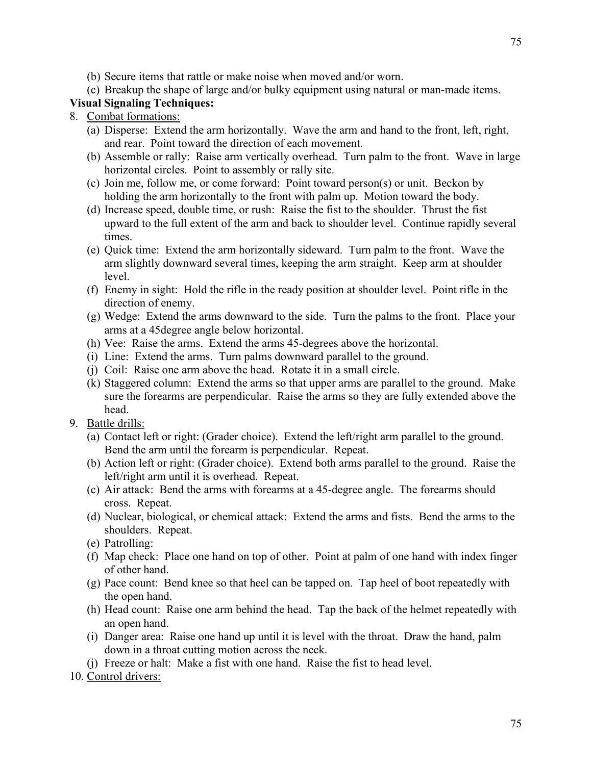- (b) Secure items that rattle or make noise when moved and/or worn.
- (c) Breakup the shape of large and/or bulky equipment using natural or man-made items.

### **Visual Signaling Techniques:**

- 8. Combat formations:
	- (a) Disperse: Extend the arm horizontally. Wave the arm and hand to the front, left, right, and rear. Point toward the direction of each movement.
	- (b) Assemble or rally: Raise arm vertically overhead. Turn palm to the front. Wave in large horizontal circles. Point to assembly or rally site.
	- (c) Join me, follow me, or come forward: Point toward person(s) or unit. Beckon by holding the arm horizontally to the front with palm up. Motion toward the body.
	- (d) Increase speed, double time, or rush: Raise the fist to the shoulder. Thrust the fist upward to the full extent of the arm and back to shoulder level. Continue rapidly several times.
	- (e) Quick time: Extend the arm horizontally sideward. Turn palm to the front. Wave the arm slightly downward several times, keeping the arm straight. Keep arm at shoulder level.
	- (f) Enemy in sight: Hold the rifle in the ready position at shoulder level. Point rifle in the direction of enemy.
	- (g) Wedge: Extend the arms downward to the side. Turn the palms to the front. Place your arms at a 45degree angle below horizontal.
	- (h) Vee: Raise the arms. Extend the arms 45-degrees above the horizontal.
	- (i) Line: Extend the arms. Turn palms downward parallel to the ground.
	- (j) Coil: Raise one arm above the head. Rotate it in a small circle.
	- (k) Staggered column: Extend the arms so that upper arms are parallel to the ground. Make sure the forearms are perpendicular. Raise the arms so they are fully extended above the head.
- 9. Battle drills:
	- (a) Contact left or right: (Grader choice). Extend the left/right arm parallel to the ground. Bend the arm until the forearm is perpendicular. Repeat.
	- (b) Action left or right: (Grader choice). Extend both arms parallel to the ground. Raise the left/right arm until it is overhead. Repeat.
	- (c) Air attack: Bend the arms with forearms at a 45-degree angle. The forearms should cross. Repeat.
	- (d) Nuclear, biological, or chemical attack: Extend the arms and fists. Bend the arms to the shoulders. Repeat.
	- (e) Patrolling:
	- (f) Map check: Place one hand on top of other. Point at palm of one hand with index finger of other hand.
	- (g) Pace count: Bend knee so that heel can be tapped on. Tap heel of boot repeatedly with the open hand.
	- (h) Head count: Raise one arm behind the head. Tap the back of the helmet repeatedly with an open hand.
	- (i) Danger area: Raise one hand up until it is level with the throat. Draw the hand, palm down in a throat cutting motion across the neck.
	- (j) Freeze or halt: Make a fist with one hand. Raise the fist to head level.
- 10. Control drivers: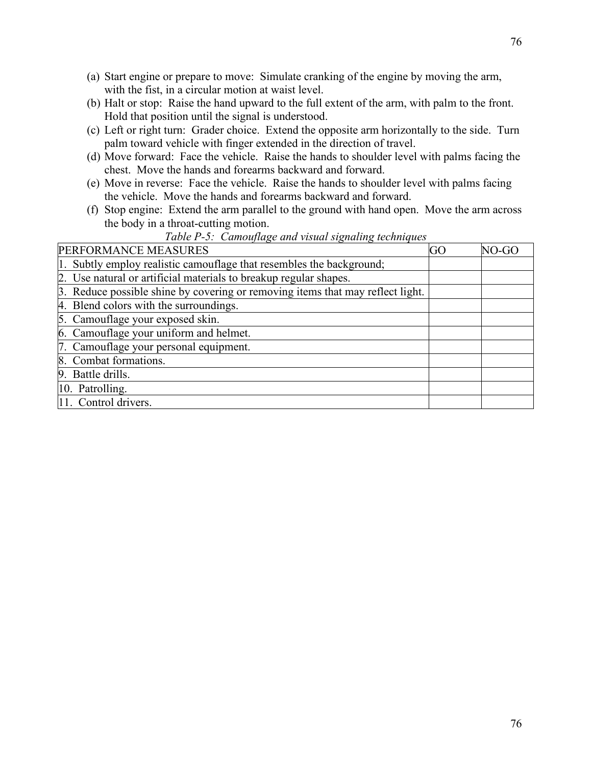- (a) Start engine or prepare to move: Simulate cranking of the engine by moving the arm, with the fist, in a circular motion at waist level.
- (b) Halt or stop: Raise the hand upward to the full extent of the arm, with palm to the front. Hold that position until the signal is understood.
- (c) Left or right turn: Grader choice. Extend the opposite arm horizontally to the side. Turn palm toward vehicle with finger extended in the direction of travel.
- (d) Move forward: Face the vehicle. Raise the hands to shoulder level with palms facing the chest. Move the hands and forearms backward and forward.
- (e) Move in reverse: Face the vehicle. Raise the hands to shoulder level with palms facing the vehicle. Move the hands and forearms backward and forward.
- (f) Stop engine: Extend the arm parallel to the ground with hand open. Move the arm across the body in a throat-cutting motion.

| PERFORMANCE MEASURES                                                           | GO | NO-GO |
|--------------------------------------------------------------------------------|----|-------|
| 1. Subtly employ realistic camouflage that resembles the background;           |    |       |
| 2. Use natural or artificial materials to breakup regular shapes.              |    |       |
| 3. Reduce possible shine by covering or removing items that may reflect light. |    |       |
| 4. Blend colors with the surroundings.                                         |    |       |
| 5. Camouflage your exposed skin.                                               |    |       |
| 6. Camouflage your uniform and helmet.                                         |    |       |
| 7. Camouflage your personal equipment.                                         |    |       |
| 8. Combat formations.                                                          |    |       |
| 9. Battle drills.                                                              |    |       |
| 10. Patrolling.                                                                |    |       |
| 11. Control drivers.                                                           |    |       |

# *Table P-5: Camouflage and visual signaling techniques*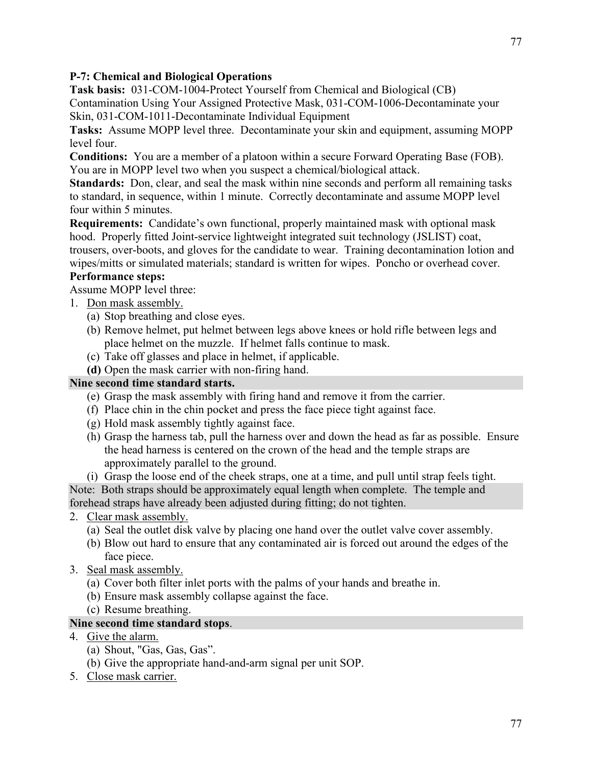# **P-7: Chemical and Biological Operations**

**Task basis:** 031-COM-1004-Protect Yourself from Chemical and Biological (CB)

Contamination Using Your Assigned Protective Mask, 031-COM-1006-Decontaminate your Skin, 031-COM-1011-Decontaminate Individual Equipment

**Tasks:** Assume MOPP level three. Decontaminate your skin and equipment, assuming MOPP level four.

**Conditions:** You are a member of a platoon within a secure Forward Operating Base (FOB). You are in MOPP level two when you suspect a chemical/biological attack.

**Standards:** Don, clear, and seal the mask within nine seconds and perform all remaining tasks to standard, in sequence, within 1 minute. Correctly decontaminate and assume MOPP level four within 5 minutes.

**Requirements:** Candidate's own functional, properly maintained mask with optional mask hood. Properly fitted Joint-service lightweight integrated suit technology (JSLIST) coat, trousers, over-boots, and gloves for the candidate to wear. Training decontamination lotion and wipes/mitts or simulated materials; standard is written for wipes. Poncho or overhead cover.

# **Performance steps:**

Assume MOPP level three:

- 1. Don mask assembly.
	- (a) Stop breathing and close eyes.
	- (b) Remove helmet, put helmet between legs above knees or hold rifle between legs and place helmet on the muzzle. If helmet falls continue to mask.
	- (c) Take off glasses and place in helmet, if applicable.
	- **(d)** Open the mask carrier with non-firing hand.

# **Nine second time standard starts.**

- (e) Grasp the mask assembly with firing hand and remove it from the carrier.
- (f) Place chin in the chin pocket and press the face piece tight against face.
- (g) Hold mask assembly tightly against face.
- (h) Grasp the harness tab, pull the harness over and down the head as far as possible. Ensure the head harness is centered on the crown of the head and the temple straps are approximately parallel to the ground.
- (i) Grasp the loose end of the cheek straps, one at a time, and pull until strap feels tight.

Note: Both straps should be approximately equal length when complete. The temple and forehead straps have already been adjusted during fitting; do not tighten.

- 2. Clear mask assembly.
	- (a) Seal the outlet disk valve by placing one hand over the outlet valve cover assembly.
	- (b) Blow out hard to ensure that any contaminated air is forced out around the edges of the face piece.
- 3. Seal mask assembly.
	- (a) Cover both filter inlet ports with the palms of your hands and breathe in.
	- (b) Ensure mask assembly collapse against the face.
	- (c) Resume breathing.

# **Nine second time standard stops**.

- 4. Give the alarm.
	- (a) Shout, "Gas, Gas, Gas".
	- (b) Give the appropriate hand-and-arm signal per unit SOP.
- 5. Close mask carrier.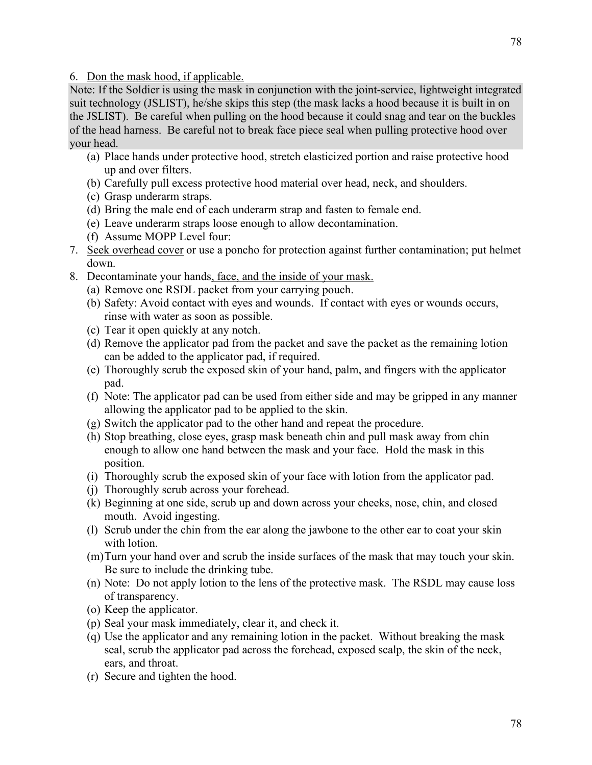6. Don the mask hood, if applicable.

Note: If the Soldier is using the mask in conjunction with the joint-service, lightweight integrated suit technology (JSLIST), he/she skips this step (the mask lacks a hood because it is built in on the JSLIST). Be careful when pulling on the hood because it could snag and tear on the buckles of the head harness. Be careful not to break face piece seal when pulling protective hood over your head.

- (a) Place hands under protective hood, stretch elasticized portion and raise protective hood up and over filters.
- (b) Carefully pull excess protective hood material over head, neck, and shoulders.
- (c) Grasp underarm straps.
- (d) Bring the male end of each underarm strap and fasten to female end.
- (e) Leave underarm straps loose enough to allow decontamination.
- (f) Assume MOPP Level four:
- 7. Seek overhead cover or use a poncho for protection against further contamination; put helmet down.
- 8. Decontaminate your hands, face, and the inside of your mask.
	- (a) Remove one RSDL packet from your carrying pouch.
	- (b) Safety: Avoid contact with eyes and wounds. If contact with eyes or wounds occurs, rinse with water as soon as possible.
	- (c) Tear it open quickly at any notch.
	- (d) Remove the applicator pad from the packet and save the packet as the remaining lotion can be added to the applicator pad, if required.
	- (e) Thoroughly scrub the exposed skin of your hand, palm, and fingers with the applicator pad.
	- (f) Note: The applicator pad can be used from either side and may be gripped in any manner allowing the applicator pad to be applied to the skin.
	- (g) Switch the applicator pad to the other hand and repeat the procedure.
	- (h) Stop breathing, close eyes, grasp mask beneath chin and pull mask away from chin enough to allow one hand between the mask and your face. Hold the mask in this position.
	- (i) Thoroughly scrub the exposed skin of your face with lotion from the applicator pad.
	- (j) Thoroughly scrub across your forehead.
	- (k) Beginning at one side, scrub up and down across your cheeks, nose, chin, and closed mouth. Avoid ingesting.
	- (l) Scrub under the chin from the ear along the jawbone to the other ear to coat your skin with lotion.
	- (m)Turn your hand over and scrub the inside surfaces of the mask that may touch your skin. Be sure to include the drinking tube.
	- (n) Note: Do not apply lotion to the lens of the protective mask. The RSDL may cause loss of transparency.
	- (o) Keep the applicator.
	- (p) Seal your mask immediately, clear it, and check it.
	- (q) Use the applicator and any remaining lotion in the packet. Without breaking the mask seal, scrub the applicator pad across the forehead, exposed scalp, the skin of the neck, ears, and throat.
	- (r) Secure and tighten the hood.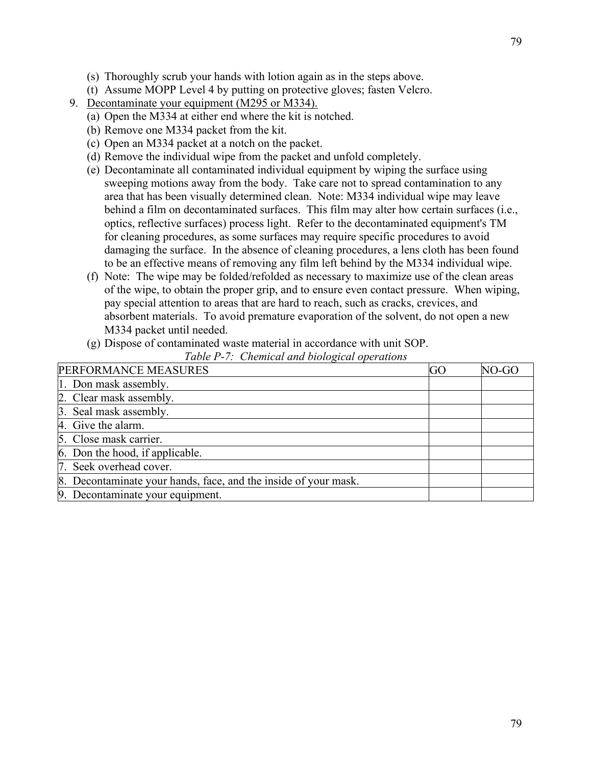- (s) Thoroughly scrub your hands with lotion again as in the steps above.
- (t) Assume MOPP Level 4 by putting on protective gloves; fasten Velcro.
- 9. Decontaminate your equipment (M295 or M334).
	- (a) Open the M334 at either end where the kit is notched.
	- (b) Remove one M334 packet from the kit.
	- (c) Open an M334 packet at a notch on the packet.
	- (d) Remove the individual wipe from the packet and unfold completely.
	- (e) Decontaminate all contaminated individual equipment by wiping the surface using sweeping motions away from the body. Take care not to spread contamination to any area that has been visually determined clean. Note: M334 individual wipe may leave behind a film on decontaminated surfaces. This film may alter how certain surfaces (i.e., optics, reflective surfaces) process light. Refer to the decontaminated equipment's TM for cleaning procedures, as some surfaces may require specific procedures to avoid damaging the surface. In the absence of cleaning procedures, a lens cloth has been found to be an effective means of removing any film left behind by the M334 individual wipe.
	- (f) Note: The wipe may be folded/refolded as necessary to maximize use of the clean areas of the wipe, to obtain the proper grip, and to ensure even contact pressure. When wiping, pay special attention to areas that are hard to reach, such as cracks, crevices, and absorbent materials. To avoid premature evaporation of the solvent, do not open a new M334 packet until needed.
	- (g) Dispose of contaminated waste material in accordance with unit SOP.

|  |  |  |  | Table P-7: Chemical and biological operations |
|--|--|--|--|-----------------------------------------------|
|--|--|--|--|-----------------------------------------------|

| PERFORMANCE MEASURES                                            | GO | NO-GC |
|-----------------------------------------------------------------|----|-------|
| 1. Don mask assembly.                                           |    |       |
| 2. Clear mask assembly.                                         |    |       |
| 3. Seal mask assembly.                                          |    |       |
| 4. Give the alarm.                                              |    |       |
| 5. Close mask carrier.                                          |    |       |
| 6. Don the hood, if applicable.                                 |    |       |
| 7. Seek overhead cover.                                         |    |       |
| 8. Decontaminate your hands, face, and the inside of your mask. |    |       |
| 9. Decontaminate your equipment.                                |    |       |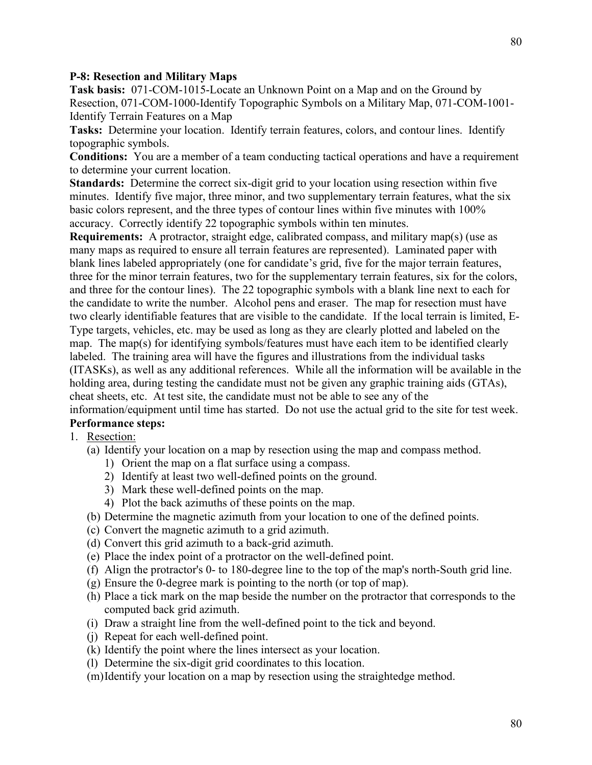#### **P-8: Resection and Military Maps**

**Task basis:** 071-COM-1015-Locate an Unknown Point on a Map and on the Ground by Resection, 071-COM-1000-Identify Topographic Symbols on a Military Map, 071-COM-1001- Identify Terrain Features on a Map

**Tasks:** Determine your location. Identify terrain features, colors, and contour lines. Identify topographic symbols.

**Conditions:** You are a member of a team conducting tactical operations and have a requirement to determine your current location.

**Standards:** Determine the correct six-digit grid to your location using resection within five minutes. Identify five major, three minor, and two supplementary terrain features, what the six basic colors represent, and the three types of contour lines within five minutes with 100% accuracy. Correctly identify 22 topographic symbols within ten minutes.

**Requirements:** A protractor, straight edge, calibrated compass, and military map(s) (use as many maps as required to ensure all terrain features are represented). Laminated paper with blank lines labeled appropriately (one for candidate's grid, five for the major terrain features, three for the minor terrain features, two for the supplementary terrain features, six for the colors, and three for the contour lines). The 22 topographic symbols with a blank line next to each for the candidate to write the number. Alcohol pens and eraser. The map for resection must have two clearly identifiable features that are visible to the candidate. If the local terrain is limited, E-Type targets, vehicles, etc. may be used as long as they are clearly plotted and labeled on the map. The map(s) for identifying symbols/features must have each item to be identified clearly labeled. The training area will have the figures and illustrations from the individual tasks (ITASKs), as well as any additional references. While all the information will be available in the holding area, during testing the candidate must not be given any graphic training aids (GTAs), cheat sheets, etc. At test site, the candidate must not be able to see any of the

### information/equipment until time has started. Do not use the actual grid to the site for test week. **Performance steps:**

- 1. Resection:
	- (a) Identify your location on a map by resection using the map and compass method.
		- 1) Orient the map on a flat surface using a compass.
		- 2) Identify at least two well-defined points on the ground.
		- 3) Mark these well-defined points on the map.
		- 4) Plot the back azimuths of these points on the map.
	- (b) Determine the magnetic azimuth from your location to one of the defined points.
	- (c) Convert the magnetic azimuth to a grid azimuth.
	- (d) Convert this grid azimuth to a back-grid azimuth.
	- (e) Place the index point of a protractor on the well-defined point.
	- (f) Align the protractor's 0- to 180-degree line to the top of the map's north-South grid line.
	- (g) Ensure the 0-degree mark is pointing to the north (or top of map).
	- (h) Place a tick mark on the map beside the number on the protractor that corresponds to the computed back grid azimuth.
	- (i) Draw a straight line from the well-defined point to the tick and beyond.
	- (j) Repeat for each well-defined point.
	- (k) Identify the point where the lines intersect as your location.
	- (l) Determine the six-digit grid coordinates to this location.
	- (m)Identify your location on a map by resection using the straightedge method.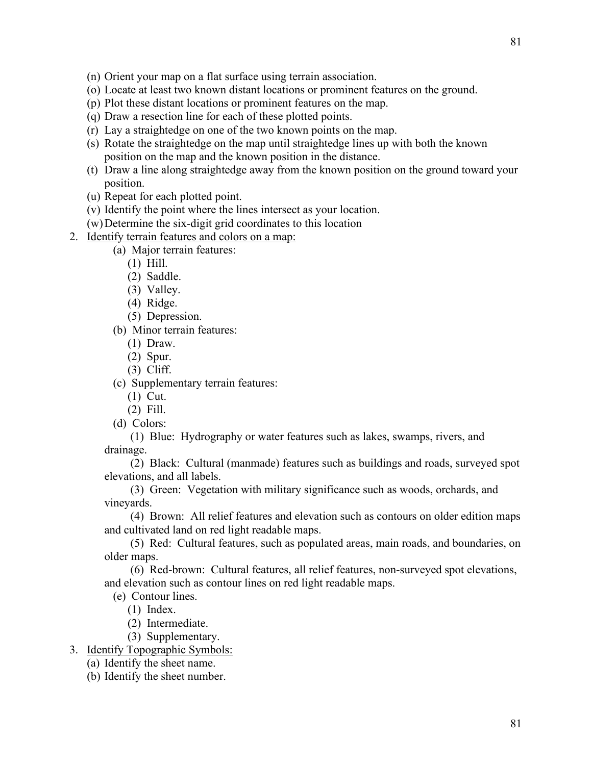- (n) Orient your map on a flat surface using terrain association.
- (o) Locate at least two known distant locations or prominent features on the ground.
- (p) Plot these distant locations or prominent features on the map.
- (q) Draw a resection line for each of these plotted points.
- (r) Lay a straightedge on one of the two known points on the map.
- (s) Rotate the straightedge on the map until straightedge lines up with both the known position on the map and the known position in the distance.
- (t) Draw a line along straightedge away from the known position on the ground toward your position.
- (u) Repeat for each plotted point.
- (v) Identify the point where the lines intersect as your location.
- (w)Determine the six-digit grid coordinates to this location
- 2. Identify terrain features and colors on a map:
	- (a) Major terrain features:
		- (1) Hill.
		- (2) Saddle.
		- (3) Valley.
		- (4) Ridge.
		- (5) Depression.
	- (b) Minor terrain features:
		- (1) Draw.
		- (2) Spur.
		- (3) Cliff.

(c) Supplementary terrain features:

- (1) Cut.
- (2) Fill.
- (d) Colors:

 (1) Blue: Hydrography or water features such as lakes, swamps, rivers, and drainage.

 (2) Black: Cultural (manmade) features such as buildings and roads, surveyed spot elevations, and all labels.

 (3) Green: Vegetation with military significance such as woods, orchards, and vineyards.

 (4) Brown: All relief features and elevation such as contours on older edition maps and cultivated land on red light readable maps.

 (5) Red: Cultural features, such as populated areas, main roads, and boundaries, on older maps.

 (6) Red-brown: Cultural features, all relief features, non-surveyed spot elevations, and elevation such as contour lines on red light readable maps.

(e) Contour lines.

- (1) Index.
- (2) Intermediate.
- (3) Supplementary.
- 3. Identify Topographic Symbols:
	- (a) Identify the sheet name.
	- (b) Identify the sheet number.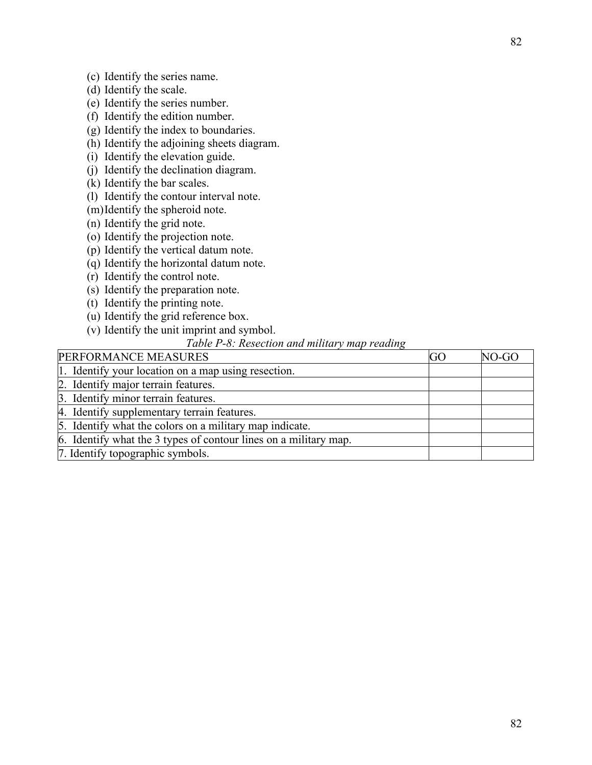- (c) Identify the series name.
- (d) Identify the scale.
- (e) Identify the series number.
- (f) Identify the edition number.
- (g) Identify the index to boundaries.
- (h) Identify the adjoining sheets diagram.
- (i) Identify the elevation guide.
- (j) Identify the declination diagram.
- (k) Identify the bar scales.
- (l) Identify the contour interval note.
- (m)Identify the spheroid note.
- (n) Identify the grid note.
- (o) Identify the projection note.
- (p) Identify the vertical datum note.
- (q) Identify the horizontal datum note.
- (r) Identify the control note.
- (s) Identify the preparation note.
- (t) Identify the printing note.
- (u) Identify the grid reference box.
- (v) Identify the unit imprint and symbol.

### *Table P-8: Resection and military map reading*

| PERFORMANCE MEASURES                                             | GO | NO-GO |
|------------------------------------------------------------------|----|-------|
| 1. Identify your location on a map using resection.              |    |       |
| 2. Identify major terrain features.                              |    |       |
| 3. Identify minor terrain features.                              |    |       |
| 4. Identify supplementary terrain features.                      |    |       |
| 5. Identify what the colors on a military map indicate.          |    |       |
| 6. Identify what the 3 types of contour lines on a military map. |    |       |
| 7. Identify topographic symbols.                                 |    |       |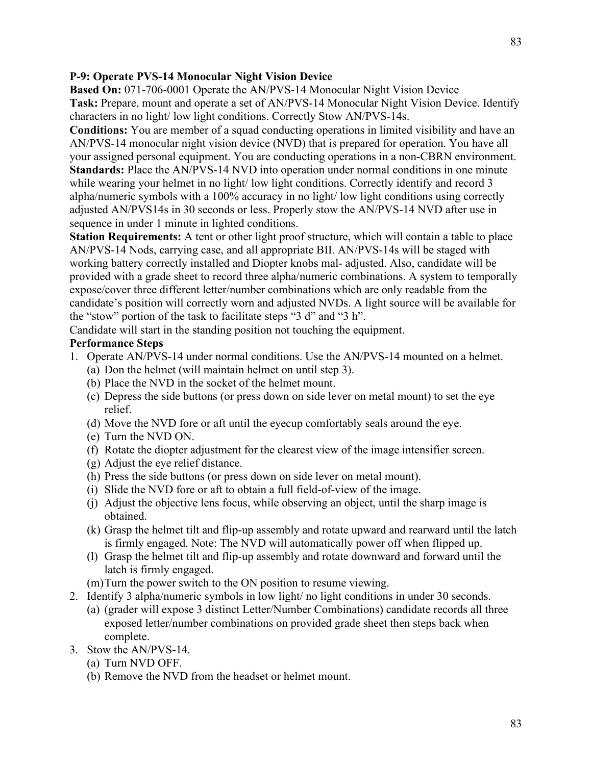#### **P-9: Operate PVS-14 Monocular Night Vision Device**

**Based On:** 071-706-0001 Operate the AN/PVS-14 Monocular Night Vision Device **Task:** Prepare, mount and operate a set of AN/PVS-14 Monocular Night Vision Device. Identify characters in no light/ low light conditions. Correctly Stow AN/PVS-14s.

**Conditions:** You are member of a squad conducting operations in limited visibility and have an AN/PVS-14 monocular night vision device (NVD) that is prepared for operation. You have all your assigned personal equipment. You are conducting operations in a non-CBRN environment. **Standards:** Place the AN/PVS-14 NVD into operation under normal conditions in one minute while wearing your helmet in no light/ low light conditions. Correctly identify and record 3 alpha/numeric symbols with a 100% accuracy in no light/ low light conditions using correctly adjusted AN/PVS14s in 30 seconds or less. Properly stow the AN/PVS-14 NVD after use in sequence in under 1 minute in lighted conditions.

**Station Requirements:** A tent or other light proof structure, which will contain a table to place AN/PVS-14 Nods, carrying case, and all appropriate BII. AN/PVS-14s will be staged with working battery correctly installed and Diopter knobs mal- adjusted. Also, candidate will be provided with a grade sheet to record three alpha/numeric combinations. A system to temporally expose/cover three different letter/number combinations which are only readable from the candidate's position will correctly worn and adjusted NVDs. A light source will be available for the "stow" portion of the task to facilitate steps "3 d" and "3 h".

Candidate will start in the standing position not touching the equipment.

#### **Performance Steps**

- 1. Operate AN/PVS-14 under normal conditions. Use the AN/PVS-14 mounted on a helmet.
	- (a) Don the helmet (will maintain helmet on until step 3).
	- (b) Place the NVD in the socket of the helmet mount.
	- (c) Depress the side buttons (or press down on side lever on metal mount) to set the eye relief.
	- (d) Move the NVD fore or aft until the eyecup comfortably seals around the eye.
	- (e) Turn the NVD ON.
	- (f) Rotate the diopter adjustment for the clearest view of the image intensifier screen.
	- (g) Adjust the eye relief distance.
	- (h) Press the side buttons (or press down on side lever on metal mount).
	- (i) Slide the NVD fore or aft to obtain a full field-of-view of the image.
	- (j) Adjust the objective lens focus, while observing an object, until the sharp image is obtained.
	- (k) Grasp the helmet tilt and flip-up assembly and rotate upward and rearward until the latch is firmly engaged. Note: The NVD will automatically power off when flipped up.
	- (l) Grasp the helmet tilt and flip-up assembly and rotate downward and forward until the latch is firmly engaged.
	- (m)Turn the power switch to the ON position to resume viewing.
- 2. Identify 3 alpha/numeric symbols in low light/ no light conditions in under 30 seconds.
	- (a) (grader will expose 3 distinct Letter/Number Combinations) candidate records all three exposed letter/number combinations on provided grade sheet then steps back when complete.
- 3. Stow the AN/PVS-14.
	- (a) Turn NVD OFF.
	- (b) Remove the NVD from the headset or helmet mount.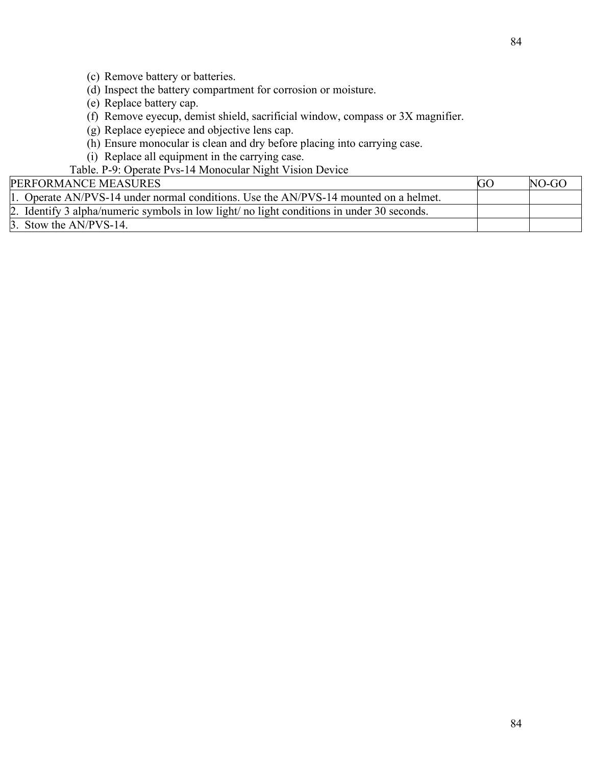84

- (c) Remove battery or batteries.
- (d) Inspect the battery compartment for corrosion or moisture.
- (e) Replace battery cap.
- (f) Remove eyecup, demist shield, sacrificial window, compass or 3X magnifier.
- (g) Replace eyepiece and objective lens cap.
- (h) Ensure monocular is clean and dry before placing into carrying case.
- (i) Replace all equipment in the carrying case.

Table. P-9: Operate Pvs-14 Monocular Night Vision Device

| <b>PERFORMANCE MEASURES</b>                                                                | <b>GC</b> | $NO-GO$ |
|--------------------------------------------------------------------------------------------|-----------|---------|
| 1. Operate AN/PVS-14 under normal conditions. Use the AN/PVS-14 mounted on a helmet.       |           |         |
| 2. Identify 3 alpha/numeric symbols in low light/ no light conditions in under 30 seconds. |           |         |
| $\beta$ . Stow the AN/PVS-14.                                                              |           |         |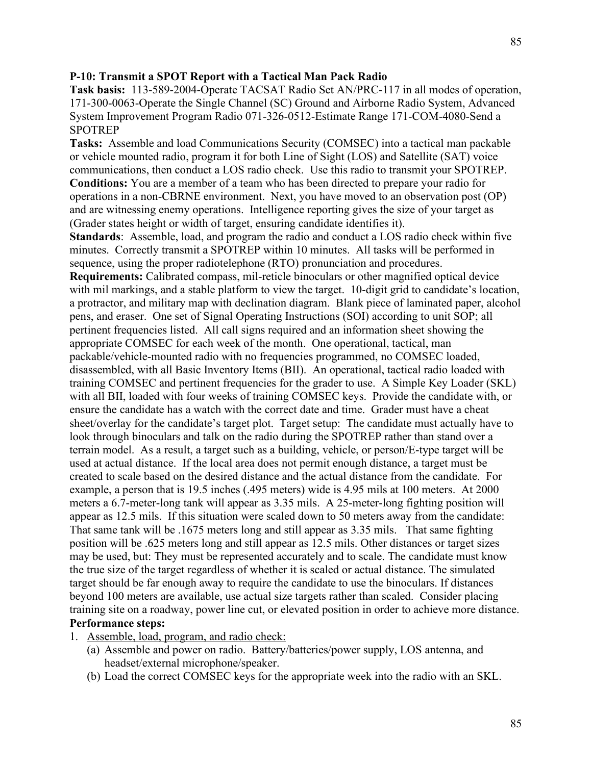#### **P-10: Transmit a SPOT Report with a Tactical Man Pack Radio**

**Task basis:** 113-589-2004-Operate TACSAT Radio Set AN/PRC-117 in all modes of operation, 171-300-0063-Operate the Single Channel (SC) Ground and Airborne Radio System, Advanced System Improvement Program Radio 071-326-0512-Estimate Range 171-COM-4080-Send a **SPOTREP** 

**Tasks:** Assemble and load Communications Security (COMSEC) into a tactical man packable or vehicle mounted radio, program it for both Line of Sight (LOS) and Satellite (SAT) voice communications, then conduct a LOS radio check. Use this radio to transmit your SPOTREP. **Conditions:** You are a member of a team who has been directed to prepare your radio for operations in a non-CBRNE environment. Next, you have moved to an observation post (OP) and are witnessing enemy operations. Intelligence reporting gives the size of your target as (Grader states height or width of target, ensuring candidate identifies it).

**Standards**: Assemble, load, and program the radio and conduct a LOS radio check within five minutes. Correctly transmit a SPOTREP within 10 minutes. All tasks will be performed in sequence, using the proper radiotelephone (RTO) pronunciation and procedures.

**Requirements:** Calibrated compass, mil-reticle binoculars or other magnified optical device with mil markings, and a stable platform to view the target. 10-digit grid to candidate's location, a protractor, and military map with declination diagram. Blank piece of laminated paper, alcohol pens, and eraser. One set of Signal Operating Instructions (SOI) according to unit SOP; all pertinent frequencies listed. All call signs required and an information sheet showing the appropriate COMSEC for each week of the month. One operational, tactical, man packable/vehicle-mounted radio with no frequencies programmed, no COMSEC loaded, disassembled, with all Basic Inventory Items (BII). An operational, tactical radio loaded with training COMSEC and pertinent frequencies for the grader to use. A Simple Key Loader (SKL) with all BII, loaded with four weeks of training COMSEC keys. Provide the candidate with, or ensure the candidate has a watch with the correct date and time. Grader must have a cheat sheet/overlay for the candidate's target plot. Target setup: The candidate must actually have to look through binoculars and talk on the radio during the SPOTREP rather than stand over a terrain model. As a result, a target such as a building, vehicle, or person/E-type target will be used at actual distance. If the local area does not permit enough distance, a target must be created to scale based on the desired distance and the actual distance from the candidate. For example, a person that is 19.5 inches (.495 meters) wide is 4.95 mils at 100 meters. At 2000 meters a 6.7-meter-long tank will appear as 3.35 mils. A 25-meter-long fighting position will appear as 12.5 mils. If this situation were scaled down to 50 meters away from the candidate: That same tank will be .1675 meters long and still appear as 3.35 mils. That same fighting position will be .625 meters long and still appear as 12.5 mils. Other distances or target sizes may be used, but: They must be represented accurately and to scale. The candidate must know the true size of the target regardless of whether it is scaled or actual distance. The simulated target should be far enough away to require the candidate to use the binoculars. If distances beyond 100 meters are available, use actual size targets rather than scaled. Consider placing training site on a roadway, power line cut, or elevated position in order to achieve more distance. **Performance steps:**

- 1. Assemble, load, program, and radio check:
	- (a) Assemble and power on radio. Battery/batteries/power supply, LOS antenna, and headset/external microphone/speaker.
	- (b) Load the correct COMSEC keys for the appropriate week into the radio with an SKL.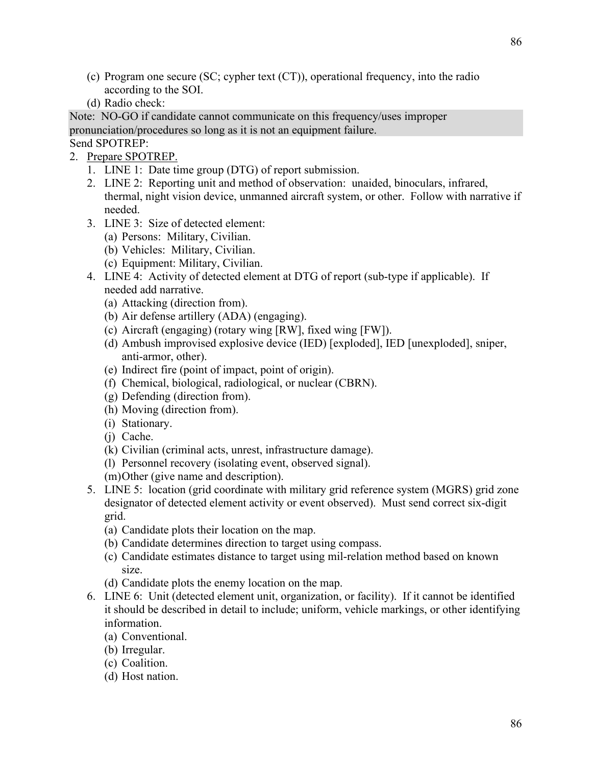- (c) Program one secure (SC; cypher text (CT)), operational frequency, into the radio according to the SOI.
- (d) Radio check:

Note: NO-GO if candidate cannot communicate on this frequency/uses improper pronunciation/procedures so long as it is not an equipment failure.

- Send SPOTREP:
- 2. Prepare SPOTREP.
	- 1. LINE 1: Date time group (DTG) of report submission.
	- 2. LINE 2: Reporting unit and method of observation: unaided, binoculars, infrared, thermal, night vision device, unmanned aircraft system, or other. Follow with narrative if needed.
	- 3. LINE 3: Size of detected element:
		- (a) Persons: Military, Civilian.
		- (b) Vehicles: Military, Civilian.
		- (c) Equipment: Military, Civilian.
	- 4. LINE 4: Activity of detected element at DTG of report (sub-type if applicable). If needed add narrative.
		- (a) Attacking (direction from).
		- (b) Air defense artillery (ADA) (engaging).
		- (c) Aircraft (engaging) (rotary wing [RW], fixed wing [FW]).
		- (d) Ambush improvised explosive device (IED) [exploded], IED [unexploded], sniper, anti-armor, other).
		- (e) Indirect fire (point of impact, point of origin).
		- (f) Chemical, biological, radiological, or nuclear (CBRN).
		- (g) Defending (direction from).
		- (h) Moving (direction from).
		- (i) Stationary.
		- (j) Cache.
		- (k) Civilian (criminal acts, unrest, infrastructure damage).
		- (l) Personnel recovery (isolating event, observed signal).
		- (m)Other (give name and description).
	- 5. LINE 5: location (grid coordinate with military grid reference system (MGRS) grid zone designator of detected element activity or event observed). Must send correct six-digit grid.
		- (a) Candidate plots their location on the map.
		- (b) Candidate determines direction to target using compass.
		- (c) Candidate estimates distance to target using mil-relation method based on known size.
		- (d) Candidate plots the enemy location on the map.
	- 6. LINE 6: Unit (detected element unit, organization, or facility). If it cannot be identified it should be described in detail to include; uniform, vehicle markings, or other identifying information.
		- (a) Conventional.
		- (b) Irregular.
		- (c) Coalition.
		- (d) Host nation.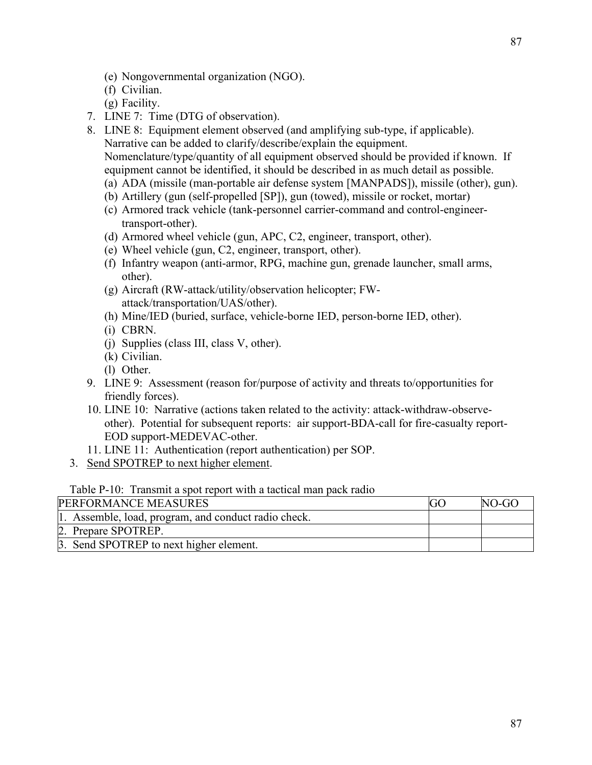- (e) Nongovernmental organization (NGO).
- (f) Civilian.
- (g) Facility.
- 7. LINE 7: Time (DTG of observation).
- 8. LINE 8: Equipment element observed (and amplifying sub-type, if applicable). Narrative can be added to clarify/describe/explain the equipment. Nomenclature/type/quantity of all equipment observed should be provided if known. If equipment cannot be identified, it should be described in as much detail as possible.
	- (a) ADA (missile (man-portable air defense system [MANPADS]), missile (other), gun).
	- (b) Artillery (gun (self-propelled [SP]), gun (towed), missile or rocket, mortar)
	- (c) Armored track vehicle (tank-personnel carrier-command and control-engineertransport-other).
	- (d) Armored wheel vehicle (gun, APC, C2, engineer, transport, other).
	- (e) Wheel vehicle (gun, C2, engineer, transport, other).
	- (f) Infantry weapon (anti-armor, RPG, machine gun, grenade launcher, small arms, other).
	- (g) Aircraft (RW-attack/utility/observation helicopter; FWattack/transportation/UAS/other).
	- (h) Mine/IED (buried, surface, vehicle-borne IED, person-borne IED, other).
	- (i) CBRN.
	- (j) Supplies (class III, class V, other).
	- (k) Civilian.
	- (l) Other.
- 9. LINE 9: Assessment (reason for/purpose of activity and threats to/opportunities for friendly forces).
- 10. LINE 10: Narrative (actions taken related to the activity: attack-withdraw-observeother). Potential for subsequent reports: air support-BDA-call for fire-casualty report-EOD support-MEDEVAC-other.
- 11. LINE 11: Authentication (report authentication) per SOP.
- 3. Send SPOTREP to next higher element.

#### Table P-10: Transmit a spot report with a tactical man pack radio

| <b>PERFORMANCE MEASURES</b>                          | $NO-GO$ |
|------------------------------------------------------|---------|
| 1. Assemble, load, program, and conduct radio check. |         |
| 2. Prepare SPOTREP.                                  |         |
| 3. Send SPOTREP to next higher element.              |         |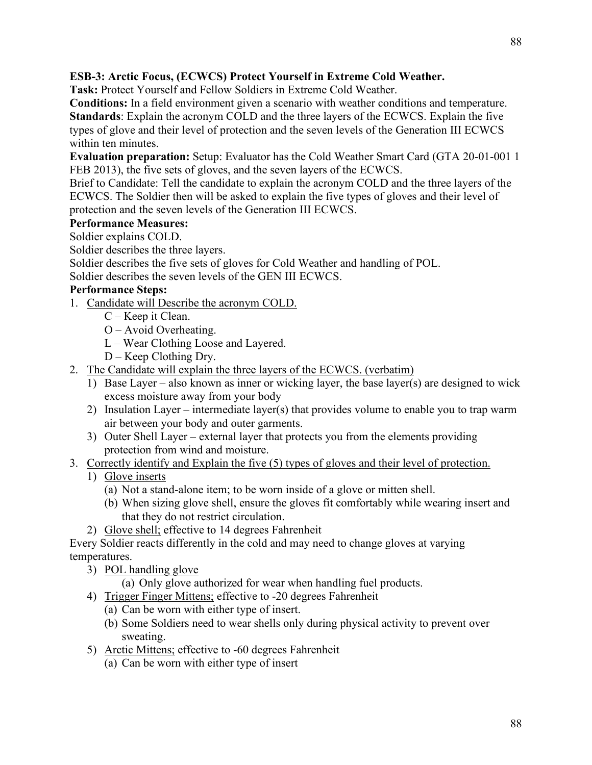## **ESB-3: Arctic Focus, (ECWCS) Protect Yourself in Extreme Cold Weather.**

**Task:** Protect Yourself and Fellow Soldiers in Extreme Cold Weather.

**Conditions:** In a field environment given a scenario with weather conditions and temperature. **Standards**: Explain the acronym COLD and the three layers of the ECWCS. Explain the five types of glove and their level of protection and the seven levels of the Generation III ECWCS within ten minutes.

**Evaluation preparation:** Setup: Evaluator has the Cold Weather Smart Card (GTA 20-01-001 1 FEB 2013), the five sets of gloves, and the seven layers of the ECWCS.

Brief to Candidate: Tell the candidate to explain the acronym COLD and the three layers of the ECWCS. The Soldier then will be asked to explain the five types of gloves and their level of protection and the seven levels of the Generation III ECWCS.

# **Performance Measures:**

Soldier explains COLD.

Soldier describes the three layers.

Soldier describes the five sets of gloves for Cold Weather and handling of POL.

Soldier describes the seven levels of the GEN III ECWCS.

### **Performance Steps:**

- 1. Candidate will Describe the acronym COLD.
	- C Keep it Clean.
	- O Avoid Overheating.
	- L Wear Clothing Loose and Layered.
	- D Keep Clothing Dry.
- 2. The Candidate will explain the three layers of the ECWCS. (verbatim)
	- 1) Base Layer also known as inner or wicking layer, the base layer(s) are designed to wick excess moisture away from your body
	- 2) Insulation Layer intermediate layer(s) that provides volume to enable you to trap warm air between your body and outer garments.
	- 3) Outer Shell Layer external layer that protects you from the elements providing protection from wind and moisture.
- 3. Correctly identify and Explain the five (5) types of gloves and their level of protection.
	- 1) Glove inserts
		- (a) Not a stand-alone item; to be worn inside of a glove or mitten shell.
		- (b) When sizing glove shell, ensure the gloves fit comfortably while wearing insert and that they do not restrict circulation.
	- 2) Glove shell; effective to 14 degrees Fahrenheit

Every Soldier reacts differently in the cold and may need to change gloves at varying temperatures.

- 3) POL handling glove
	- (a) Only glove authorized for wear when handling fuel products.
- 4) Trigger Finger Mittens; effective to -20 degrees Fahrenheit
	- (a) Can be worn with either type of insert.
	- (b) Some Soldiers need to wear shells only during physical activity to prevent over sweating.
- 5) Arctic Mittens; effective to -60 degrees Fahrenheit
	- (a) Can be worn with either type of insert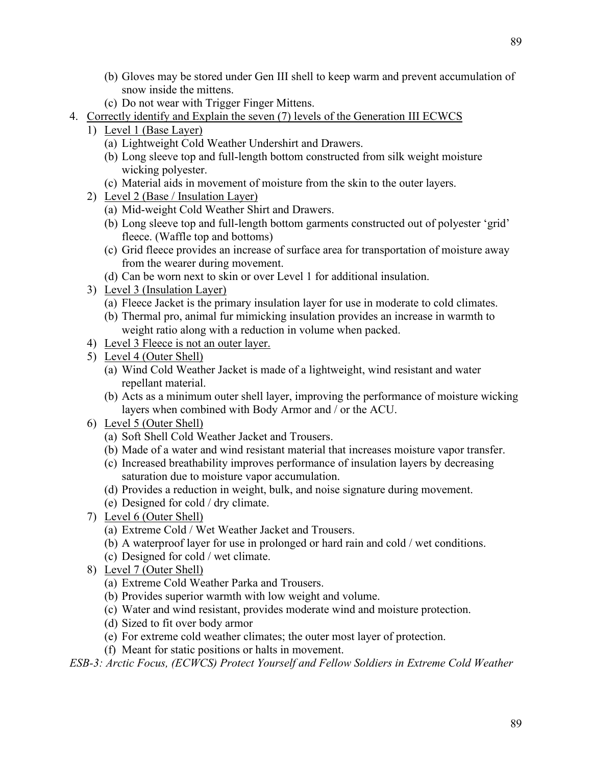- (b) Gloves may be stored under Gen III shell to keep warm and prevent accumulation of snow inside the mittens.
- (c) Do not wear with Trigger Finger Mittens.
- 4. Correctly identify and Explain the seven (7) levels of the Generation III ECWCS
	- 1) Level 1 (Base Layer)
		- (a) Lightweight Cold Weather Undershirt and Drawers.
		- (b) Long sleeve top and full-length bottom constructed from silk weight moisture wicking polyester.
		- (c) Material aids in movement of moisture from the skin to the outer layers.
	- 2) Level 2 (Base / Insulation Layer)
		- (a) Mid-weight Cold Weather Shirt and Drawers.
		- (b) Long sleeve top and full-length bottom garments constructed out of polyester 'grid' fleece. (Waffle top and bottoms)
		- (c) Grid fleece provides an increase of surface area for transportation of moisture away from the wearer during movement.
		- (d) Can be worn next to skin or over Level 1 for additional insulation.
	- 3) Level 3 (Insulation Layer)
		- (a) Fleece Jacket is the primary insulation layer for use in moderate to cold climates.
		- (b) Thermal pro, animal fur mimicking insulation provides an increase in warmth to weight ratio along with a reduction in volume when packed.
	- 4) Level 3 Fleece is not an outer layer.
	- 5) Level 4 (Outer Shell)
		- (a) Wind Cold Weather Jacket is made of a lightweight, wind resistant and water repellant material.
		- (b) Acts as a minimum outer shell layer, improving the performance of moisture wicking layers when combined with Body Armor and / or the ACU.
	- 6) Level 5 (Outer Shell)
		- (a) Soft Shell Cold Weather Jacket and Trousers.
		- (b) Made of a water and wind resistant material that increases moisture vapor transfer.
		- (c) Increased breathability improves performance of insulation layers by decreasing saturation due to moisture vapor accumulation.
		- (d) Provides a reduction in weight, bulk, and noise signature during movement.
		- (e) Designed for cold / dry climate.
	- 7) Level 6 (Outer Shell)
		- (a) Extreme Cold / Wet Weather Jacket and Trousers.
		- (b) A waterproof layer for use in prolonged or hard rain and cold / wet conditions.
		- (c) Designed for cold / wet climate.
	- 8) Level 7 (Outer Shell)
		- (a) Extreme Cold Weather Parka and Trousers.
		- (b) Provides superior warmth with low weight and volume.
		- (c) Water and wind resistant, provides moderate wind and moisture protection.
		- (d) Sized to fit over body armor
		- (e) For extreme cold weather climates; the outer most layer of protection.
		- (f) Meant for static positions or halts in movement.

*ESB-3: Arctic Focus, (ECWCS) Protect Yourself and Fellow Soldiers in Extreme Cold Weather*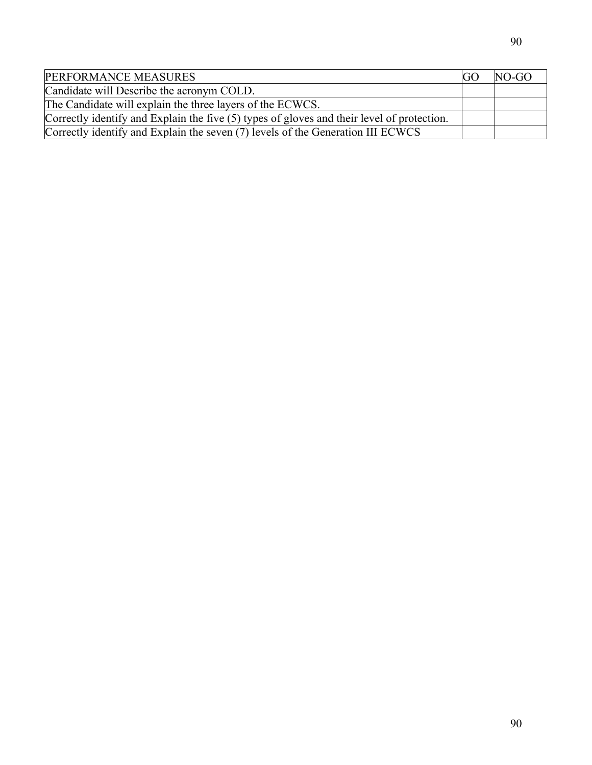| PERFORMANCE MEASURES                                                                       | $NO-GO$ |
|--------------------------------------------------------------------------------------------|---------|
| Candidate will Describe the acronym COLD.                                                  |         |
| The Candidate will explain the three layers of the ECWCS.                                  |         |
| Correctly identify and Explain the five (5) types of gloves and their level of protection. |         |
| Correctly identify and Explain the seven (7) levels of the Generation III ECWCS            |         |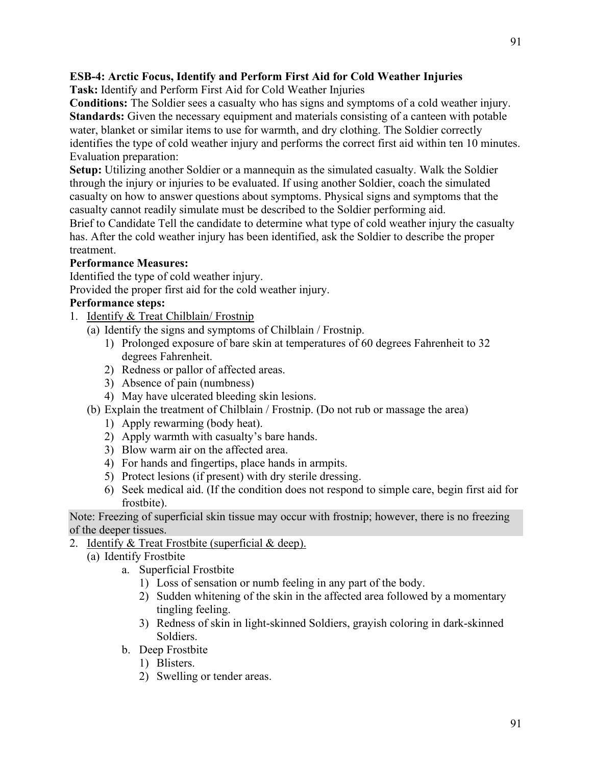## **ESB-4: Arctic Focus, Identify and Perform First Aid for Cold Weather Injuries**

**Task:** Identify and Perform First Aid for Cold Weather Injuries

**Conditions:** The Soldier sees a casualty who has signs and symptoms of a cold weather injury. **Standards:** Given the necessary equipment and materials consisting of a canteen with potable water, blanket or similar items to use for warmth, and dry clothing. The Soldier correctly identifies the type of cold weather injury and performs the correct first aid within ten 10 minutes. Evaluation preparation:

**Setup:** Utilizing another Soldier or a mannequin as the simulated casualty. Walk the Soldier through the injury or injuries to be evaluated. If using another Soldier, coach the simulated casualty on how to answer questions about symptoms. Physical signs and symptoms that the casualty cannot readily simulate must be described to the Soldier performing aid.

Brief to Candidate Tell the candidate to determine what type of cold weather injury the casualty has. After the cold weather injury has been identified, ask the Soldier to describe the proper treatment.

### **Performance Measures:**

Identified the type of cold weather injury.

Provided the proper first aid for the cold weather injury.

### **Performance steps:**

- 1. Identify & Treat Chilblain/ Frostnip
	- (a) Identify the signs and symptoms of Chilblain / Frostnip.
		- 1) Prolonged exposure of bare skin at temperatures of 60 degrees Fahrenheit to 32 degrees Fahrenheit.
		- 2) Redness or pallor of affected areas.
		- 3) Absence of pain (numbness)
		- 4) May have ulcerated bleeding skin lesions.
	- (b) Explain the treatment of Chilblain / Frostnip. (Do not rub or massage the area)
		- 1) Apply rewarming (body heat).
		- 2) Apply warmth with casualty's bare hands.
		- 3) Blow warm air on the affected area.
		- 4) For hands and fingertips, place hands in armpits.
		- 5) Protect lesions (if present) with dry sterile dressing.
		- 6) Seek medical aid. (If the condition does not respond to simple care, begin first aid for frostbite).

Note: Freezing of superficial skin tissue may occur with frostnip; however, there is no freezing of the deeper tissues.

- 2. Identify & Treat Frostbite (superficial & deep).
	- (a) Identify Frostbite
		- a. Superficial Frostbite
			- 1) Loss of sensation or numb feeling in any part of the body.
			- 2) Sudden whitening of the skin in the affected area followed by a momentary tingling feeling.
			- 3) Redness of skin in light-skinned Soldiers, grayish coloring in dark-skinned Soldiers.
		- b. Deep Frostbite
			- 1) Blisters.
			- 2) Swelling or tender areas.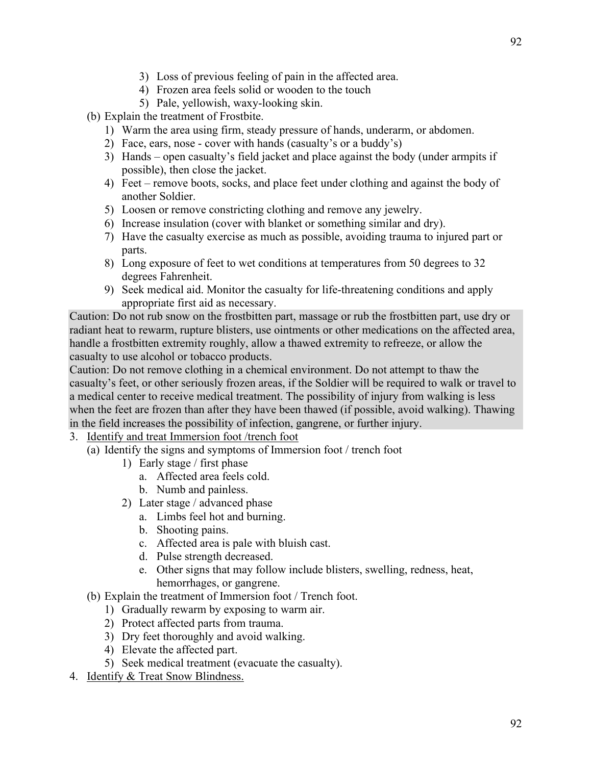- 3) Loss of previous feeling of pain in the affected area.
- 4) Frozen area feels solid or wooden to the touch
- 5) Pale, yellowish, waxy-looking skin.
- (b) Explain the treatment of Frostbite.
	- 1) Warm the area using firm, steady pressure of hands, underarm, or abdomen.
	- 2) Face, ears, nose cover with hands (casualty's or a buddy's)
	- 3) Hands open casualty's field jacket and place against the body (under armpits if possible), then close the jacket.
	- 4) Feet remove boots, socks, and place feet under clothing and against the body of another Soldier.
	- 5) Loosen or remove constricting clothing and remove any jewelry.
	- 6) Increase insulation (cover with blanket or something similar and dry).
	- 7) Have the casualty exercise as much as possible, avoiding trauma to injured part or parts.
	- 8) Long exposure of feet to wet conditions at temperatures from 50 degrees to 32 degrees Fahrenheit.
	- 9) Seek medical aid. Monitor the casualty for life-threatening conditions and apply appropriate first aid as necessary.

Caution: Do not rub snow on the frostbitten part, massage or rub the frostbitten part, use dry or radiant heat to rewarm, rupture blisters, use ointments or other medications on the affected area, handle a frostbitten extremity roughly, allow a thawed extremity to refreeze, or allow the casualty to use alcohol or tobacco products.

Caution: Do not remove clothing in a chemical environment. Do not attempt to thaw the casualty's feet, or other seriously frozen areas, if the Soldier will be required to walk or travel to a medical center to receive medical treatment. The possibility of injury from walking is less when the feet are frozen than after they have been thawed (if possible, avoid walking). Thawing in the field increases the possibility of infection, gangrene, or further injury.

- 3. Identify and treat Immersion foot /trench foot
	- (a) Identify the signs and symptoms of Immersion foot / trench foot
		- 1) Early stage / first phase
			- a. Affected area feels cold.
			- b. Numb and painless.
		- 2) Later stage / advanced phase
			- a. Limbs feel hot and burning.
			- b. Shooting pains.
			- c. Affected area is pale with bluish cast.
			- d. Pulse strength decreased.
			- e. Other signs that may follow include blisters, swelling, redness, heat, hemorrhages, or gangrene.
	- (b) Explain the treatment of Immersion foot / Trench foot.
		- 1) Gradually rewarm by exposing to warm air.
		- 2) Protect affected parts from trauma.
		- 3) Dry feet thoroughly and avoid walking.
		- 4) Elevate the affected part.
		- 5) Seek medical treatment (evacuate the casualty).
- 4. Identify & Treat Snow Blindness.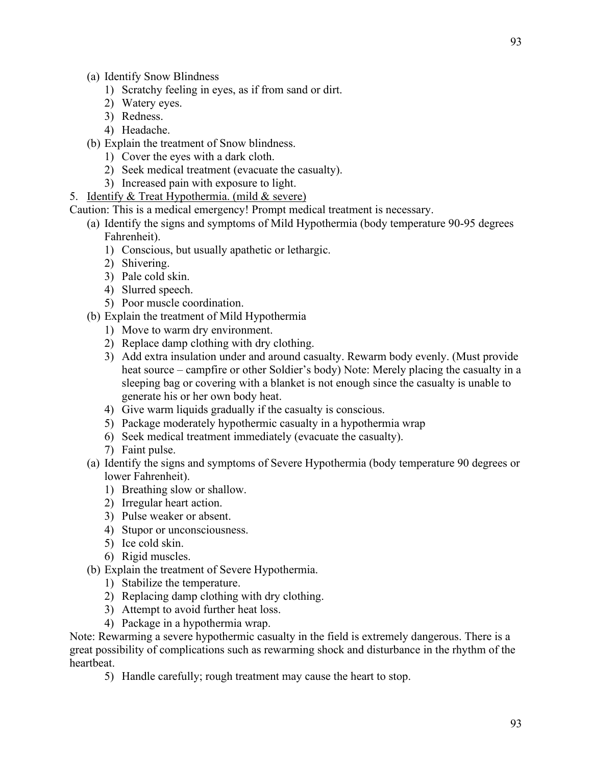- (a) Identify Snow Blindness
	- 1) Scratchy feeling in eyes, as if from sand or dirt.
	- 2) Watery eyes.
	- 3) Redness.
	- 4) Headache.
- (b) Explain the treatment of Snow blindness.
	- 1) Cover the eyes with a dark cloth.
	- 2) Seek medical treatment (evacuate the casualty).
	- 3) Increased pain with exposure to light.
- 5. Identify & Treat Hypothermia. (mild & severe)

Caution: This is a medical emergency! Prompt medical treatment is necessary.

- (a) Identify the signs and symptoms of Mild Hypothermia (body temperature 90-95 degrees Fahrenheit).
	- 1) Conscious, but usually apathetic or lethargic.
	- 2) Shivering.
	- 3) Pale cold skin.
	- 4) Slurred speech.
	- 5) Poor muscle coordination.
- (b) Explain the treatment of Mild Hypothermia
	- 1) Move to warm dry environment.
	- 2) Replace damp clothing with dry clothing.
	- 3) Add extra insulation under and around casualty. Rewarm body evenly. (Must provide heat source – campfire or other Soldier's body) Note: Merely placing the casualty in a sleeping bag or covering with a blanket is not enough since the casualty is unable to generate his or her own body heat.
	- 4) Give warm liquids gradually if the casualty is conscious.
	- 5) Package moderately hypothermic casualty in a hypothermia wrap
	- 6) Seek medical treatment immediately (evacuate the casualty).
	- 7) Faint pulse.
- (a) Identify the signs and symptoms of Severe Hypothermia (body temperature 90 degrees or lower Fahrenheit).
	- 1) Breathing slow or shallow.
	- 2) Irregular heart action.
	- 3) Pulse weaker or absent.
	- 4) Stupor or unconsciousness.
	- 5) Ice cold skin.
	- 6) Rigid muscles.
- (b) Explain the treatment of Severe Hypothermia.
	- 1) Stabilize the temperature.
	- 2) Replacing damp clothing with dry clothing.
	- 3) Attempt to avoid further heat loss.
	- 4) Package in a hypothermia wrap.

Note: Rewarming a severe hypothermic casualty in the field is extremely dangerous. There is a great possibility of complications such as rewarming shock and disturbance in the rhythm of the heartbeat.

5) Handle carefully; rough treatment may cause the heart to stop.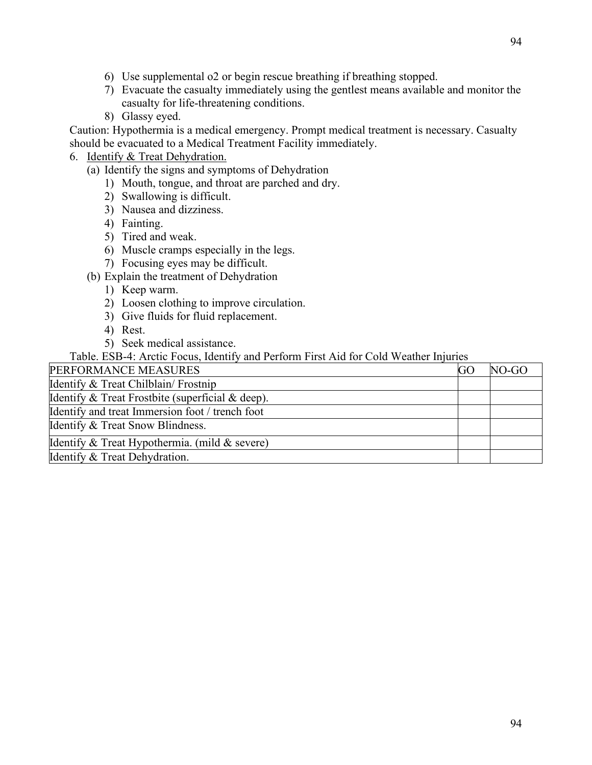- 6) Use supplemental o2 or begin rescue breathing if breathing stopped.
- 7) Evacuate the casualty immediately using the gentlest means available and monitor the casualty for life-threatening conditions.
- 8) Glassy eyed.

Caution: Hypothermia is a medical emergency. Prompt medical treatment is necessary. Casualty should be evacuated to a Medical Treatment Facility immediately.

# 6. Identify & Treat Dehydration.

- (a) Identify the signs and symptoms of Dehydration
	- 1) Mouth, tongue, and throat are parched and dry.
	- 2) Swallowing is difficult.
	- 3) Nausea and dizziness.
	- 4) Fainting.
	- 5) Tired and weak.
	- 6) Muscle cramps especially in the legs.
	- 7) Focusing eyes may be difficult.
- (b) Explain the treatment of Dehydration
	- 1) Keep warm.
	- 2) Loosen clothing to improve circulation.
	- 3) Give fluids for fluid replacement.
	- 4) Rest.
	- 5) Seek medical assistance.

Table. ESB-4: Arctic Focus, Identify and Perform First Aid for Cold Weather Injuries

| PERFORMANCE MEASURES                             | <b>GC</b> | NO-GO |
|--------------------------------------------------|-----------|-------|
| Identify & Treat Chilblain/ Frostnip             |           |       |
| Identify & Treat Frostbite (superficial & deep). |           |       |
| Identify and treat Immersion foot / trench foot  |           |       |
| Identify & Treat Snow Blindness.                 |           |       |
| Identify & Treat Hypothermia. (mild & severe)    |           |       |
| Identify & Treat Dehydration.                    |           |       |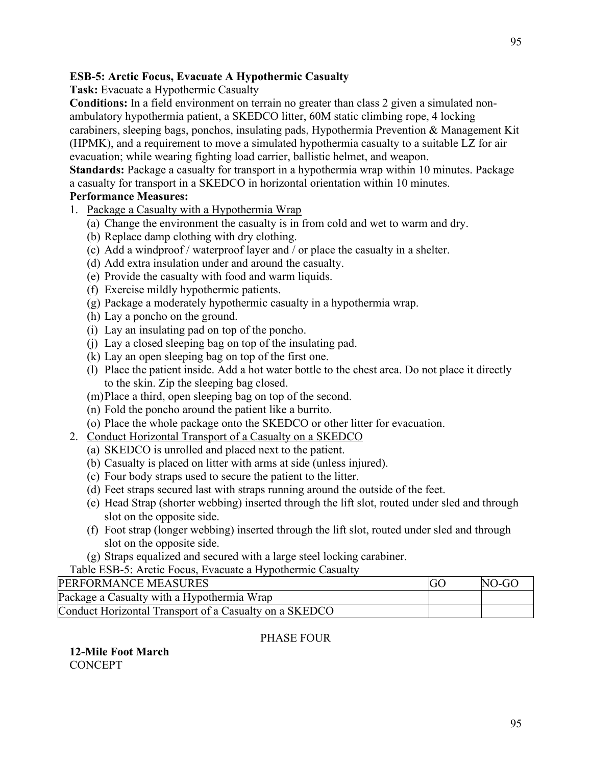# **ESB-5: Arctic Focus, Evacuate A Hypothermic Casualty**

**Task:** Evacuate a Hypothermic Casualty

**Conditions:** In a field environment on terrain no greater than class 2 given a simulated nonambulatory hypothermia patient, a SKEDCO litter, 60M static climbing rope, 4 locking carabiners, sleeping bags, ponchos, insulating pads, Hypothermia Prevention & Management Kit (HPMK), and a requirement to move a simulated hypothermia casualty to a suitable LZ for air evacuation; while wearing fighting load carrier, ballistic helmet, and weapon.

**Standards:** Package a casualty for transport in a hypothermia wrap within 10 minutes. Package a casualty for transport in a SKEDCO in horizontal orientation within 10 minutes.

## **Performance Measures:**

- 1. Package a Casualty with a Hypothermia Wrap
	- (a) Change the environment the casualty is in from cold and wet to warm and dry.
	- (b) Replace damp clothing with dry clothing.
	- (c) Add a windproof / waterproof layer and / or place the casualty in a shelter.
	- (d) Add extra insulation under and around the casualty.
	- (e) Provide the casualty with food and warm liquids.
	- (f) Exercise mildly hypothermic patients.
	- (g) Package a moderately hypothermic casualty in a hypothermia wrap.
	- (h) Lay a poncho on the ground.
	- (i) Lay an insulating pad on top of the poncho.
	- (j) Lay a closed sleeping bag on top of the insulating pad.
	- (k) Lay an open sleeping bag on top of the first one.
	- (l) Place the patient inside. Add a hot water bottle to the chest area. Do not place it directly to the skin. Zip the sleeping bag closed.
	- (m)Place a third, open sleeping bag on top of the second.
	- (n) Fold the poncho around the patient like a burrito.
	- (o) Place the whole package onto the SKEDCO or other litter for evacuation.
- 2. Conduct Horizontal Transport of a Casualty on a SKEDCO
	- (a) SKEDCO is unrolled and placed next to the patient.
	- (b) Casualty is placed on litter with arms at side (unless injured).
	- (c) Four body straps used to secure the patient to the litter.
	- (d) Feet straps secured last with straps running around the outside of the feet.
	- (e) Head Strap (shorter webbing) inserted through the lift slot, routed under sled and through slot on the opposite side.
	- (f) Foot strap (longer webbing) inserted through the lift slot, routed under sled and through slot on the opposite side.
	- (g) Straps equalized and secured with a large steel locking carabiner.

### Table ESB-5: Arctic Focus, Evacuate a Hypothermic Casualty

| PERFORMANCE MEASURES                                   | NO-GO |
|--------------------------------------------------------|-------|
| Package a Casualty with a Hypothermia Wrap             |       |
| Conduct Horizontal Transport of a Casualty on a SKEDCO |       |

# PHASE FOUR

**12-Mile Foot March CONCEPT**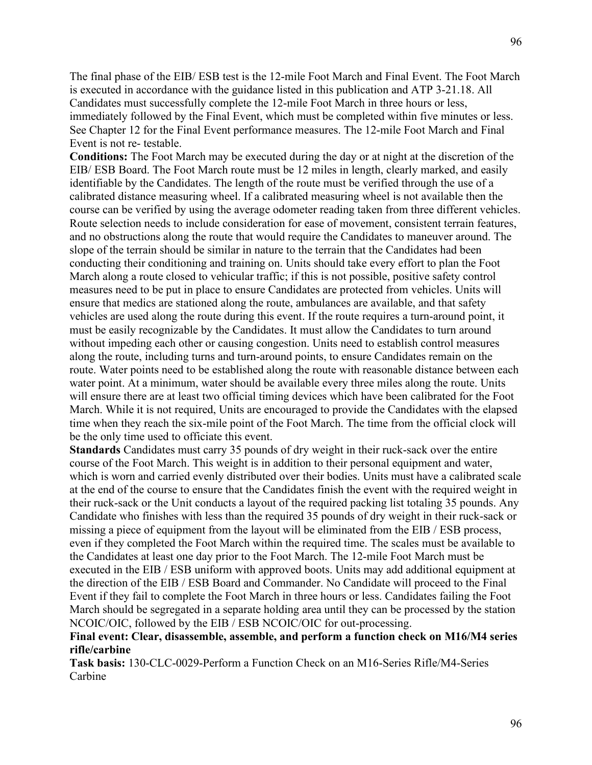The final phase of the EIB/ ESB test is the 12-mile Foot March and Final Event. The Foot March is executed in accordance with the guidance listed in this publication and ATP 3-21.18. All Candidates must successfully complete the 12-mile Foot March in three hours or less, immediately followed by the Final Event, which must be completed within five minutes or less. See Chapter 12 for the Final Event performance measures. The 12-mile Foot March and Final Event is not re- testable.

**Conditions:** The Foot March may be executed during the day or at night at the discretion of the EIB/ ESB Board. The Foot March route must be 12 miles in length, clearly marked, and easily identifiable by the Candidates. The length of the route must be verified through the use of a calibrated distance measuring wheel. If a calibrated measuring wheel is not available then the course can be verified by using the average odometer reading taken from three different vehicles. Route selection needs to include consideration for ease of movement, consistent terrain features, and no obstructions along the route that would require the Candidates to maneuver around. The slope of the terrain should be similar in nature to the terrain that the Candidates had been conducting their conditioning and training on. Units should take every effort to plan the Foot March along a route closed to vehicular traffic; if this is not possible, positive safety control measures need to be put in place to ensure Candidates are protected from vehicles. Units will ensure that medics are stationed along the route, ambulances are available, and that safety vehicles are used along the route during this event. If the route requires a turn-around point, it must be easily recognizable by the Candidates. It must allow the Candidates to turn around without impeding each other or causing congestion. Units need to establish control measures along the route, including turns and turn-around points, to ensure Candidates remain on the route. Water points need to be established along the route with reasonable distance between each water point. At a minimum, water should be available every three miles along the route. Units will ensure there are at least two official timing devices which have been calibrated for the Foot March. While it is not required, Units are encouraged to provide the Candidates with the elapsed time when they reach the six-mile point of the Foot March. The time from the official clock will be the only time used to officiate this event.

**Standards** Candidates must carry 35 pounds of dry weight in their ruck-sack over the entire course of the Foot March. This weight is in addition to their personal equipment and water, which is worn and carried evenly distributed over their bodies. Units must have a calibrated scale at the end of the course to ensure that the Candidates finish the event with the required weight in their ruck-sack or the Unit conducts a layout of the required packing list totaling 35 pounds. Any Candidate who finishes with less than the required 35 pounds of dry weight in their ruck-sack or missing a piece of equipment from the layout will be eliminated from the EIB / ESB process, even if they completed the Foot March within the required time. The scales must be available to the Candidates at least one day prior to the Foot March. The 12-mile Foot March must be executed in the EIB / ESB uniform with approved boots. Units may add additional equipment at the direction of the EIB / ESB Board and Commander. No Candidate will proceed to the Final Event if they fail to complete the Foot March in three hours or less. Candidates failing the Foot March should be segregated in a separate holding area until they can be processed by the station NCOIC/OIC, followed by the EIB / ESB NCOIC/OIC for out-processing.

#### **Final event: Clear, disassemble, assemble, and perform a function check on M16/M4 series rifle/carbine**

**Task basis:** 130-CLC-0029-Perform a Function Check on an M16-Series Rifle/M4-Series Carbine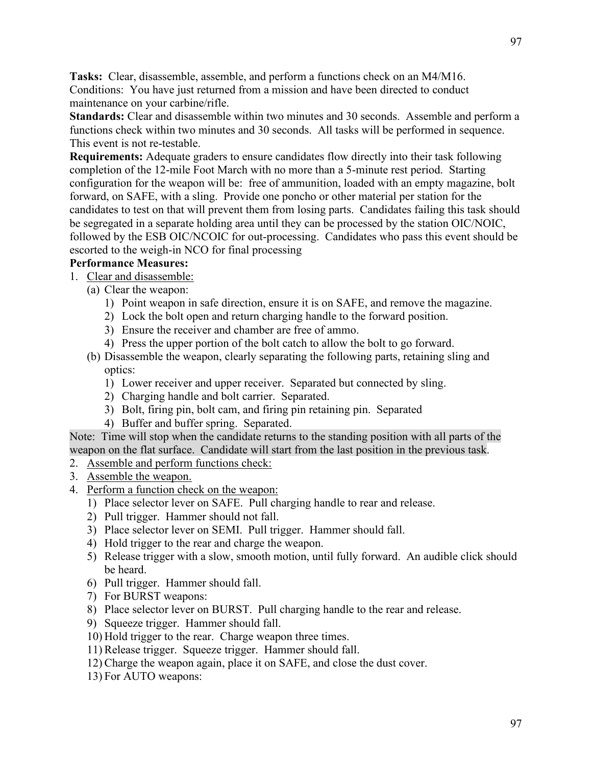**Tasks:** Clear, disassemble, assemble, and perform a functions check on an M4/M16. Conditions: You have just returned from a mission and have been directed to conduct maintenance on your carbine/rifle.

**Standards:** Clear and disassemble within two minutes and 30 seconds. Assemble and perform a functions check within two minutes and 30 seconds. All tasks will be performed in sequence. This event is not re-testable.

**Requirements:** Adequate graders to ensure candidates flow directly into their task following completion of the 12-mile Foot March with no more than a 5-minute rest period. Starting configuration for the weapon will be: free of ammunition, loaded with an empty magazine, bolt forward, on SAFE, with a sling. Provide one poncho or other material per station for the candidates to test on that will prevent them from losing parts. Candidates failing this task should be segregated in a separate holding area until they can be processed by the station OIC/NOIC, followed by the ESB OIC/NCOIC for out-processing. Candidates who pass this event should be escorted to the weigh-in NCO for final processing

### **Performance Measures:**

- 1. Clear and disassemble:
	- (a) Clear the weapon:
		- 1) Point weapon in safe direction, ensure it is on SAFE, and remove the magazine.
		- 2) Lock the bolt open and return charging handle to the forward position.
		- 3) Ensure the receiver and chamber are free of ammo.
		- 4) Press the upper portion of the bolt catch to allow the bolt to go forward.
	- (b) Disassemble the weapon, clearly separating the following parts, retaining sling and optics:
		- 1) Lower receiver and upper receiver. Separated but connected by sling.
		- 2) Charging handle and bolt carrier. Separated.
		- 3) Bolt, firing pin, bolt cam, and firing pin retaining pin. Separated
		- 4) Buffer and buffer spring. Separated.

Note: Time will stop when the candidate returns to the standing position with all parts of the weapon on the flat surface. Candidate will start from the last position in the previous task.

- 2. Assemble and perform functions check:
- 3. Assemble the weapon.
- 4. Perform a function check on the weapon:
	- 1) Place selector lever on SAFE. Pull charging handle to rear and release.
	- 2) Pull trigger. Hammer should not fall.
	- 3) Place selector lever on SEMI. Pull trigger. Hammer should fall.
	- 4) Hold trigger to the rear and charge the weapon.
	- 5) Release trigger with a slow, smooth motion, until fully forward. An audible click should be heard.
	- 6) Pull trigger. Hammer should fall.
	- 7) For BURST weapons:
	- 8) Place selector lever on BURST. Pull charging handle to the rear and release.
	- 9) Squeeze trigger. Hammer should fall.
	- 10) Hold trigger to the rear. Charge weapon three times.
	- 11) Release trigger. Squeeze trigger. Hammer should fall.
	- 12) Charge the weapon again, place it on SAFE, and close the dust cover.
	- 13) For AUTO weapons: